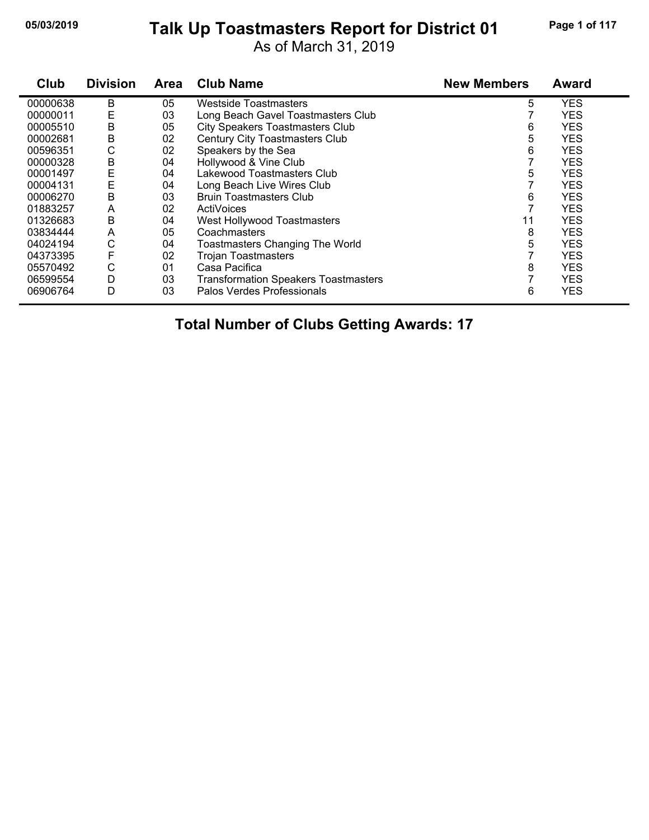### **05/03/2019 Page 1 of 117 Talk Up Toastmasters Report for District 01**

As of March 31, 2019

| Club     | <b>Division</b> | <b>Area</b> | <b>Club Name</b>                            | <b>New Members</b> | <b>Award</b> |
|----------|-----------------|-------------|---------------------------------------------|--------------------|--------------|
| 00000638 | B               | 05          | Westside Toastmasters                       | 5                  | <b>YES</b>   |
| 00000011 | E               | 03          | Long Beach Gavel Toastmasters Club          |                    | <b>YES</b>   |
| 00005510 | B               | 05          | <b>City Speakers Toastmasters Club</b>      | 6                  | <b>YES</b>   |
| 00002681 | B               | 02          | <b>Century City Toastmasters Club</b>       | 5                  | <b>YES</b>   |
| 00596351 | С               | 02          | Speakers by the Sea                         | 6                  | <b>YES</b>   |
| 00000328 | B               | 04          | Hollywood & Vine Club                       |                    | <b>YES</b>   |
| 00001497 | Ε               | 04          | Lakewood Toastmasters Club                  | 5                  | <b>YES</b>   |
| 00004131 | Ε               | 04          | Long Beach Live Wires Club                  |                    | <b>YES</b>   |
| 00006270 | B               | 03          | <b>Bruin Toastmasters Club</b>              | 6                  | <b>YES</b>   |
| 01883257 | A               | 02          | ActiVoices                                  |                    | <b>YES</b>   |
| 01326683 | B               | 04          | West Hollywood Toastmasters                 | 11                 | <b>YES</b>   |
| 03834444 | A               | 05          | Coachmasters                                | 8                  | <b>YES</b>   |
| 04024194 | С               | 04          | <b>Toastmasters Changing The World</b>      | 5                  | <b>YES</b>   |
| 04373395 | F               | 02          | <b>Trojan Toastmasters</b>                  |                    | <b>YES</b>   |
| 05570492 | С               | 01          | Casa Pacifica                               | 8                  | <b>YES</b>   |
| 06599554 | D               | 03          | <b>Transformation Speakers Toastmasters</b> |                    | <b>YES</b>   |
| 06906764 | D               | 03          | Palos Verdes Professionals                  | 6                  | <b>YES</b>   |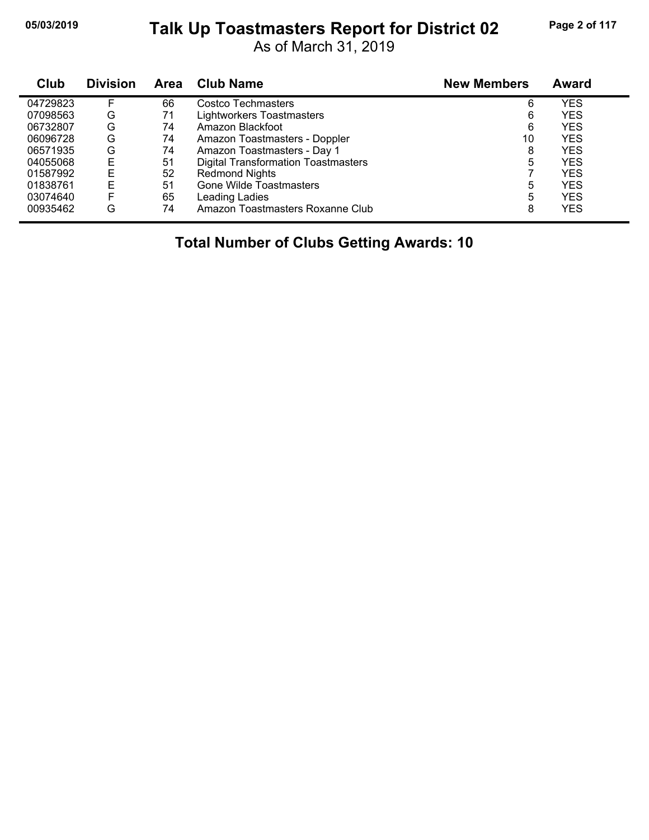#### **05/03/2019 Page 2 of 117 Talk Up Toastmasters Report for District 02**

As of March 31, 2019

| Club     | <b>Division</b> | Area | <b>Club Name</b>                           | <b>New Members</b> | Award      |  |
|----------|-----------------|------|--------------------------------------------|--------------------|------------|--|
| 04729823 | F               | 66   | Costco Techmasters                         | 6                  | YES        |  |
| 07098563 | G               | 71   | <b>Lightworkers Toastmasters</b>           | 6                  | <b>YES</b> |  |
| 06732807 | G               | 74   | Amazon Blackfoot                           | 6                  | <b>YES</b> |  |
| 06096728 | G               | 74   | Amazon Toastmasters - Doppler              | 10                 | <b>YES</b> |  |
| 06571935 | G               | 74   | Amazon Toastmasters - Day 1                | 8                  | <b>YES</b> |  |
| 04055068 | E               | 51   | <b>Digital Transformation Toastmasters</b> | 5                  | <b>YES</b> |  |
| 01587992 | E               | 52   | <b>Redmond Nights</b>                      |                    | <b>YES</b> |  |
| 01838761 | Е               | 51   | <b>Gone Wilde Toastmasters</b>             | 5                  | <b>YES</b> |  |
| 03074640 | F               | 65   | Leading Ladies                             | 5                  | <b>YES</b> |  |
| 00935462 | G               | 74   | Amazon Toastmasters Roxanne Club           | 8                  | <b>YES</b> |  |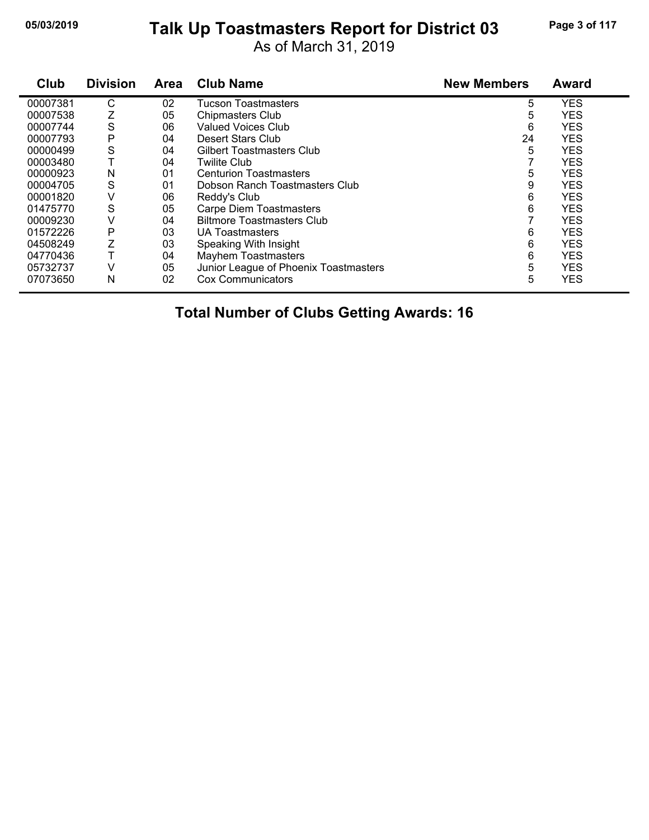# **05/03/2019 Page 3 of 117 Talk Up Toastmasters Report for District 03**

As of March 31, 2019

| Club     | <b>Division</b> | Area | <b>Club Name</b>                      | <b>New Members</b> | <b>Award</b> |
|----------|-----------------|------|---------------------------------------|--------------------|--------------|
| 00007381 | С               | 02   | <b>Tucson Toastmasters</b>            | 5                  | <b>YES</b>   |
| 00007538 | Z               | 05   | <b>Chipmasters Club</b>               | 5                  | <b>YES</b>   |
| 00007744 | S               | 06   | <b>Valued Voices Club</b>             | 6                  | <b>YES</b>   |
| 00007793 | P               | 04   | Desert Stars Club                     | 24                 | <b>YES</b>   |
| 00000499 | S               | 04   | Gilbert Toastmasters Club             | 5                  | <b>YES</b>   |
| 00003480 |                 | 04   | <b>Twilite Club</b>                   |                    | <b>YES</b>   |
| 00000923 | N               | 01   | <b>Centurion Toastmasters</b>         | 5                  | <b>YES</b>   |
| 00004705 | S               | 01   | Dobson Ranch Toastmasters Club        | 9                  | <b>YES</b>   |
| 00001820 | ٧               | 06   | Reddy's Club                          | 6                  | <b>YES</b>   |
| 01475770 | S               | 05   | <b>Carpe Diem Toastmasters</b>        | 6                  | <b>YES</b>   |
| 00009230 | V               | 04   | <b>Biltmore Toastmasters Club</b>     |                    | <b>YES</b>   |
| 01572226 | P               | 03   | UA Toastmasters                       | 6                  | <b>YES</b>   |
| 04508249 | Ζ               | 03   | Speaking With Insight                 | 6                  | <b>YES</b>   |
| 04770436 |                 | 04   | <b>Mayhem Toastmasters</b>            | 6                  | <b>YES</b>   |
| 05732737 | V               | 05   | Junior League of Phoenix Toastmasters | 5                  | <b>YES</b>   |
| 07073650 | N               | 02   | <b>Cox Communicators</b>              | 5                  | <b>YES</b>   |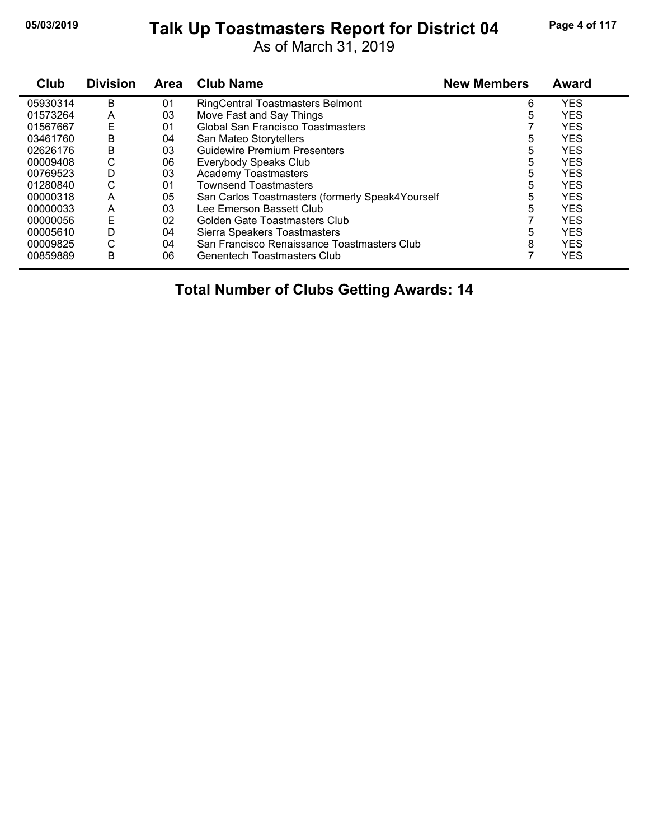# **05/03/2019 Page 4 of 117 Talk Up Toastmasters Report for District 04**

As of March 31, 2019

| Club     | <b>Division</b> | <b>Area</b> | <b>Club Name</b>                                 | <b>New Members</b> | <b>Award</b> |
|----------|-----------------|-------------|--------------------------------------------------|--------------------|--------------|
| 05930314 | B               | 01          | <b>RingCentral Toastmasters Belmont</b>          | 6                  | <b>YES</b>   |
| 01573264 | A               | 03          | Move Fast and Say Things                         | 5                  | <b>YES</b>   |
| 01567667 | Ε               | 01          | Global San Francisco Toastmasters                |                    | <b>YES</b>   |
| 03461760 | B               | 04          | San Mateo Storytellers                           | 5                  | <b>YES</b>   |
| 02626176 | B               | 03          | <b>Guidewire Premium Presenters</b>              | 5                  | <b>YES</b>   |
| 00009408 | С               | 06          | Everybody Speaks Club                            | 5                  | <b>YES</b>   |
| 00769523 | D               | 03          | <b>Academy Toastmasters</b>                      | 5                  | <b>YES</b>   |
| 01280840 | С               | 01          | <b>Townsend Toastmasters</b>                     | 5                  | <b>YES</b>   |
| 00000318 | A               | 05          | San Carlos Toastmasters (formerly Speak4Yourself | 5                  | <b>YES</b>   |
| 00000033 | A               | 03          | Lee Emerson Bassett Club                         | 5                  | <b>YES</b>   |
| 00000056 | E               | 02          | Golden Gate Toastmasters Club                    |                    | <b>YES</b>   |
| 00005610 | D               | 04          | Sierra Speakers Toastmasters                     | 5                  | <b>YES</b>   |
| 00009825 | С               | 04          | San Francisco Renaissance Toastmasters Club      | 8                  | <b>YES</b>   |
| 00859889 | B               | 06          | <b>Genentech Toastmasters Club</b>               |                    | <b>YES</b>   |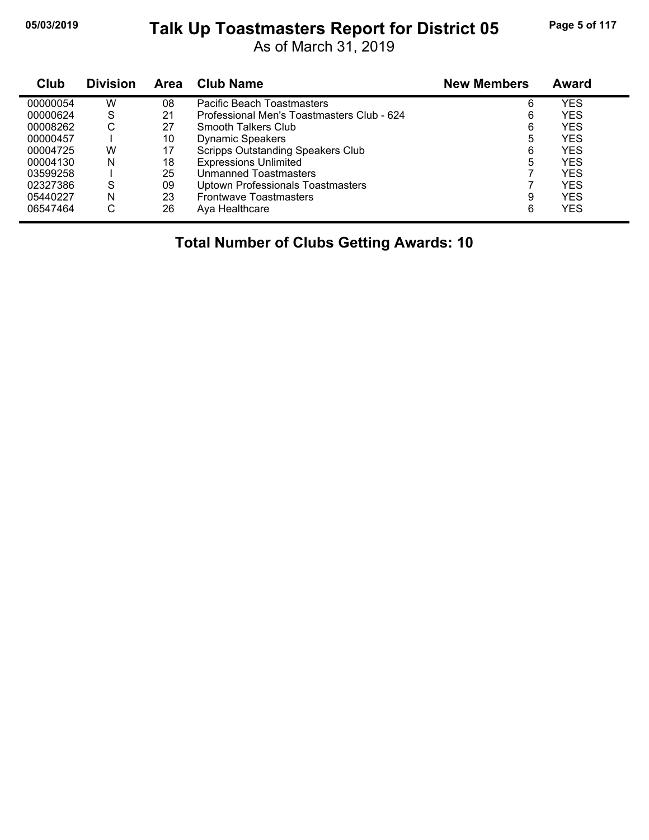# **05/03/2019 Page 5 of 117 Talk Up Toastmasters Report for District 05**

As of March 31, 2019

| Club     | <b>Division</b> | <b>Area</b> | Club Name                                  | <b>New Members</b> | Award      |
|----------|-----------------|-------------|--------------------------------------------|--------------------|------------|
| 00000054 | w               | 08          | Pacific Beach Toastmasters                 | 6                  | YES        |
| 00000624 | S               | 21          | Professional Men's Toastmasters Club - 624 | 6                  | <b>YES</b> |
| 00008262 | С               | 27          | Smooth Talkers Club                        | 6                  | <b>YES</b> |
| 00000457 |                 | 10          | <b>Dynamic Speakers</b>                    | 5                  | <b>YES</b> |
| 00004725 | W               | 17          | <b>Scripps Outstanding Speakers Club</b>   | 6                  | <b>YES</b> |
| 00004130 | N               | 18          | <b>Expressions Unlimited</b>               | 5                  | <b>YES</b> |
| 03599258 |                 | 25          | Unmanned Toastmasters                      |                    | <b>YES</b> |
| 02327386 | S               | 09          | <b>Uptown Professionals Toastmasters</b>   |                    | <b>YES</b> |
| 05440227 | N               | 23          | <b>Frontwave Toastmasters</b>              | 9                  | <b>YES</b> |
| 06547464 | С               | 26          | Aya Healthcare                             | 6                  | <b>YES</b> |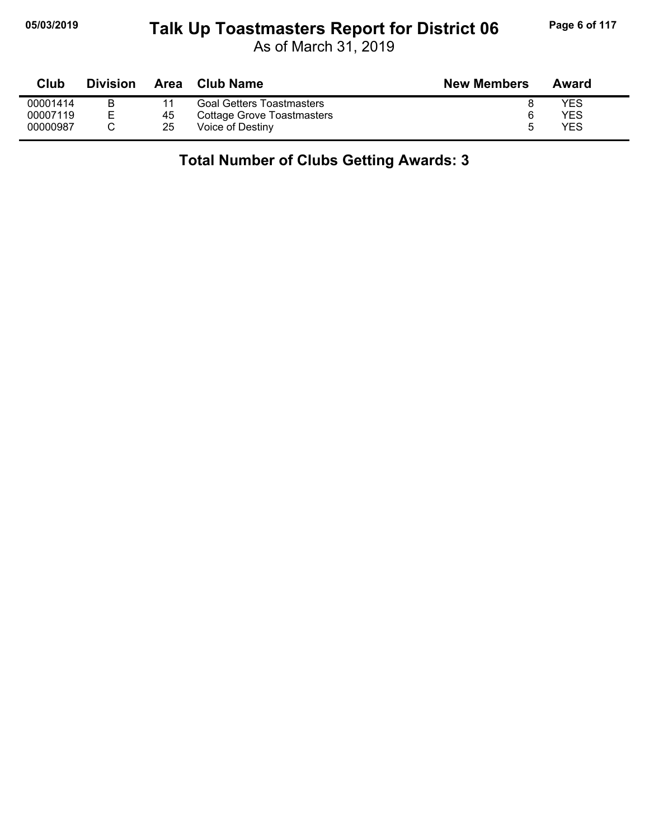### **05/03/2019 Page 6 of 117 Talk Up Toastmasters Report for District 06**

As of March 31, 2019

| Club     | <b>Division</b> | <b>Area</b> | <b>Club Name</b>                 | <b>New Members</b> | Award      |
|----------|-----------------|-------------|----------------------------------|--------------------|------------|
| 00001414 |                 |             | <b>Goal Getters Toastmasters</b> |                    | <b>YES</b> |
| 00007119 |                 | 45          | Cottage Grove Toastmasters       |                    | YES        |
| 00000987 |                 | 25          | Voice of Destiny                 |                    | YES        |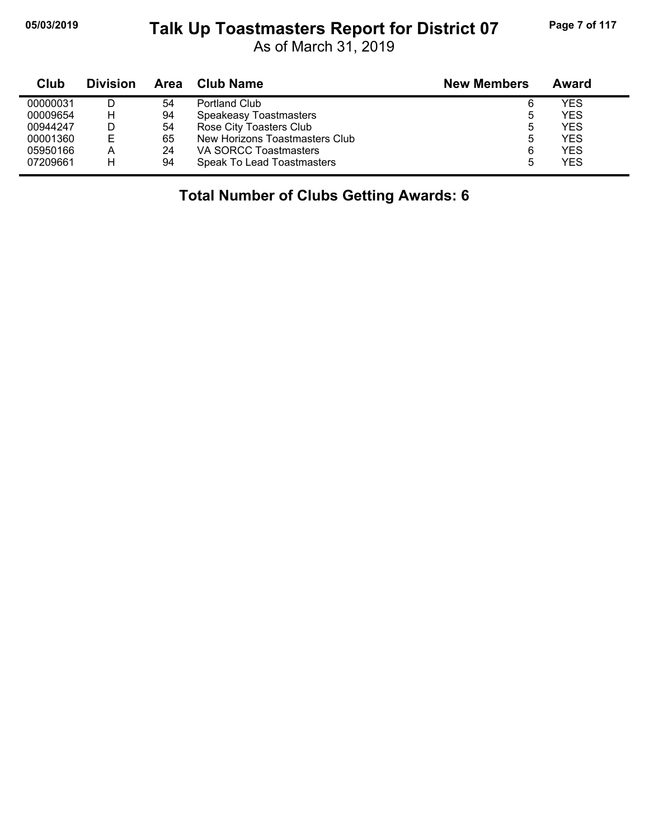#### **05/03/2019 Page 7 of 117 Talk Up Toastmasters Report for District 07**

As of March 31, 2019

| Club     | <b>Division</b> | Area | <b>Club Name</b>               | <b>New Members</b> | Award      |
|----------|-----------------|------|--------------------------------|--------------------|------------|
| 00000031 |                 | 54   | Portland Club                  | 6                  | <b>YES</b> |
| 00009654 | н               | 94   | Speakeasy Toastmasters         | 5                  | <b>YES</b> |
| 00944247 |                 | 54   | Rose City Toasters Club        | 5                  | <b>YES</b> |
| 00001360 | E               | 65   | New Horizons Toastmasters Club | 5                  | <b>YES</b> |
| 05950166 | А               | 24   | VA SORCC Toastmasters          | 6                  | <b>YES</b> |
| 07209661 | н               | 94   | Speak To Lead Toastmasters     | 5                  | <b>YES</b> |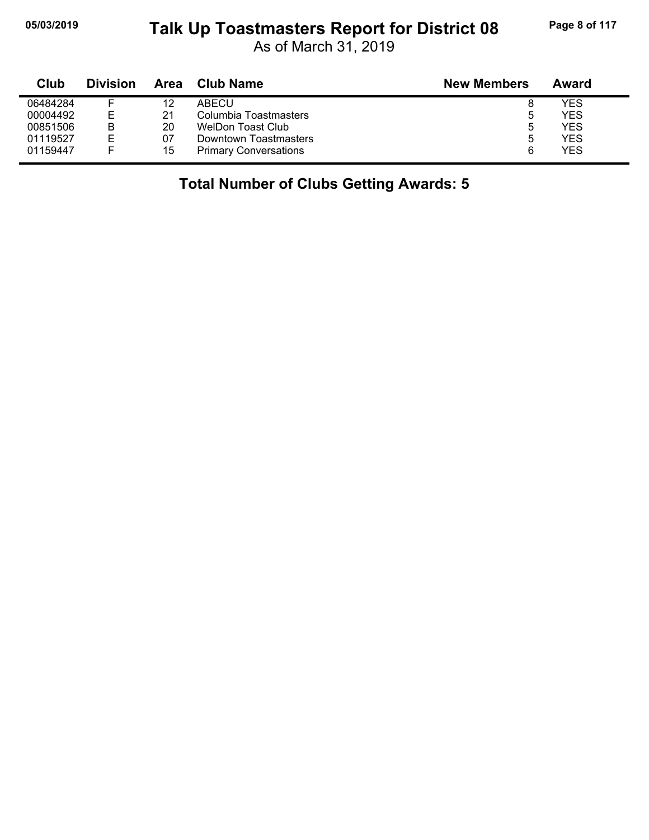## **05/03/2019 Page 8 of 117 Talk Up Toastmasters Report for District 08**

As of March 31, 2019

| Club     | <b>Division</b> | Area | <b>Club Name</b>             | <b>New Members</b> | Award |
|----------|-----------------|------|------------------------------|--------------------|-------|
| 06484284 |                 | 12   | ABECU                        | 8                  | YES   |
| 00004492 | F               | 21   | Columbia Toastmasters        | ь                  | YES   |
| 00851506 | B               | 20   | WelDon Toast Club            | ხ                  | YES   |
| 01119527 | ⊢               | 07   | Downtown Toastmasters        | ხ                  | YES   |
| 01159447 | ⊢               | 15   | <b>Primary Conversations</b> | 6                  | YES   |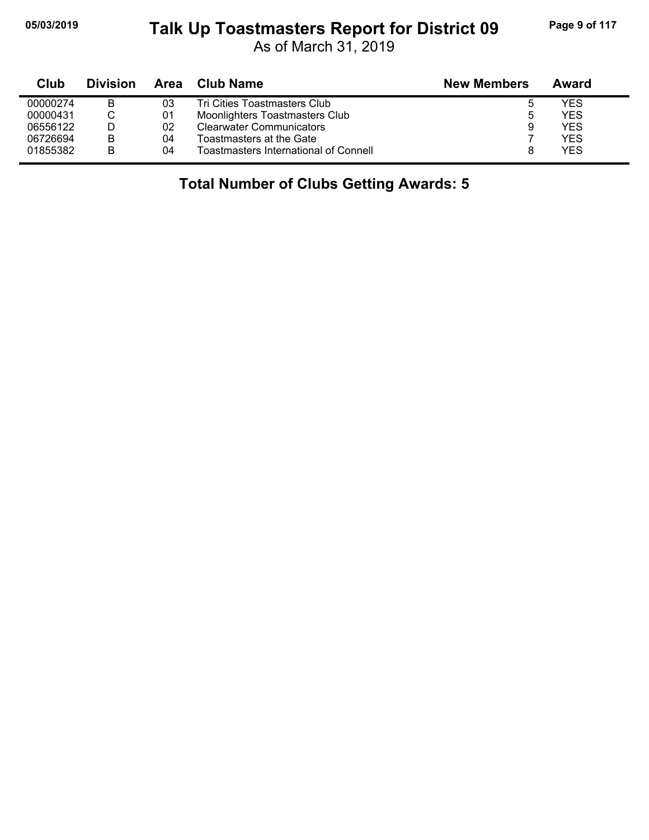## **05/03/2019 Page 9 of 117 Talk Up Toastmasters Report for District 09**

As of March 31, 2019

| Club     | <b>Division</b> | Area | <b>Club Name</b>                             | <b>New Members</b> | Award      |
|----------|-----------------|------|----------------------------------------------|--------------------|------------|
| 00000274 | В               | 03   | Tri Cities Toastmasters Club                 |                    | YES        |
| 00000431 | ◡               | 01   | Moonlighters Toastmasters Club               |                    | <b>YES</b> |
| 06556122 |                 | 02   | <b>Clearwater Communicators</b>              |                    | <b>YES</b> |
| 06726694 | В               | 04   | Toastmasters at the Gate                     |                    | <b>YES</b> |
| 01855382 | B               | 04   | <b>Toastmasters International of Connell</b> |                    | <b>YES</b> |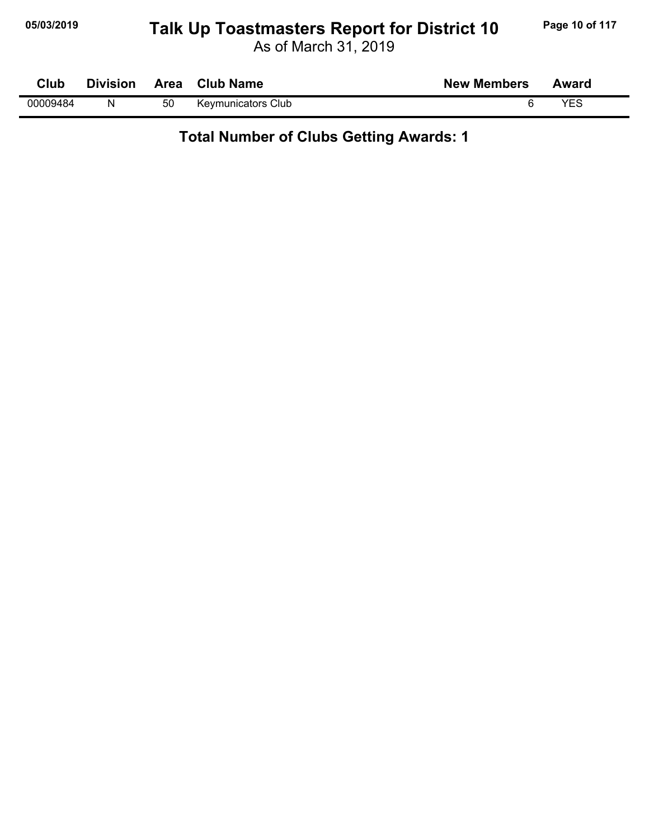## **05/03/2019 Page 10 of 117 Talk Up Toastmasters Report for District 10**

As of March 31, 2019

| Club     | <b>Division</b> |    | Area Club Name            | <b>New Members</b> | Award |
|----------|-----------------|----|---------------------------|--------------------|-------|
| 00009484 | N               | 50 | <b>Keymunicators Club</b> |                    | YES   |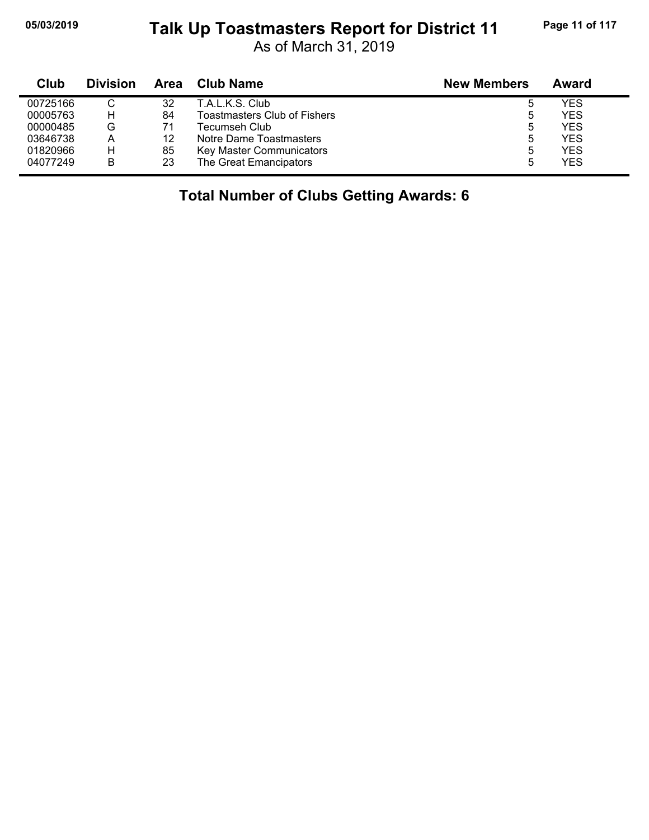j,

#### **05/03/2019 Page 11 of 117 Talk Up Toastmasters Report for District 11**

As of March 31, 2019

| Club     | <b>Division</b> | Area | Club Name                           | <b>New Members</b> | Award |
|----------|-----------------|------|-------------------------------------|--------------------|-------|
| 00725166 |                 | 32   | T.A.L.K.S. Club                     | ა                  | YES   |
| 00005763 | н               | 84   | <b>Toastmasters Club of Fishers</b> | ა                  | YES   |
| 00000485 | G               | 71   | Tecumseh Club                       | ა                  | YES   |
| 03646738 | A               | 12   | Notre Dame Toastmasters             | ხ                  | YES   |
| 01820966 | н               | 85   | Key Master Communicators            | 5                  | YES   |
| 04077249 | В               | 23   | The Great Emancipators              | 5                  | YES   |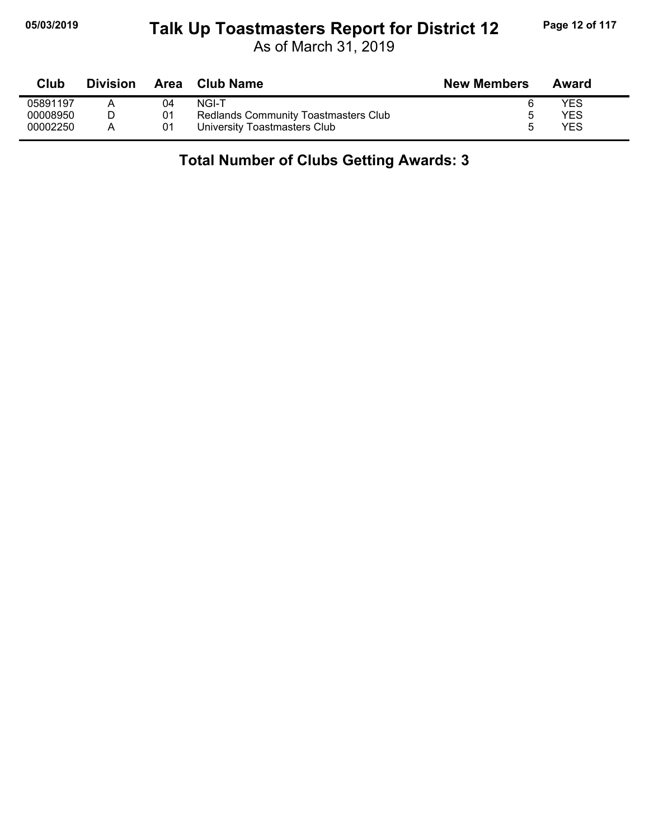### **05/03/2019 Page 12 of 117 Talk Up Toastmasters Report for District 12**

As of March 31, 2019

| Club     | <b>Division</b> | Area | Club Name                            | <b>New Members</b> | Award |
|----------|-----------------|------|--------------------------------------|--------------------|-------|
| 05891197 |                 | 04   | NGI-T                                |                    | YES   |
| 00008950 |                 | 01   | Redlands Community Toastmasters Club |                    | YES   |
| 00002250 |                 | 01   | University Toastmasters Club         |                    | YES   |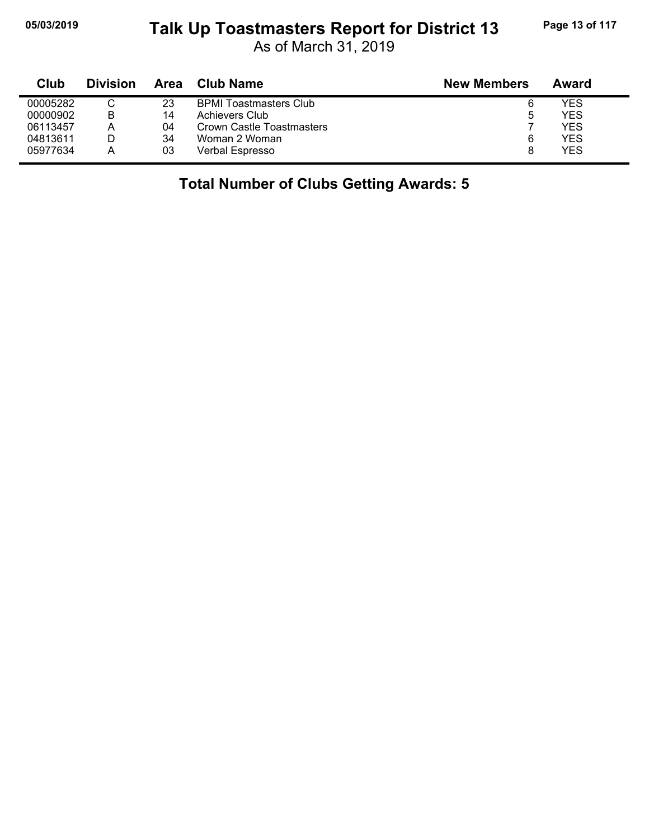## **05/03/2019 Page 13 of 117 Talk Up Toastmasters Report for District 13**

As of March 31, 2019

| Club     | <b>Division</b> | Area | Club Name                     | <b>New Members</b> | Award |
|----------|-----------------|------|-------------------------------|--------------------|-------|
| 00005282 |                 | 23   | <b>BPMI Toastmasters Club</b> | 6                  | YES   |
| 00000902 | B               | 14   | Achievers Club                | ა                  | YES   |
| 06113457 | Α               | 04   | Crown Castle Toastmasters     |                    | YES   |
| 04813611 |                 | 34   | Woman 2 Woman                 | 6                  | YES   |
| 05977634 | Α               | 03   | Verbal Espresso               | 8                  | YES   |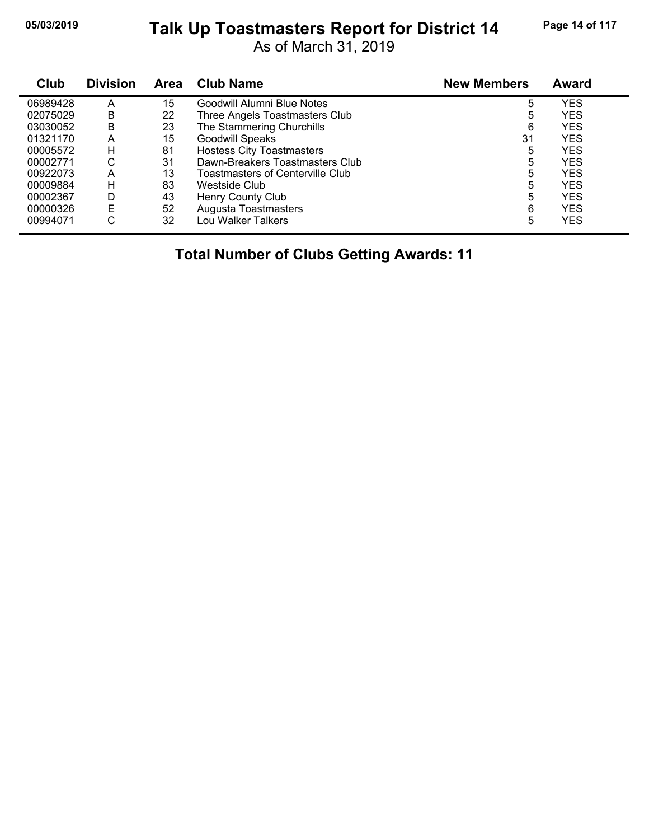## **05/03/2019 Page 14 of 117 Talk Up Toastmasters Report for District 14**

As of March 31, 2019

| Club     | <b>Division</b> | <b>Area</b> | <b>Club Name</b>                 | <b>New Members</b> | <b>Award</b> |
|----------|-----------------|-------------|----------------------------------|--------------------|--------------|
| 06989428 | А               | 15          | Goodwill Alumni Blue Notes       | 5                  | YES          |
| 02075029 | B               | 22          | Three Angels Toastmasters Club   | 5                  | YES          |
| 03030052 | B               | 23          | The Stammering Churchills        | 6                  | <b>YES</b>   |
| 01321170 | А               | 15          | <b>Goodwill Speaks</b>           | 31                 | <b>YES</b>   |
| 00005572 | н               | 81          | <b>Hostess City Toastmasters</b> | 5                  | <b>YES</b>   |
| 00002771 | С               | 31          | Dawn-Breakers Toastmasters Club  | 5                  | <b>YES</b>   |
| 00922073 | А               | 13          | Toastmasters of Centerville Club | 5                  | YES          |
| 00009884 | н               | 83          | Westside Club                    | 5                  | <b>YES</b>   |
| 00002367 | D               | 43          | Henry County Club                | 5                  | YES          |
| 00000326 | Е               | 52          | Augusta Toastmasters             | 6                  | <b>YES</b>   |
| 00994071 | С               | 32          | Lou Walker Talkers               | 5                  | <b>YES</b>   |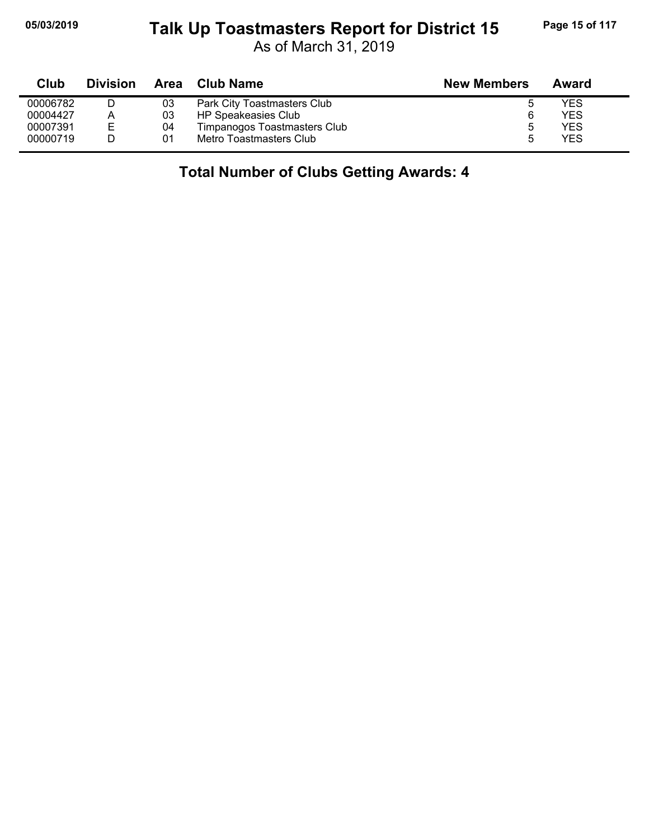### **05/03/2019 Page 15 of 117 Talk Up Toastmasters Report for District 15**

As of March 31, 2019

| Club     | <b>Division</b> | Area | Club Name                    | <b>New Members</b> | Award      |
|----------|-----------------|------|------------------------------|--------------------|------------|
| 00006782 |                 | 03   | Park City Toastmasters Club  |                    | YES        |
| 00004427 |                 | 03   | HP Speakeasies Club          |                    | <b>YES</b> |
| 00007391 | E               | 04   | Timpanogos Toastmasters Club | b                  | <b>YES</b> |
| 00000719 |                 | 01   | Metro Toastmasters Club      | ۰.                 | <b>YES</b> |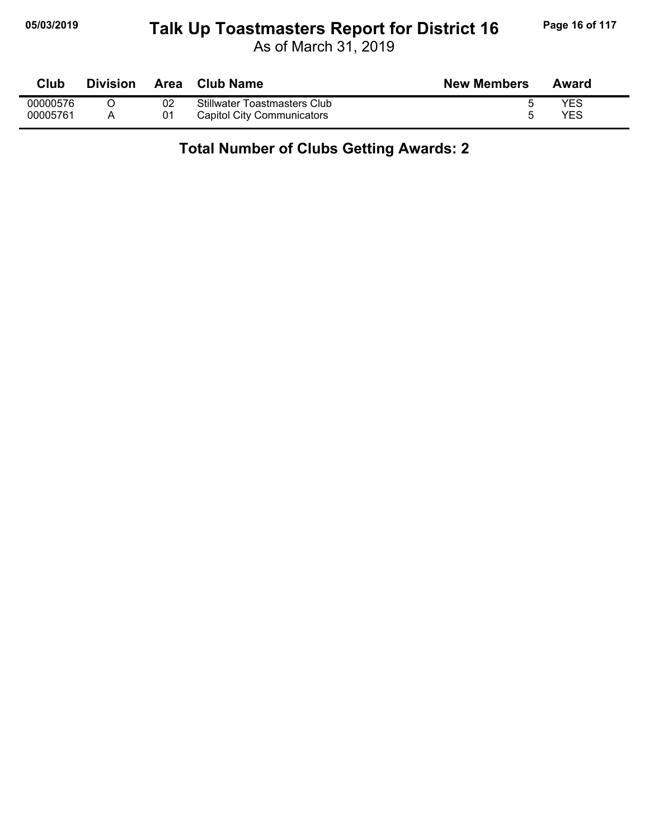#### **05/03/2019 Page 16 of 117 Talk Up Toastmasters Report for District 16**

As of March 31, 2019

| Club     | Division | <b>Area</b> | Club Name                           | <b>New Members</b> | Award |
|----------|----------|-------------|-------------------------------------|--------------------|-------|
| 00000576 |          | 02          | <b>Stillwater Toastmasters Club</b> |                    | YES   |
| 00005761 |          | 01          | Capitol City Communicators          |                    | YES   |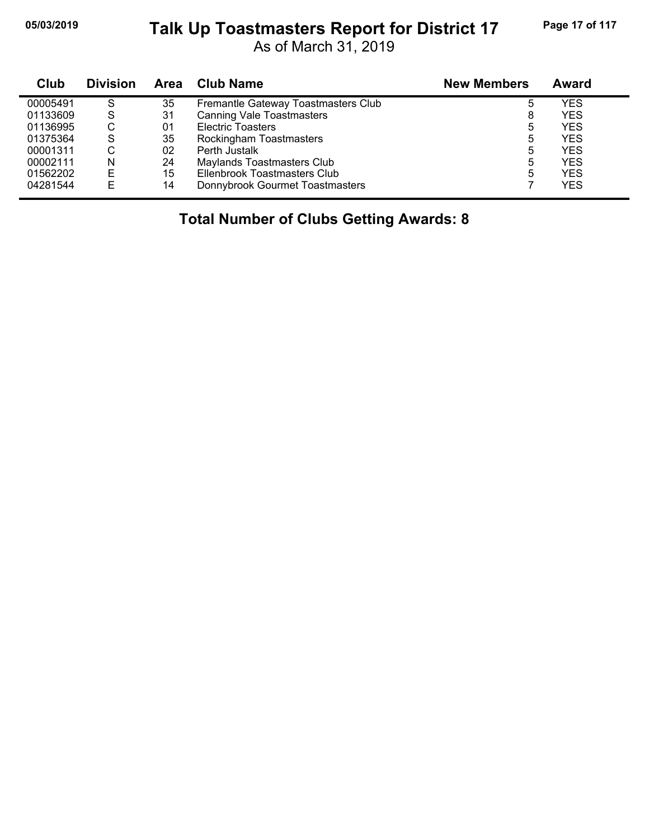#### **05/03/2019 Page 17 of 117 Talk Up Toastmasters Report for District 17**

As of March 31, 2019

| <b>Club</b> | <b>Division</b> | Area | <b>Club Name</b>                    | <b>New Members</b> | Award      |
|-------------|-----------------|------|-------------------------------------|--------------------|------------|
| 00005491    | S               | 35   | Fremantle Gateway Toastmasters Club |                    | YES        |
| 01133609    | S               | 31   | <b>Canning Vale Toastmasters</b>    | 8                  | YES        |
| 01136995    | С               | 01   | <b>Electric Toasters</b>            | 5                  | YES        |
| 01375364    | S               | 35   | Rockingham Toastmasters             | 5                  | YES        |
| 00001311    | С               | 02   | Perth Justalk                       | 5                  | YES        |
| 00002111    | N               | 24   | Maylands Toastmasters Club          | 5                  | YES        |
| 01562202    | Е               | 15   | Ellenbrook Toastmasters Club        | 5                  | <b>YES</b> |
| 04281544    | E               | 14   | Donnybrook Gourmet Toastmasters     |                    | YES        |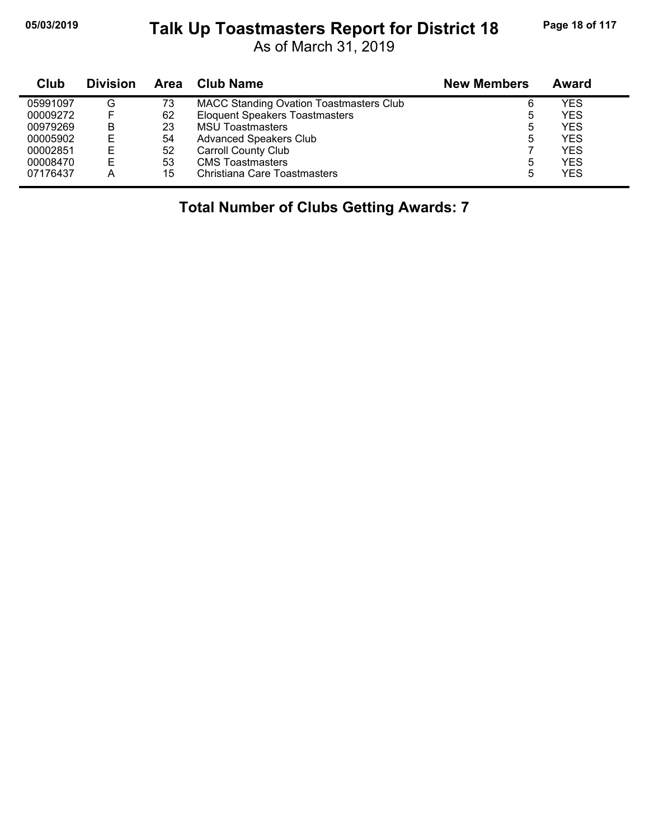## **05/03/2019 Page 18 of 117 Talk Up Toastmasters Report for District 18**

As of March 31, 2019

| Club     | <b>Division</b> | Area | <b>Club Name</b>                               | <b>New Members</b> | <b>Award</b> |
|----------|-----------------|------|------------------------------------------------|--------------------|--------------|
| 05991097 | G               | 73   | <b>MACC Standing Ovation Toastmasters Club</b> | 6                  | YES          |
| 00009272 |                 | 62   | <b>Eloquent Speakers Toastmasters</b>          | 5                  | YES          |
| 00979269 | B               | 23   | <b>MSU Toastmasters</b>                        | 5                  | YES          |
| 00005902 | Е               | 54   | <b>Advanced Speakers Club</b>                  | 5                  | <b>YES</b>   |
| 00002851 | Е               | 52   | <b>Carroll County Club</b>                     |                    | <b>YES</b>   |
| 00008470 | E               | 53   | <b>CMS</b> Toastmasters                        | 5                  | YES          |
| 07176437 | A               | 15   | Christiana Care Toastmasters                   | 5                  | YES          |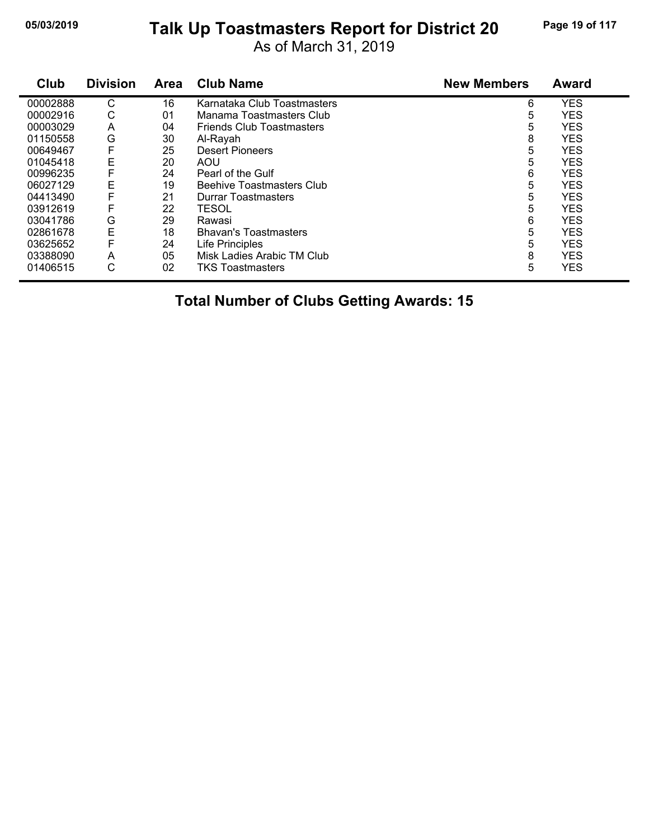## **05/03/2019 Page 19 of 117 Talk Up Toastmasters Report for District 20**

As of March 31, 2019

| Club     | <b>Division</b> | Area | <b>Club Name</b>                 | <b>New Members</b> | <b>Award</b> |
|----------|-----------------|------|----------------------------------|--------------------|--------------|
| 00002888 | $\mathsf{C}$    | 16   | Karnataka Club Toastmasters      | 6                  | <b>YES</b>   |
| 00002916 | С               | 01   | Manama Toastmasters Club         | 5                  | <b>YES</b>   |
| 00003029 | A               | 04   | <b>Friends Club Toastmasters</b> | 5                  | <b>YES</b>   |
| 01150558 | G               | 30   | Al-Rayah                         | 8                  | <b>YES</b>   |
| 00649467 | F               | 25   | Desert Pioneers                  | 5                  | <b>YES</b>   |
| 01045418 | E               | 20   | <b>AOU</b>                       | 5                  | <b>YES</b>   |
| 00996235 | F               | 24   | Pearl of the Gulf                | 6                  | <b>YES</b>   |
| 06027129 | E               | 19   | Beehive Toastmasters Club        | 5                  | <b>YES</b>   |
| 04413490 | F               | 21   | Durrar Toastmasters              | 5                  | <b>YES</b>   |
| 03912619 | F               | 22   | <b>TESOL</b>                     | 5                  | <b>YES</b>   |
| 03041786 | G               | 29   | Rawasi                           | 6                  | <b>YES</b>   |
| 02861678 | E               | 18   | <b>Bhavan's Toastmasters</b>     | 5                  | <b>YES</b>   |
| 03625652 | F               | 24   | Life Principles                  | 5                  | <b>YES</b>   |
| 03388090 | A               | 05   | Misk Ladies Arabic TM Club       | 8                  | <b>YES</b>   |
| 01406515 | С               | 02   | <b>TKS Toastmasters</b>          | 5                  | <b>YES</b>   |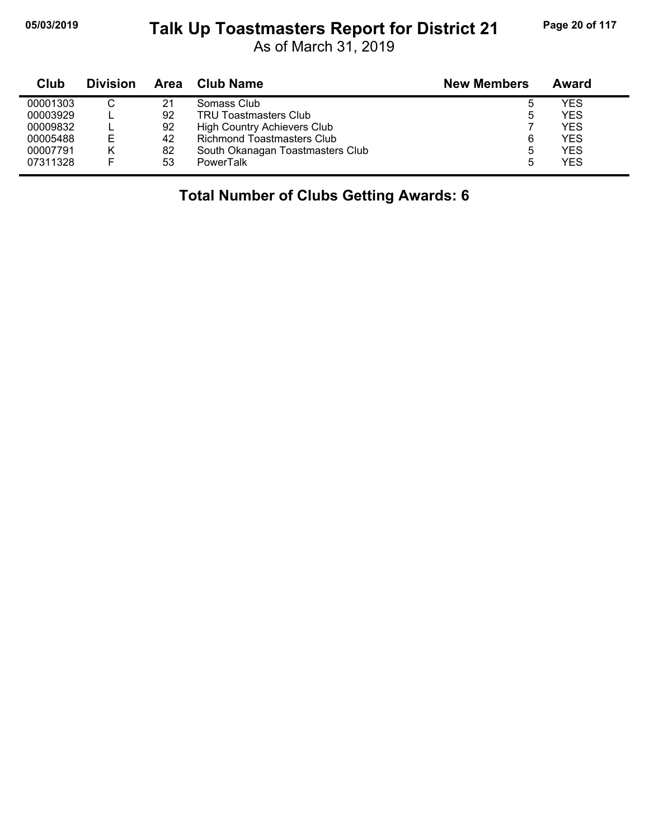#### **05/03/2019 Page 20 of 117 Talk Up Toastmasters Report for District 21**

As of March 31, 2019

| Club     | <b>Division</b> | Area | <b>Club Name</b>                   | <b>New Members</b> | Award      |
|----------|-----------------|------|------------------------------------|--------------------|------------|
| 00001303 |                 | 21   | Somass Club                        | ა                  | YES        |
| 00003929 |                 | 92   | <b>TRU Toastmasters Club</b>       | 5                  | YES        |
| 00009832 |                 | 92   | <b>High Country Achievers Club</b> |                    | YES        |
| 00005488 | E               | 42   | <b>Richmond Toastmasters Club</b>  | 6                  | <b>YES</b> |
| 00007791 | κ               | 82   | South Okanagan Toastmasters Club   | 5                  | YES        |
| 07311328 |                 | 53   | <b>PowerTalk</b>                   | 5                  | <b>YES</b> |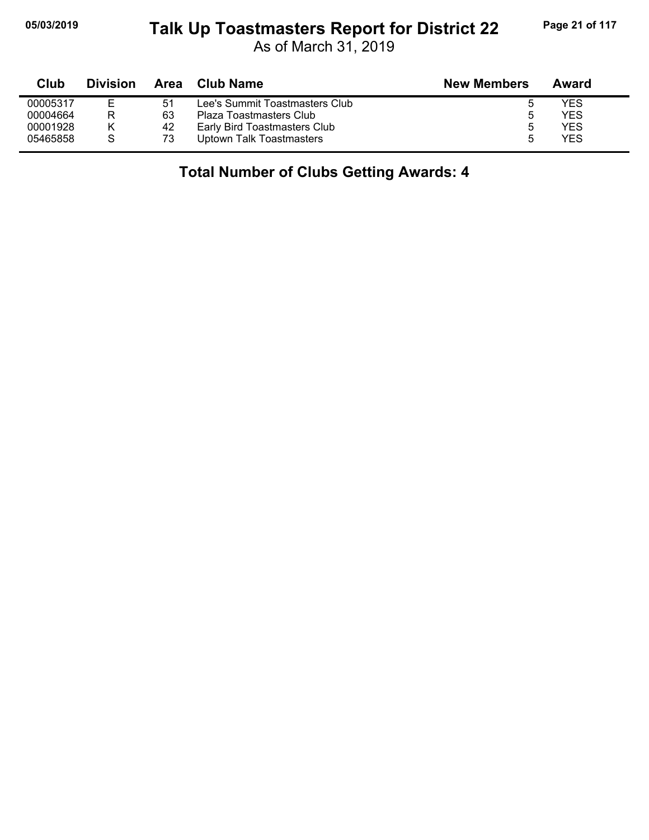### **05/03/2019 Page 21 of 117 Talk Up Toastmasters Report for District 22**

As of March 31, 2019

| Club     | <b>Division</b> | Area | Club Name                      | <b>New Members</b> | Award      |
|----------|-----------------|------|--------------------------------|--------------------|------------|
| 00005317 | E               | 51   | Lee's Summit Toastmasters Club |                    | YES        |
| 00004664 | R               | 63   | Plaza Toastmasters Club        | b                  | <b>YES</b> |
| 00001928 |                 | -42  | Early Bird Toastmasters Club   | 5                  | YES        |
| 05465858 |                 | 73   | Uptown Talk Toastmasters       | b                  | YES        |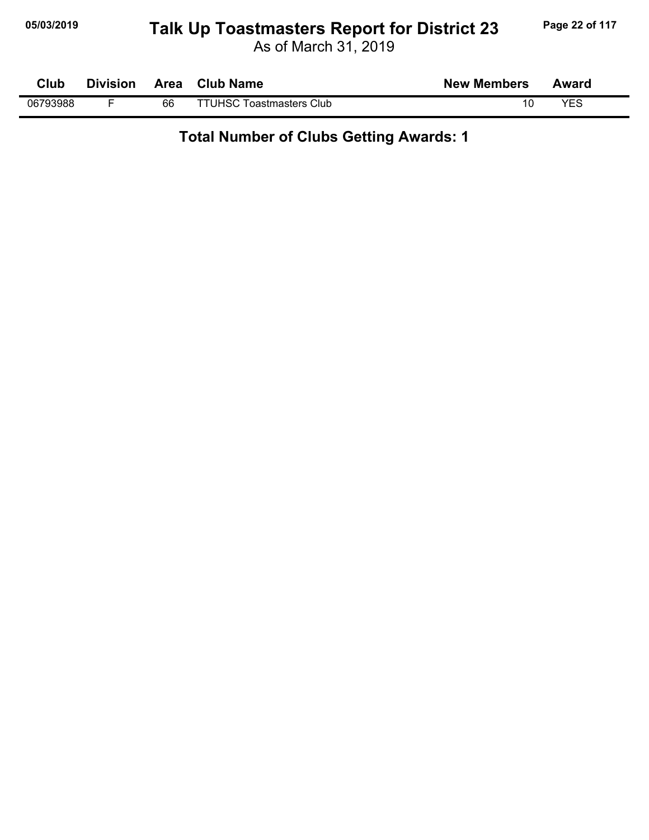## **05/03/2019 Page 22 of 117 Talk Up Toastmasters Report for District 23**

As of March 31, 2019

| Club     | <b>Division</b> | Area | <b>Club Name</b>                | <b>New Members</b> | Award |  |
|----------|-----------------|------|---------------------------------|--------------------|-------|--|
| 06793988 |                 | 66   | <b>TTUHSC Toastmasters Club</b> |                    | YES   |  |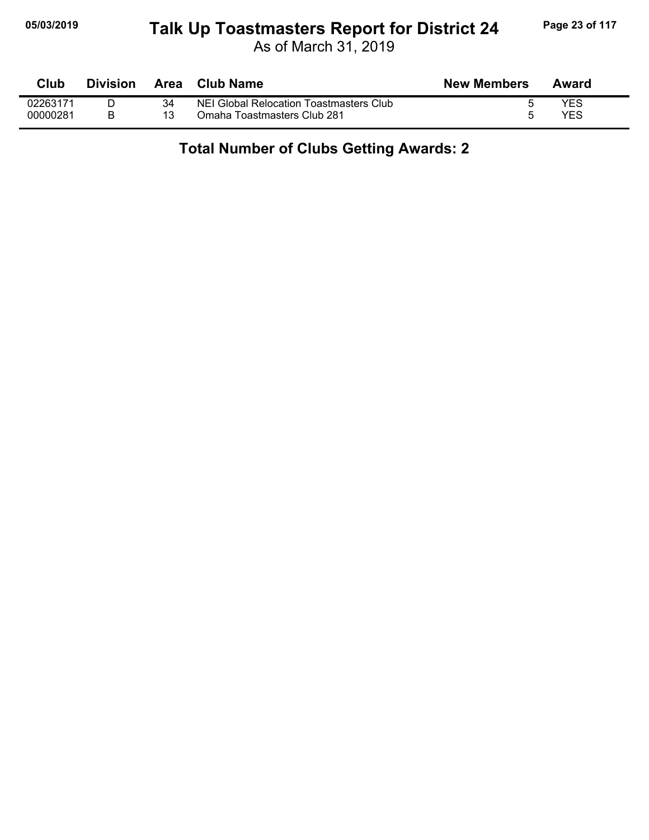#### **05/03/2019 Page 23 of 117 Talk Up Toastmasters Report for District 24**

As of March 31, 2019

| <b>Club</b> | <b>Division</b> | <b>Area</b> | <b>Club Name</b>                        | <b>New Members</b> | Award |
|-------------|-----------------|-------------|-----------------------------------------|--------------------|-------|
| 02263171    |                 | 34          | NEI Global Relocation Toastmasters Club |                    | YES   |
| 00000281    |                 |             | Omaha Toastmasters Club 281             |                    | YES   |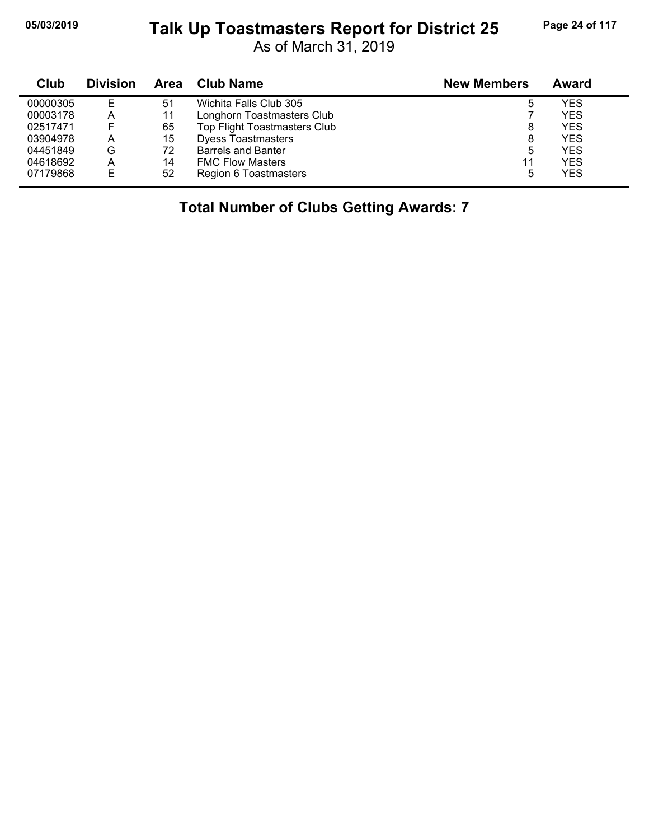#### **05/03/2019 Page 24 of 117 Talk Up Toastmasters Report for District 25**

As of March 31, 2019

| Club     | <b>Division</b> | <b>Area</b> | <b>Club Name</b>             | <b>New Members</b> | Award      |  |
|----------|-----------------|-------------|------------------------------|--------------------|------------|--|
| 00000305 | E               | 51          | Wichita Falls Club 305       | ხ                  | <b>YES</b> |  |
| 00003178 | Α               | 11          | Longhorn Toastmasters Club   |                    | <b>YES</b> |  |
| 02517471 | E               | 65          | Top Flight Toastmasters Club | 8                  | <b>YES</b> |  |
| 03904978 | A               | 15          | <b>Dyess Toastmasters</b>    | 8                  | <b>YES</b> |  |
| 04451849 | G               | 72          | <b>Barrels and Banter</b>    | 5                  | <b>YES</b> |  |
| 04618692 | A               | 14          | <b>FMC Flow Masters</b>      | 11                 | <b>YES</b> |  |
| 07179868 | Е               | 52          | Region 6 Toastmasters        | 5                  | <b>YES</b> |  |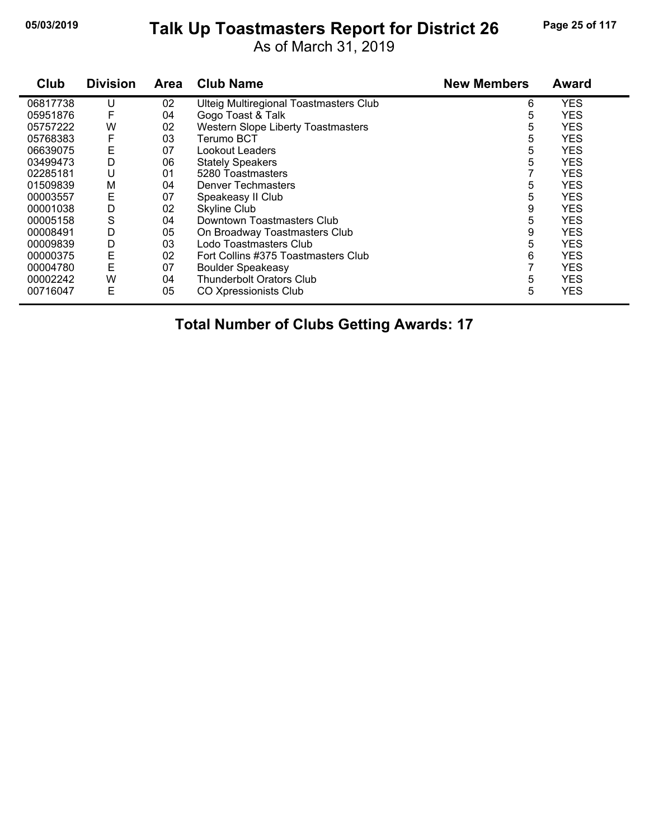#### **05/03/2019 Page 25 of 117 Talk Up Toastmasters Report for District 26**

As of March 31, 2019

| Club     | <b>Division</b> | <b>Area</b> | <b>Club Name</b>                              | <b>New Members</b> | <b>Award</b> |
|----------|-----------------|-------------|-----------------------------------------------|--------------------|--------------|
| 06817738 | U               | 02          | <b>Ulteig Multiregional Toastmasters Club</b> | 6                  | <b>YES</b>   |
| 05951876 | F               | 04          | Gogo Toast & Talk                             | 5                  | <b>YES</b>   |
| 05757222 | W               | 02          | <b>Western Slope Liberty Toastmasters</b>     | 5                  | <b>YES</b>   |
| 05768383 | F               | 03          | Terumo BCT                                    | 5                  | <b>YES</b>   |
| 06639075 | Ε               | 07          | Lookout Leaders                               | 5                  | <b>YES</b>   |
| 03499473 | D               | 06          | <b>Stately Speakers</b>                       | 5                  | <b>YES</b>   |
| 02285181 | U               | 01          | 5280 Toastmasters                             |                    | <b>YES</b>   |
| 01509839 | M               | 04          | <b>Denver Techmasters</b>                     | 5                  | <b>YES</b>   |
| 00003557 | Ε               | 07          | Speakeasy II Club                             | 5                  | <b>YES</b>   |
| 00001038 | D               | 02          | <b>Skyline Club</b>                           | 9                  | <b>YES</b>   |
| 00005158 | S               | 04          | Downtown Toastmasters Club                    | 5                  | <b>YES</b>   |
| 00008491 | D               | 05          | On Broadway Toastmasters Club                 | 9                  | <b>YES</b>   |
| 00009839 | D               | 03          | Lodo Toastmasters Club                        | 5                  | <b>YES</b>   |
| 00000375 | E               | 02          | Fort Collins #375 Toastmasters Club           | 6                  | <b>YES</b>   |
| 00004780 | E               | 07          | <b>Boulder Speakeasy</b>                      |                    | <b>YES</b>   |
| 00002242 | W               | 04          | <b>Thunderbolt Orators Club</b>               | 5                  | <b>YES</b>   |
| 00716047 | Е               | 05          | <b>CO Xpressionists Club</b>                  | 5                  | <b>YES</b>   |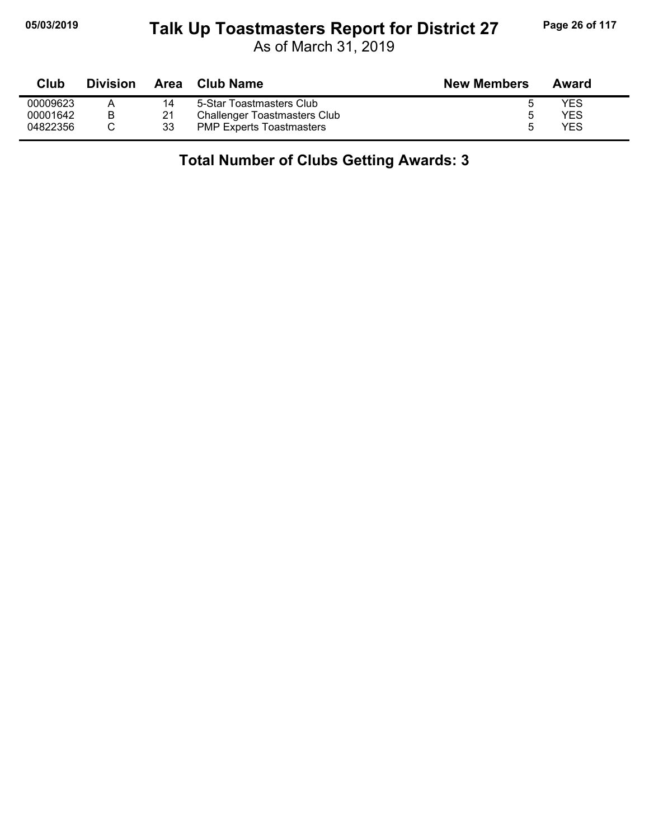#### **05/03/2019 Page 26 of 117 Talk Up Toastmasters Report for District 27**

As of March 31, 2019

| Club     | <b>Division</b> | <b>Area</b> | Club Name                           | <b>New Members</b> | Award |
|----------|-----------------|-------------|-------------------------------------|--------------------|-------|
| 00009623 |                 | 14          | 5-Star Toastmasters Club            |                    | YES   |
| 00001642 | B               | 21          | <b>Challenger Toastmasters Club</b> |                    | YES   |
| 04822356 |                 | 33          | <b>PMP Experts Toastmasters</b>     | h                  | YES   |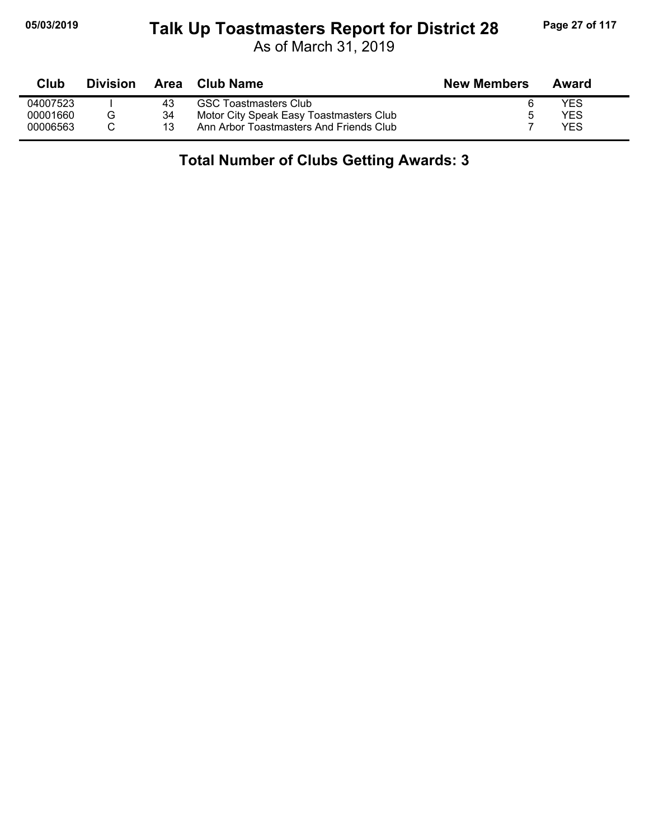#### **05/03/2019 Page 27 of 117 Talk Up Toastmasters Report for District 28**

As of March 31, 2019

| Club     | <b>Division</b> |    | Area Club Name                          | <b>New Members</b> | Award |
|----------|-----------------|----|-----------------------------------------|--------------------|-------|
| 04007523 |                 | 43 | <b>GSC Toastmasters Club</b>            |                    | YES   |
| 00001660 | G               | 34 | Motor City Speak Easy Toastmasters Club |                    | YES   |
| 00006563 |                 | 13 | Ann Arbor Toastmasters And Friends Club |                    | YFS   |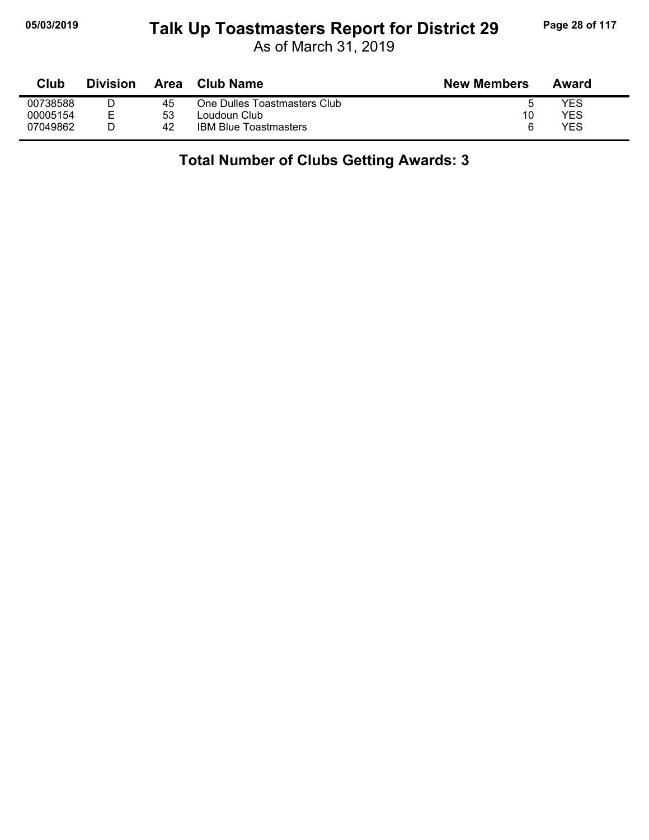### **05/03/2019 Page 28 of 117 Talk Up Toastmasters Report for District 29**

As of March 31, 2019

| Club     | Division | Area | Club Name                    | <b>New Members</b> | Award |
|----------|----------|------|------------------------------|--------------------|-------|
| 00738588 |          | 45   | One Dulles Toastmasters Club |                    | YES   |
| 00005154 |          | 53   | Loudoun Club                 | 10                 | YES   |
| 07049862 |          | 42   | <b>IBM Blue Toastmasters</b> | ี                  | YES   |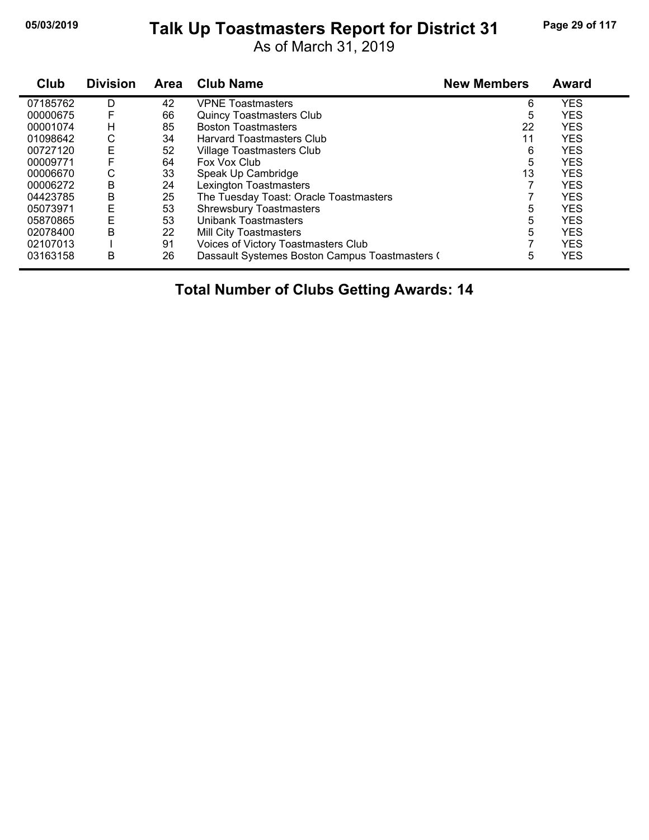## **05/03/2019 Page 29 of 117 Talk Up Toastmasters Report for District 31**

As of March 31, 2019

| Club     | <b>Division</b> | <b>Area</b> | <b>Club Name</b>                               | <b>New Members</b> | <b>Award</b> |
|----------|-----------------|-------------|------------------------------------------------|--------------------|--------------|
| 07185762 | D               | 42          | <b>VPNE</b> Toastmasters                       | 6                  | <b>YES</b>   |
| 00000675 |                 | 66          | <b>Quincy Toastmasters Club</b>                | 5                  | <b>YES</b>   |
| 00001074 | н               | 85          | <b>Boston Toastmasters</b>                     | 22                 | <b>YES</b>   |
| 01098642 | С               | 34          | <b>Harvard Toastmasters Club</b>               | 11                 | <b>YES</b>   |
| 00727120 | E               | 52          | Village Toastmasters Club                      | 6                  | <b>YES</b>   |
| 00009771 |                 | 64          | Fox Vox Club                                   | 5                  | <b>YES</b>   |
| 00006670 | С               | 33          | Speak Up Cambridge                             | 13                 | <b>YES</b>   |
| 00006272 | B               | 24          | <b>Lexington Toastmasters</b>                  |                    | <b>YES</b>   |
| 04423785 | В               | 25          | The Tuesday Toast: Oracle Toastmasters         |                    | <b>YES</b>   |
| 05073971 | Ε               | 53          | <b>Shrewsbury Toastmasters</b>                 | 5                  | <b>YES</b>   |
| 05870865 | E               | 53          | <b>Unibank Toastmasters</b>                    | 5                  | <b>YES</b>   |
| 02078400 | В               | 22          | Mill City Toastmasters                         | 5                  | <b>YES</b>   |
| 02107013 |                 | 91          | Voices of Victory Toastmasters Club            |                    | <b>YES</b>   |
| 03163158 | B               | 26          | Dassault Systemes Boston Campus Toastmasters ( | 5                  | <b>YES</b>   |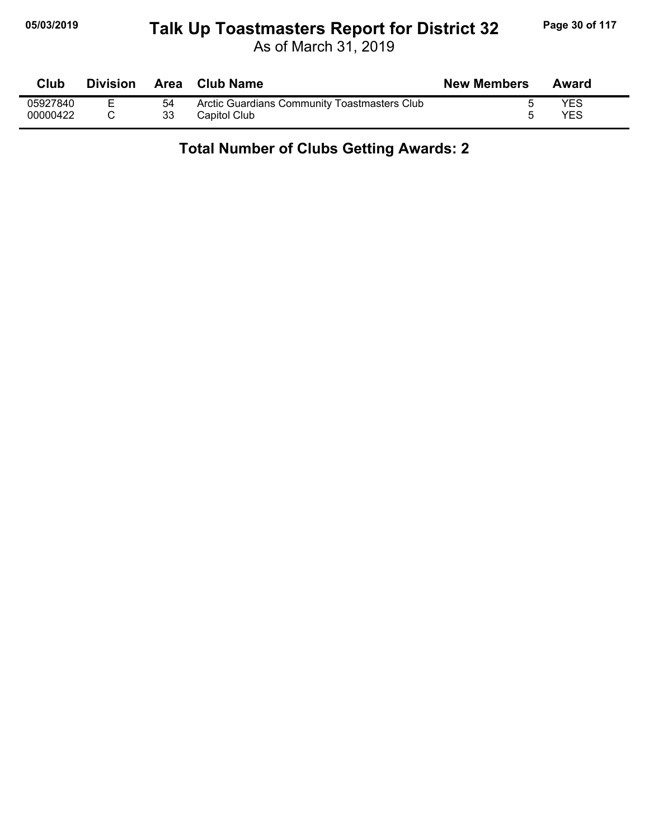#### **05/03/2019 Page 30 of 117 Talk Up Toastmasters Report for District 32**

As of March 31, 2019

| Club     | <b>Division</b> |    | Area Club Name                               | <b>New Members</b> | Award      |
|----------|-----------------|----|----------------------------------------------|--------------------|------------|
| 05927840 |                 | 54 | Arctic Guardians Community Toastmasters Club |                    | <b>YES</b> |
| 00000422 |                 | 33 | Capitol Club                                 |                    | YES        |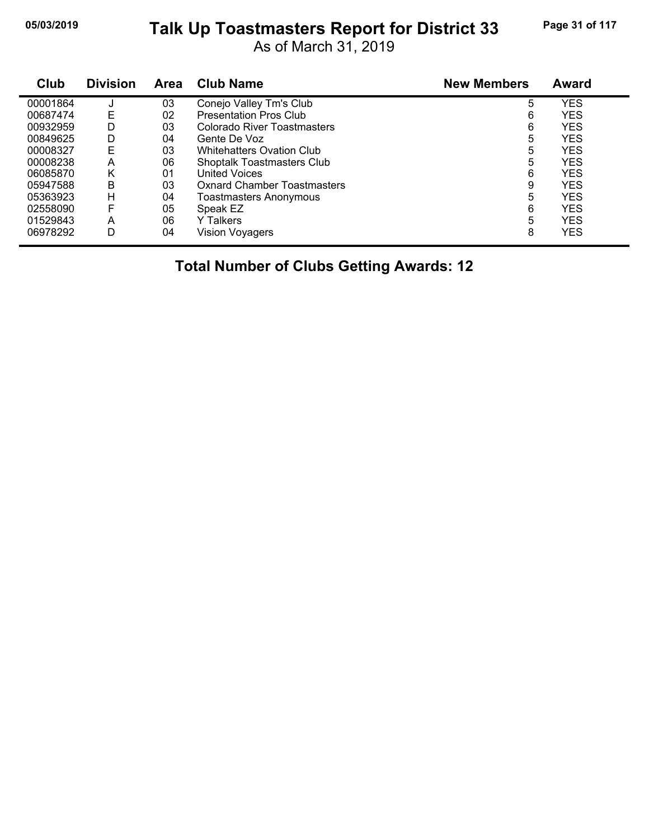## **05/03/2019 Page 31 of 117 Talk Up Toastmasters Report for District 33**

As of March 31, 2019

| Club     | <b>Division</b> | <b>Area</b> | <b>Club Name</b>                   | <b>New Members</b> | <b>Award</b> |
|----------|-----------------|-------------|------------------------------------|--------------------|--------------|
| 00001864 |                 | 03          | Conejo Valley Tm's Club            | 5                  | <b>YES</b>   |
| 00687474 | E               | 02          | <b>Presentation Pros Club</b>      | 6                  | <b>YES</b>   |
| 00932959 | D               | 03          | Colorado River Toastmasters        | 6                  | <b>YES</b>   |
| 00849625 | D               | 04          | Gente De Voz                       | 5                  | <b>YES</b>   |
| 00008327 | E               | 03          | <b>Whitehatters Ovation Club</b>   | 5                  | <b>YES</b>   |
| 00008238 | А               | 06          | <b>Shoptalk Toastmasters Club</b>  | 5                  | <b>YES</b>   |
| 06085870 | Κ               | 01          | <b>United Voices</b>               | 6                  | <b>YES</b>   |
| 05947588 | B               | 03          | <b>Oxnard Chamber Toastmasters</b> | 9                  | YES          |
| 05363923 | н               | 04          | Toastmasters Anonymous             | 5                  | <b>YES</b>   |
| 02558090 | F               | 05          | Speak EZ                           | 6                  | <b>YES</b>   |
| 01529843 | A               | 06          | <b>Y</b> Talkers                   | 5                  | <b>YES</b>   |
| 06978292 | D               | 04          | Vision Voyagers                    | 8                  | <b>YES</b>   |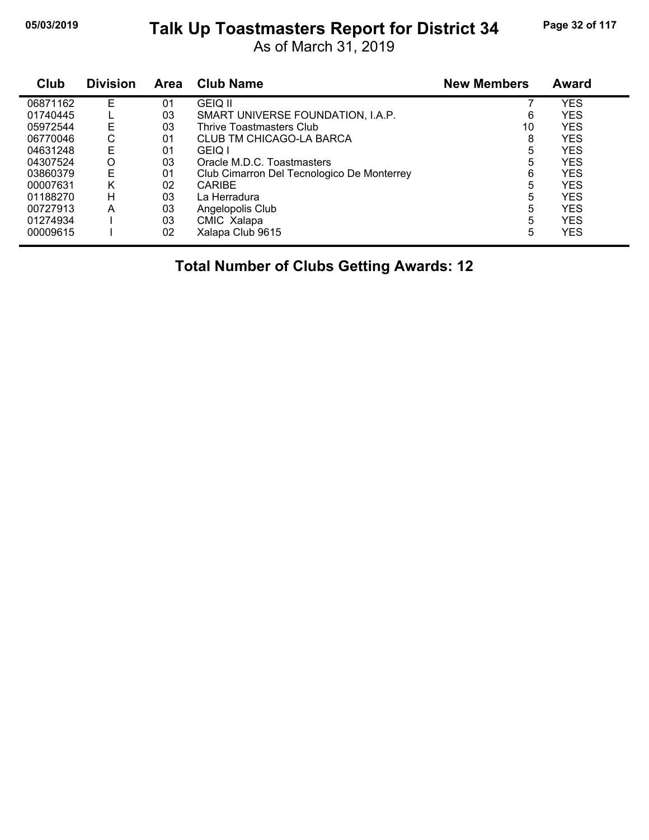## **05/03/2019 Page 32 of 117 Talk Up Toastmasters Report for District 34**

As of March 31, 2019

| Club     | <b>Division</b> | Area | <b>Club Name</b>                           | <b>New Members</b> | Award      |
|----------|-----------------|------|--------------------------------------------|--------------------|------------|
| 06871162 | E               | 01   | <b>GEIO II</b>                             |                    | <b>YES</b> |
| 01740445 |                 | 03   | SMART UNIVERSE FOUNDATION, I.A.P.          | 6                  | <b>YES</b> |
| 05972544 | Ε               | 03   | Thrive Toastmasters Club                   | 10                 | <b>YES</b> |
| 06770046 | С               | 01   | CLUB TM CHICAGO-LA BARCA                   | 8                  | <b>YES</b> |
| 04631248 | E               | 01   | <b>GEIO I</b>                              | 5                  | <b>YES</b> |
| 04307524 | O               | 03   | Oracle M.D.C. Toastmasters                 | 5                  | <b>YES</b> |
| 03860379 | E               | 01   | Club Cimarron Del Tecnologico De Monterrey | 6                  | <b>YES</b> |
| 00007631 | Κ               | 02   | <b>CARIBE</b>                              | 5                  | <b>YES</b> |
| 01188270 | н               | 03   | La Herradura                               | 5                  | <b>YES</b> |
| 00727913 | A               | 03   | Angelopolis Club                           | 5                  | <b>YES</b> |
| 01274934 |                 | 03   | CMIC Xalapa                                | 5                  | <b>YES</b> |
| 00009615 |                 | 02   | Xalapa Club 9615                           | 5                  | <b>YES</b> |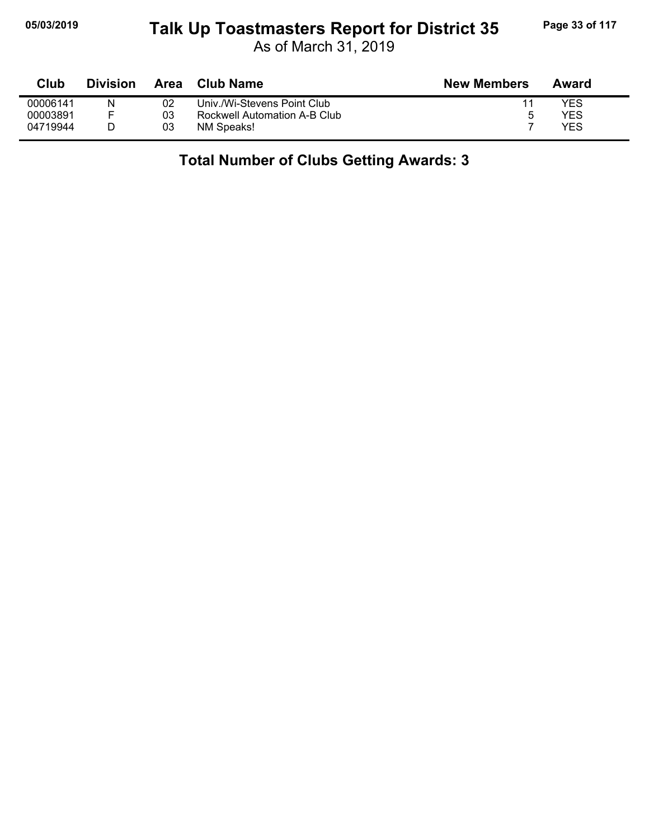## **05/03/2019 Page 33 of 117 Talk Up Toastmasters Report for District 35**

As of March 31, 2019

| Club     | <b>Division</b> | Area | <b>Club Name</b>             | <b>New Members</b> | Award |
|----------|-----------------|------|------------------------------|--------------------|-------|
| 00006141 | N               | 02   | Univ./Wi-Stevens Point Club_ |                    | YES   |
| 00003891 |                 | 03   | Rockwell Automation A-B Club | 5                  | YES   |
| 04719944 |                 | 03   | NM Speaks!                   |                    | YES   |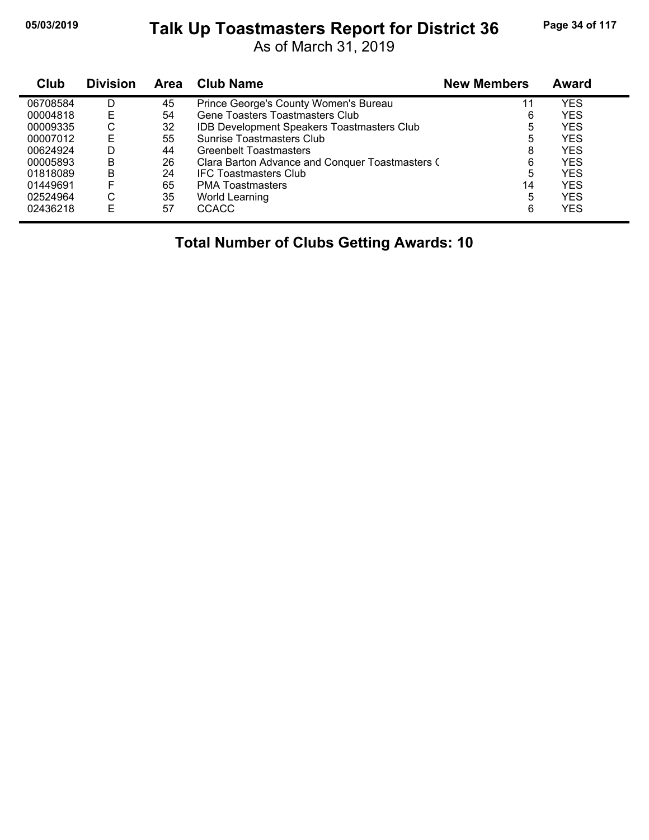#### **05/03/2019 Page 34 of 117 Talk Up Toastmasters Report for District 36**

As of March 31, 2019

| Club     | <b>Division</b> | Area | <b>Club Name</b>                                  | <b>New Members</b> | Award      |  |
|----------|-----------------|------|---------------------------------------------------|--------------------|------------|--|
| 06708584 | D               | 45   | Prince George's County Women's Bureau             | 11                 | YES        |  |
| 00004818 | Е               | 54   | Gene Toasters Toastmasters Club                   | 6                  | <b>YES</b> |  |
| 00009335 | С               | 32   | <b>IDB Development Speakers Toastmasters Club</b> | 5                  | <b>YES</b> |  |
| 00007012 | Е               | 55   | Sunrise Toastmasters Club                         | 5                  | <b>YES</b> |  |
| 00624924 | D               | 44   | <b>Greenbelt Toastmasters</b>                     | 8                  | <b>YES</b> |  |
| 00005893 | B               | 26   | Clara Barton Advance and Conquer Toastmasters (   | 6                  | <b>YES</b> |  |
| 01818089 | В               | 24   | <b>IFC Toastmasters Club</b>                      | 5                  | YES        |  |
| 01449691 | F               | 65   | <b>PMA Toastmasters</b>                           | 14                 | <b>YES</b> |  |
| 02524964 | С               | 35   | World Learning                                    | 5                  | <b>YES</b> |  |
| 02436218 | E               | 57   | <b>CCACC</b>                                      | 6                  | <b>YES</b> |  |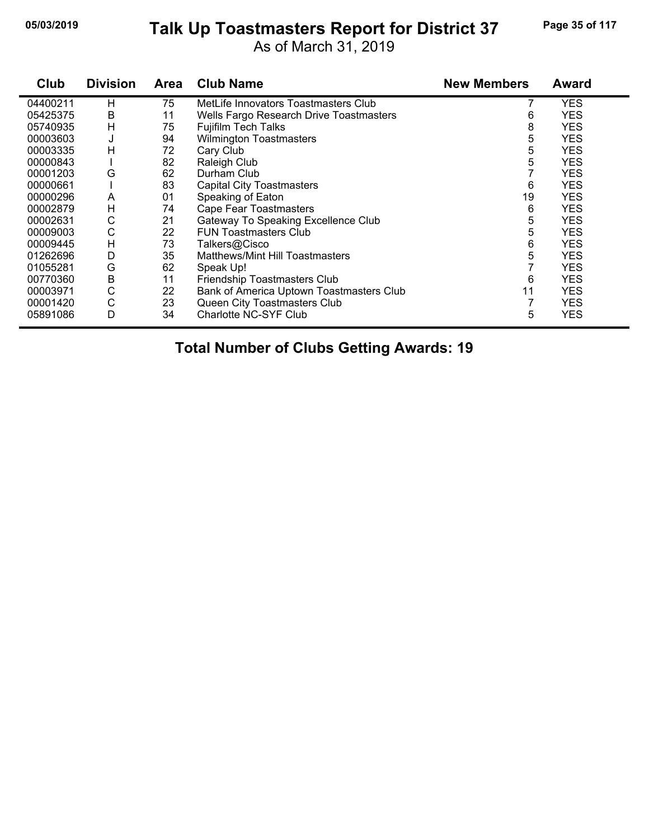#### **05/03/2019 Page 35 of 117 Talk Up Toastmasters Report for District 37**

As of March 31, 2019

| Club     | <b>Division</b> | <b>Area</b> | <b>Club Name</b>                         | <b>New Members</b> | <b>Award</b> |
|----------|-----------------|-------------|------------------------------------------|--------------------|--------------|
| 04400211 | н               | 75          | MetLife Innovators Toastmasters Club     |                    | <b>YES</b>   |
| 05425375 | B               | 11          | Wells Fargo Research Drive Toastmasters  | 6                  | <b>YES</b>   |
| 05740935 | H               | 75          | <b>Fujifilm Tech Talks</b>               | 8                  | <b>YES</b>   |
| 00003603 | J               | 94          | <b>Wilmington Toastmasters</b>           | 5                  | <b>YES</b>   |
| 00003335 | н               | 72          | Cary Club                                | 5                  | <b>YES</b>   |
| 00000843 |                 | 82          | Raleigh Club                             | 5                  | <b>YES</b>   |
| 00001203 | G               | 62          | Durham Club                              |                    | <b>YES</b>   |
| 00000661 |                 | 83          | <b>Capital City Toastmasters</b>         | 6                  | <b>YES</b>   |
| 00000296 | A               | 01          | Speaking of Eaton                        | 19                 | <b>YES</b>   |
| 00002879 | H               | 74          | <b>Cape Fear Toastmasters</b>            | 6                  | <b>YES</b>   |
| 00002631 | C               | 21          | Gateway To Speaking Excellence Club      | 5                  | <b>YES</b>   |
| 00009003 | C               | 22          | <b>FUN Toastmasters Club</b>             | 5                  | <b>YES</b>   |
| 00009445 | H               | 73          | Talkers@Cisco                            | 6                  | <b>YES</b>   |
| 01262696 | D               | 35          | Matthews/Mint Hill Toastmasters          | 5                  | <b>YES</b>   |
| 01055281 | G               | 62          | Speak Up!                                | 7                  | <b>YES</b>   |
| 00770360 | B               | 11          | Friendship Toastmasters Club             | 6                  | <b>YES</b>   |
| 00003971 | C               | 22          | Bank of America Uptown Toastmasters Club | 11                 | <b>YES</b>   |
| 00001420 | C               | 23          | Queen City Toastmasters Club             |                    | <b>YES</b>   |
| 05891086 | D               | 34          | Charlotte NC-SYF Club                    | 5                  | <b>YES</b>   |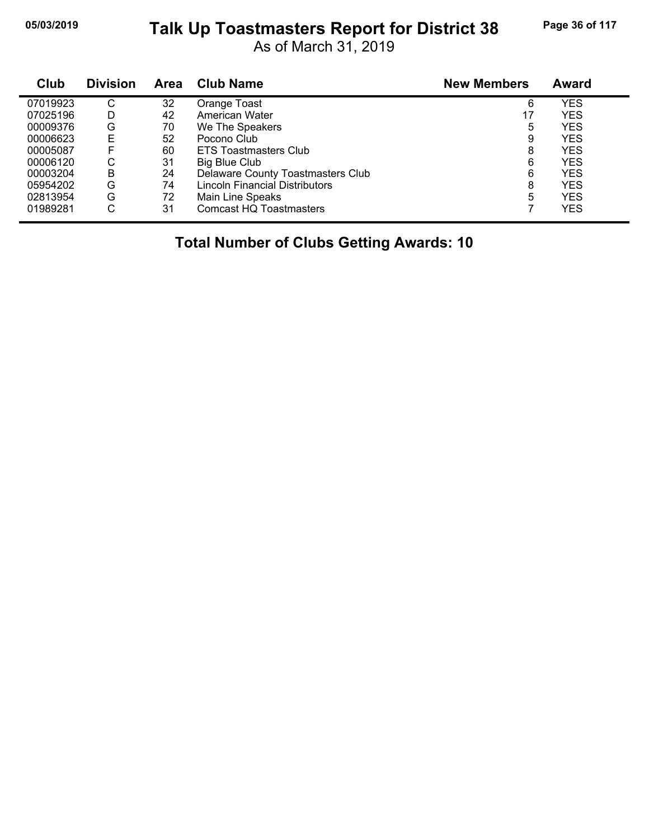## **05/03/2019 Page 36 of 117 Talk Up Toastmasters Report for District 38**

As of March 31, 2019

| Club     | <b>Division</b> | Area | <b>Club Name</b>                  | <b>New Members</b> | <b>Award</b> |  |
|----------|-----------------|------|-----------------------------------|--------------------|--------------|--|
| 07019923 | С               | 32   | Orange Toast                      | 6                  | <b>YES</b>   |  |
| 07025196 | D               | 42   | American Water                    | 17                 | <b>YES</b>   |  |
| 00009376 | G               | 70   | We The Speakers                   | 5                  | <b>YES</b>   |  |
| 00006623 | E               | 52   | Pocono Club                       | 9                  | <b>YES</b>   |  |
| 00005087 | F               | 60   | ETS Toastmasters Club             | 8                  | <b>YES</b>   |  |
| 00006120 | С               | 31   | <b>Big Blue Club</b>              | 6                  | <b>YES</b>   |  |
| 00003204 | B               | 24   | Delaware County Toastmasters Club | 6                  | <b>YES</b>   |  |
| 05954202 | G               | 74   | Lincoln Financial Distributors    | 8                  | <b>YES</b>   |  |
| 02813954 | G               | 72   | Main Line Speaks                  | 5                  | <b>YES</b>   |  |
| 01989281 | С               | 31   | <b>Comcast HQ Toastmasters</b>    |                    | <b>YES</b>   |  |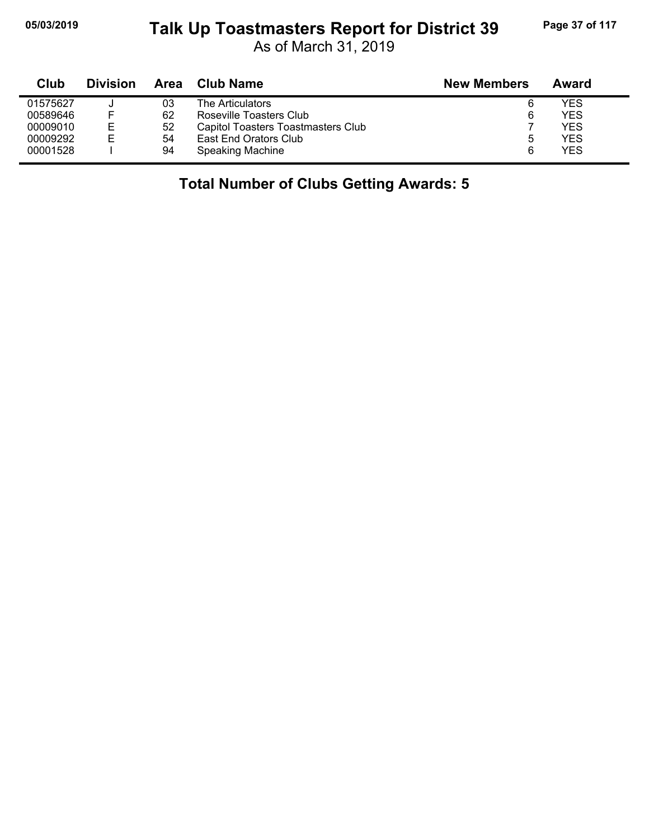# **05/03/2019 Page 37 of 117 Talk Up Toastmasters Report for District 39**

As of March 31, 2019

| Club     | <b>Division</b> | Area | <b>Club Name</b>                   | <b>New Members</b> | Award |
|----------|-----------------|------|------------------------------------|--------------------|-------|
| 01575627 |                 | 03   | The Articulators                   | 6                  | YES   |
| 00589646 | F               | 62   | Roseville Toasters Club            | 6                  | YES   |
| 00009010 | Е               | 52   | Capitol Toasters Toastmasters Club |                    | YES   |
| 00009292 | E               | 54   | East End Orators Club              | b                  | YES   |
| 00001528 |                 | 94   | Speaking Machine                   | 6                  | YES   |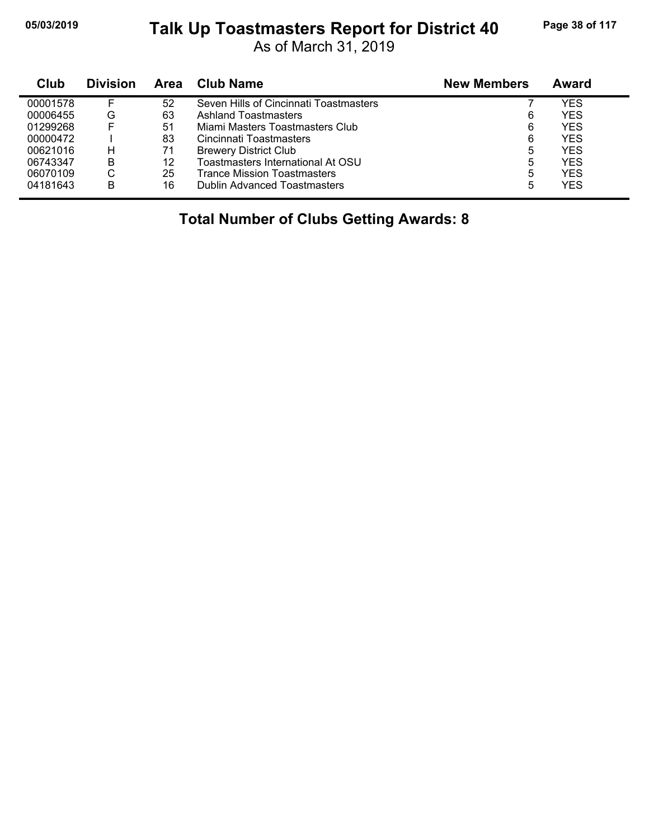#### **05/03/2019 Page 38 of 117 Talk Up Toastmasters Report for District 40**

As of March 31, 2019

| Club     | <b>Division</b> | Area | Club Name                              | <b>New Members</b> | Award |
|----------|-----------------|------|----------------------------------------|--------------------|-------|
| 00001578 |                 | 52   | Seven Hills of Cincinnati Toastmasters |                    | YES   |
| 00006455 | G               | 63   | <b>Ashland Toastmasters</b>            | 6                  | YES   |
| 01299268 |                 | 51   | Miami Masters Toastmasters Club        | 6                  | YES   |
| 00000472 |                 | 83   | Cincinnati Toastmasters                | 6                  | YES   |
| 00621016 | H               | 71   | <b>Brewery District Club</b>           | 5                  | YES   |
| 06743347 | в               | 12   | Toastmasters International At OSU      | 5                  | YES   |
| 06070109 | С               | 25   | <b>Trance Mission Toastmasters</b>     | 5                  | YES   |
| 04181643 | B               | 16   | <b>Dublin Advanced Toastmasters</b>    | 5                  | YES   |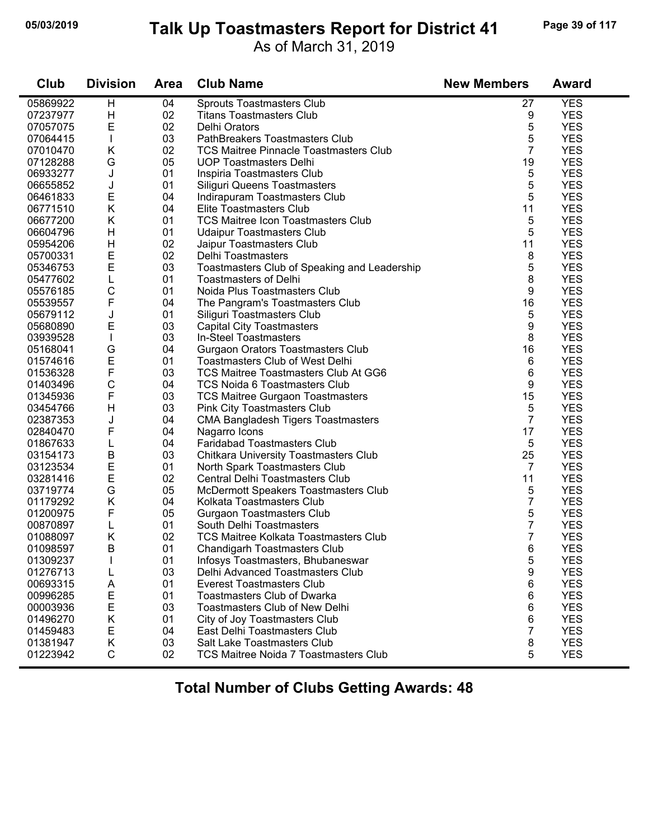#### **05/03/2019 Page 39 of 117 Talk Up Toastmasters Report for District 41**

As of March 31, 2019

| Club     | <b>Division</b> | <b>Area</b> | <b>Club Name</b>                              | <b>New Members</b> | <b>Award</b> |
|----------|-----------------|-------------|-----------------------------------------------|--------------------|--------------|
| 05869922 | H               | 04          | Sprouts Toastmasters Club                     | 27                 | <b>YES</b>   |
| 07237977 | H               | 02          | <b>Titans Toastmasters Club</b>               | 9                  | <b>YES</b>   |
| 07057075 | $\mathsf E$     | 02          | Delhi Orators                                 | 5                  | <b>YES</b>   |
| 07064415 | $\mathbf{I}$    | 03          | PathBreakers Toastmasters Club                | 5                  | <b>YES</b>   |
| 07010470 | K               | 02          | <b>TCS Maitree Pinnacle Toastmasters Club</b> | $\overline{7}$     | <b>YES</b>   |
| 07128288 | G               | 05          | <b>UOP Toastmasters Delhi</b>                 | 19                 | <b>YES</b>   |
| 06933277 | J               | 01          | Inspiria Toastmasters Club                    | 5                  | <b>YES</b>   |
| 06655852 | J               | 01          | Siliguri Queens Toastmasters                  | 5                  | <b>YES</b>   |
| 06461833 | E               | 04          | Indirapuram Toastmasters Club                 | 5                  | <b>YES</b>   |
| 06771510 | Κ               | 04          | Elite Toastmasters Club                       | 11                 | <b>YES</b>   |
| 06677200 | K               | 01          | <b>TCS Maitree Icon Toastmasters Club</b>     | 5                  | <b>YES</b>   |
| 06604796 | H               | 01          | <b>Udaipur Toastmasters Club</b>              | 5                  | <b>YES</b>   |
| 05954206 | H               | 02          | Jaipur Toastmasters Club                      | 11                 | <b>YES</b>   |
| 05700331 | $\mathsf E$     | 02          | Delhi Toastmasters                            | 8                  | <b>YES</b>   |
| 05346753 | $\mathsf E$     | 03          | Toastmasters Club of Speaking and Leadership  | 5                  | <b>YES</b>   |
| 05477602 | L               | 01          | <b>Toastmasters of Delhi</b>                  | 8                  | <b>YES</b>   |
| 05576185 | $\mathsf C$     | 01          | Noida Plus Toastmasters Club                  | 9                  | <b>YES</b>   |
| 05539557 | F               | 04          | The Pangram's Toastmasters Club               | 16                 | <b>YES</b>   |
| 05679112 | J               | 01          | Siliguri Toastmasters Club                    | 5                  | <b>YES</b>   |
| 05680890 | E               | 03          | <b>Capital City Toastmasters</b>              | 9                  | <b>YES</b>   |
| 03939528 | $\mathbf{I}$    | 03          | In-Steel Toastmasters                         | 8                  | <b>YES</b>   |
| 05168041 | G               | 04          | Gurgaon Orators Toastmasters Club             | 16                 | <b>YES</b>   |
| 01574616 | E               | 01          | <b>Toastmasters Club of West Delhi</b>        | 6                  | <b>YES</b>   |
| 01536328 | F               | 03          | <b>TCS Maitree Toastmasters Club At GG6</b>   | 6                  | <b>YES</b>   |
| 01403496 | $\mathsf C$     | 04          | <b>TCS Noida 6 Toastmasters Club</b>          | 9                  | <b>YES</b>   |
| 01345936 | F               | 03          | <b>TCS Maitree Gurgaon Toastmasters</b>       | 15                 | <b>YES</b>   |
| 03454766 | H               | 03          | Pink City Toastmasters Club                   | 5                  | <b>YES</b>   |
| 02387353 | J               | 04          | <b>CMA Bangladesh Tigers Toastmasters</b>     | $\overline{7}$     | <b>YES</b>   |
| 02840470 | F               | 04          | Nagarro Icons                                 | 17                 | <b>YES</b>   |
| 01867633 | L               | 04          | <b>Faridabad Toastmasters Club</b>            | 5                  | <b>YES</b>   |
| 03154173 | B               | 03          | <b>Chitkara University Toastmasters Club</b>  | 25                 | <b>YES</b>   |
| 03123534 | E               | 01          | North Spark Toastmasters Club                 | $\overline{7}$     | <b>YES</b>   |
| 03281416 | $\mathsf E$     | 02          | Central Delhi Toastmasters Club               | 11                 | <b>YES</b>   |
| 03719774 | G               | 05          | McDermott Speakers Toastmasters Club          | 5                  | <b>YES</b>   |
| 01179292 | Κ               | 04          | Kolkata Toastmasters Club                     | 7                  | <b>YES</b>   |
| 01200975 | F               | 05          | <b>Gurgaon Toastmasters Club</b>              | 5                  | <b>YES</b>   |
| 00870897 | L               | 01          | South Delhi Toastmasters                      | 7                  | <b>YES</b>   |
| 01088097 | Κ               | 02          | <b>TCS Maitree Kolkata Toastmasters Club</b>  | 7                  | <b>YES</b>   |
| 01098597 | В               | 01          | Chandigarh Toastmasters Club                  | 6                  | <b>YES</b>   |
| 01309237 |                 | 01          | Infosys Toastmasters, Bhubaneswar             | 5                  | <b>YES</b>   |
| 01276713 | L               | 03          | Delhi Advanced Toastmasters Club              | 9                  | <b>YES</b>   |
| 00693315 | A               | 01          | <b>Everest Toastmasters Club</b>              | 6                  | <b>YES</b>   |
| 00996285 | E               | 01          | Toastmasters Club of Dwarka                   | 6                  | <b>YES</b>   |
| 00003936 | E               | 03          | <b>Toastmasters Club of New Delhi</b>         | 6                  | <b>YES</b>   |
| 01496270 | Κ               | 01          | City of Joy Toastmasters Club                 | 6                  | <b>YES</b>   |
| 01459483 | Е               | 04          | East Delhi Toastmasters Club                  | $\overline{7}$     | <b>YES</b>   |
| 01381947 | Κ               | 03          | Salt Lake Toastmasters Club                   | 8                  | <b>YES</b>   |
| 01223942 | $\mathsf C$     | 02          | TCS Maitree Noida 7 Toastmasters Club         | 5                  | <b>YES</b>   |
|          |                 |             |                                               |                    |              |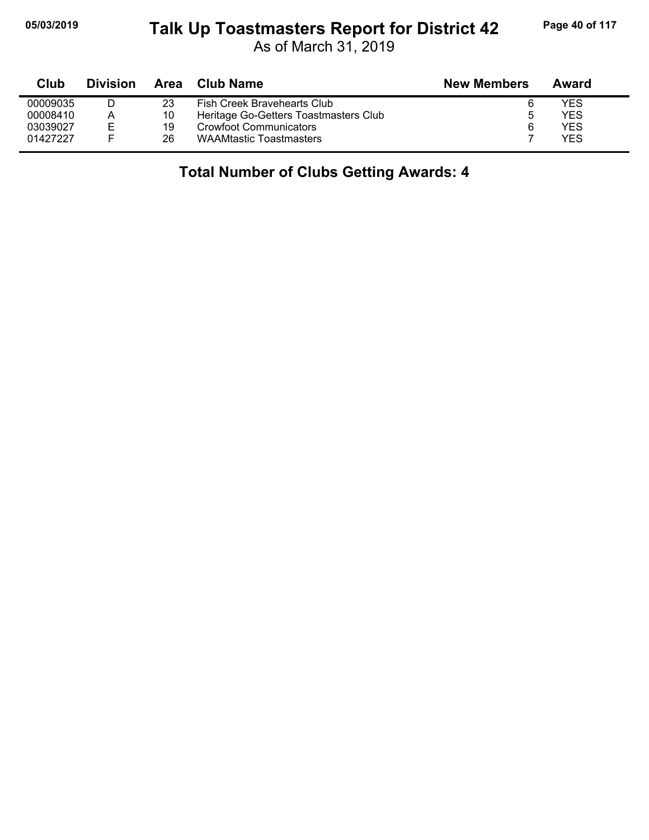#### **05/03/2019 Page 40 of 117 Talk Up Toastmasters Report for District 42**

As of March 31, 2019

| Club     | <b>Division</b> | Area | Club Name                             | <b>New Members</b> | Award |
|----------|-----------------|------|---------------------------------------|--------------------|-------|
| 00009035 |                 | 23   | Fish Creek Bravehearts Club           |                    | YES   |
| 00008410 | A               | 10   | Heritage Go-Getters Toastmasters Club | 5                  | YES   |
| 03039027 | E               | 19   | <b>Crowfoot Communicators</b>         |                    | YES   |
| 01427227 |                 | 26   | <b>WAAMtastic Toastmasters</b>        |                    | YFS   |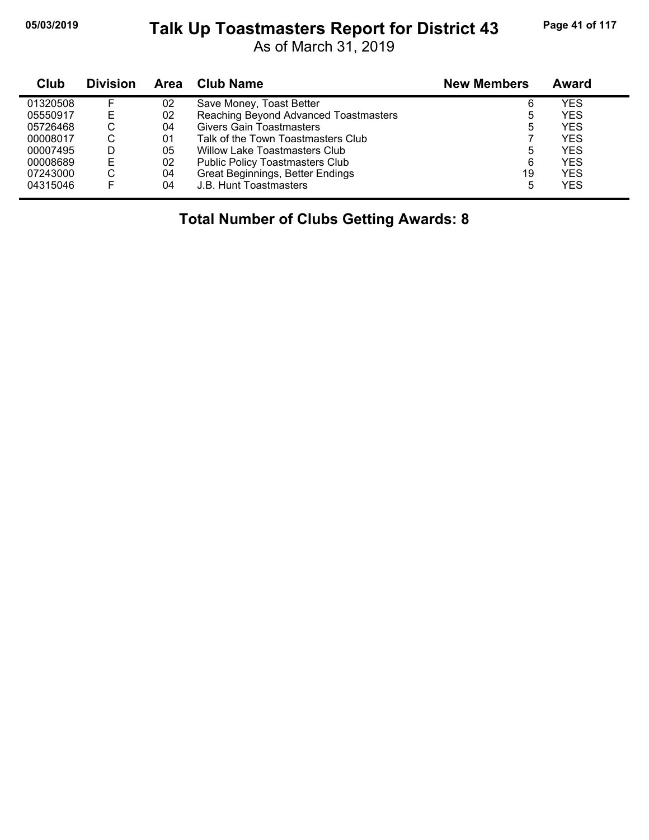#### **05/03/2019 Page 41 of 117 Talk Up Toastmasters Report for District 43**

As of March 31, 2019

| Club     | <b>Division</b> | Area | Club Name                              | <b>New Members</b> | Award |
|----------|-----------------|------|----------------------------------------|--------------------|-------|
| 01320508 |                 | 02   | Save Money, Toast Better               | 6                  | YES   |
| 05550917 | Е               | 02   | Reaching Beyond Advanced Toastmasters  | 5                  | YES   |
| 05726468 | $\sim$<br>◡     | 04   | Givers Gain Toastmasters               | 5                  | YES   |
| 00008017 | C               | 01   | Talk of the Town Toastmasters Club     |                    | YES   |
| 00007495 |                 | 05   | Willow Lake Toastmasters Club          | 5                  | YES   |
| 00008689 | Е               | 02   | <b>Public Policy Toastmasters Club</b> | 6                  | YES   |
| 07243000 | C               | 04   | Great Beginnings, Better Endings       | 19                 | YES   |
| 04315046 |                 | 04   | J.B. Hunt Toastmasters                 | 5                  | YES   |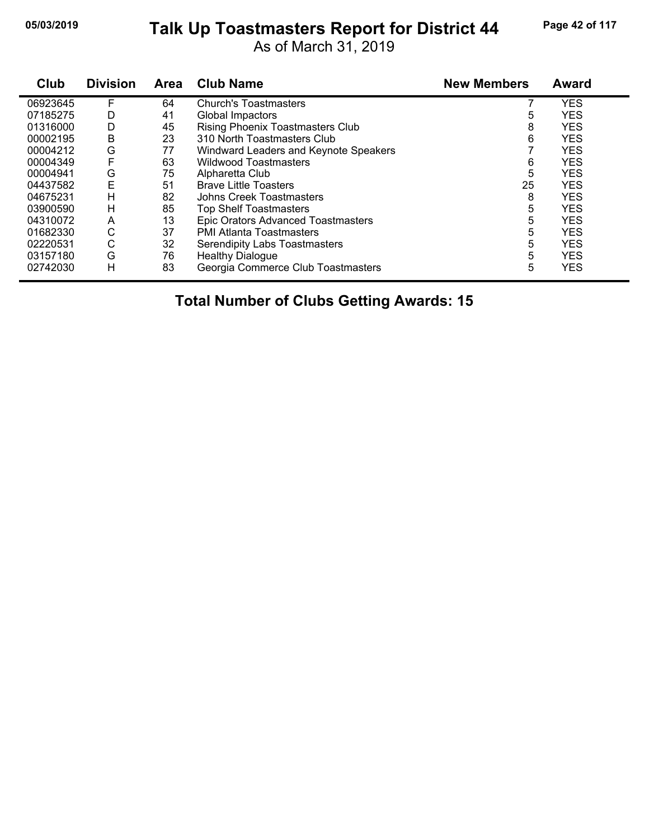# **05/03/2019 Page 42 of 117 Talk Up Toastmasters Report for District 44**

As of March 31, 2019

| Club     | <b>Division</b> | <b>Area</b> | <b>Club Name</b>                          | <b>New Members</b> | <b>Award</b> |
|----------|-----------------|-------------|-------------------------------------------|--------------------|--------------|
| 06923645 | F               | 64          | <b>Church's Toastmasters</b>              |                    | <b>YES</b>   |
| 07185275 | D               | 41          | Global Impactors                          | 5                  | <b>YES</b>   |
| 01316000 | D               | 45          | <b>Rising Phoenix Toastmasters Club</b>   | 8                  | <b>YES</b>   |
| 00002195 | B               | 23          | 310 North Toastmasters Club               | 6                  | <b>YES</b>   |
| 00004212 | G               | 77          | Windward Leaders and Keynote Speakers     |                    | <b>YES</b>   |
| 00004349 | F               | 63          | <b>Wildwood Toastmasters</b>              | 6                  | <b>YES</b>   |
| 00004941 | G               | 75          | Alpharetta Club                           | 5                  | <b>YES</b>   |
| 04437582 | E               | 51          | <b>Brave Little Toasters</b>              | 25                 | <b>YES</b>   |
| 04675231 | н               | 82          | Johns Creek Toastmasters                  | 8                  | <b>YES</b>   |
| 03900590 | н               | 85          | <b>Top Shelf Toastmasters</b>             | 5                  | <b>YES</b>   |
| 04310072 | A               | 13          | <b>Epic Orators Advanced Toastmasters</b> | 5                  | <b>YES</b>   |
| 01682330 | С               | 37          | <b>PMI Atlanta Toastmasters</b>           | 5                  | <b>YES</b>   |
| 02220531 | С               | 32          | Serendipity Labs Toastmasters             | 5                  | <b>YES</b>   |
| 03157180 | G               | 76          | <b>Healthy Dialogue</b>                   | 5                  | <b>YES</b>   |
| 02742030 | Н               | 83          | Georgia Commerce Club Toastmasters        | 5                  | <b>YES</b>   |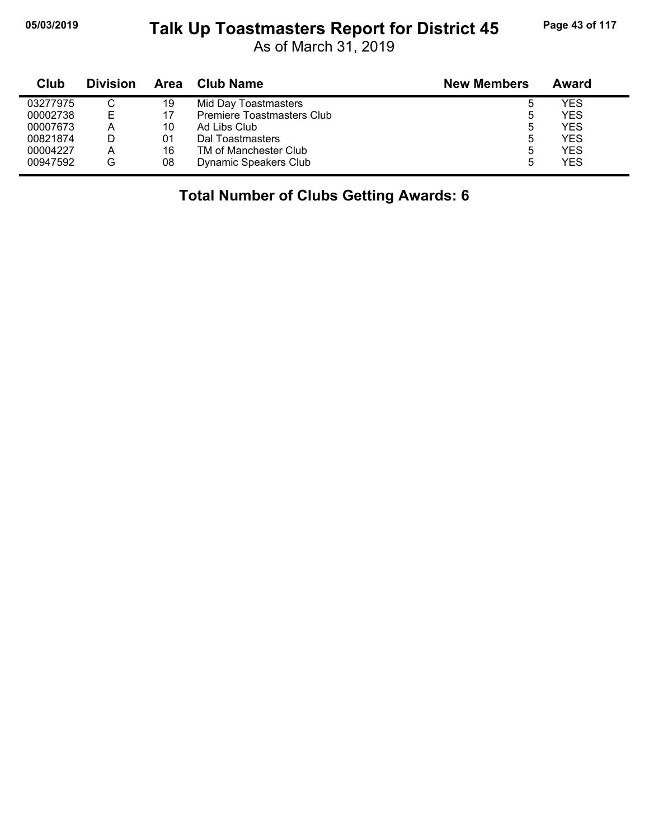#### **05/03/2019 Page 43 of 117 Talk Up Toastmasters Report for District 45**

As of March 31, 2019

| Club     | <b>Division</b> | Area | Club Name                  | <b>New Members</b> | Award |
|----------|-----------------|------|----------------------------|--------------------|-------|
| 03277975 | ◡               | 19   | Mid Day Toastmasters       | 5                  | YES   |
| 00002738 | Ε               | 17   | Premiere Toastmasters Club | 5                  | YES.  |
| 00007673 | А               | 10   | Ad Libs Club               | 5                  | YFS.  |
| 00821874 | D               | 01   | Dal Toastmasters           | 5                  | YES.  |
| 00004227 | А               | 16   | TM of Manchester Club      | 5                  | YFS   |
| 00947592 | G               | 08   | Dynamic Speakers Club      | 5                  | YES   |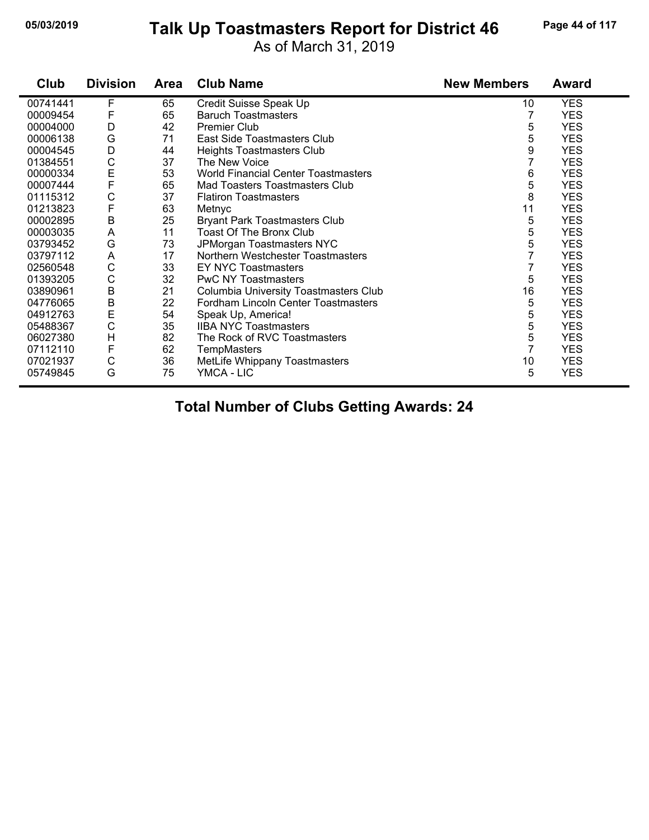# **05/03/2019 Page 44 of 117 Talk Up Toastmasters Report for District 46**

As of March 31, 2019

| Club     | <b>Division</b> | <b>Area</b> | <b>Club Name</b>                           | <b>New Members</b> | <b>Award</b> |
|----------|-----------------|-------------|--------------------------------------------|--------------------|--------------|
| 00741441 | F               | 65          | Credit Suisse Speak Up                     | 10                 | <b>YES</b>   |
| 00009454 | F               | 65          | <b>Baruch Toastmasters</b>                 |                    | <b>YES</b>   |
| 00004000 | D               | 42          | Premier Club                               | 5                  | <b>YES</b>   |
| 00006138 | G               | 71          | East Side Toastmasters Club                | 5                  | <b>YES</b>   |
| 00004545 | D               | 44          | <b>Heights Toastmasters Club</b>           | 9                  | <b>YES</b>   |
| 01384551 | $\mathsf C$     | 37          | The New Voice                              | 7                  | <b>YES</b>   |
| 00000334 | E<br>F          | 53          | <b>World Financial Center Toastmasters</b> | 6                  | <b>YES</b>   |
| 00007444 |                 | 65          | Mad Toasters Toastmasters Club             | 5                  | <b>YES</b>   |
| 01115312 | C               | 37          | <b>Flatiron Toastmasters</b>               | 8                  | <b>YES</b>   |
| 01213823 | F               | 63          | Metnyc                                     | 11                 | <b>YES</b>   |
| 00002895 | B               | 25          | <b>Bryant Park Toastmasters Club</b>       | 5                  | <b>YES</b>   |
| 00003035 | A               | 11          | Toast Of The Bronx Club                    | 5                  | <b>YES</b>   |
| 03793452 | G               | 73          | JPMorgan Toastmasters NYC                  | 5                  | <b>YES</b>   |
| 03797112 | A               | 17          | Northern Westchester Toastmasters          | 7                  | <b>YES</b>   |
| 02560548 | С               | 33          | <b>EY NYC Toastmasters</b>                 | 7                  | <b>YES</b>   |
| 01393205 | C               | 32          | <b>PwC NY Toastmasters</b>                 | 5                  | <b>YES</b>   |
| 03890961 | B               | 21          | Columbia University Toastmasters Club      | 16                 | <b>YES</b>   |
| 04776065 | B               | 22          | Fordham Lincoln Center Toastmasters        | 5                  | <b>YES</b>   |
| 04912763 | E               | 54          | Speak Up, America!                         | 5                  | <b>YES</b>   |
| 05488367 | $\mathsf C$     | 35          | <b>IIBA NYC Toastmasters</b>               | 5                  | <b>YES</b>   |
| 06027380 | Н               | 82          | The Rock of RVC Toastmasters               | 5                  | <b>YES</b>   |
| 07112110 | F               | 62          | <b>TempMasters</b>                         | $\overline{7}$     | <b>YES</b>   |
| 07021937 | C               | 36          | MetLife Whippany Toastmasters              | 10                 | <b>YES</b>   |
| 05749845 | G               | 75          | YMCA - LIC                                 | 5                  | <b>YES</b>   |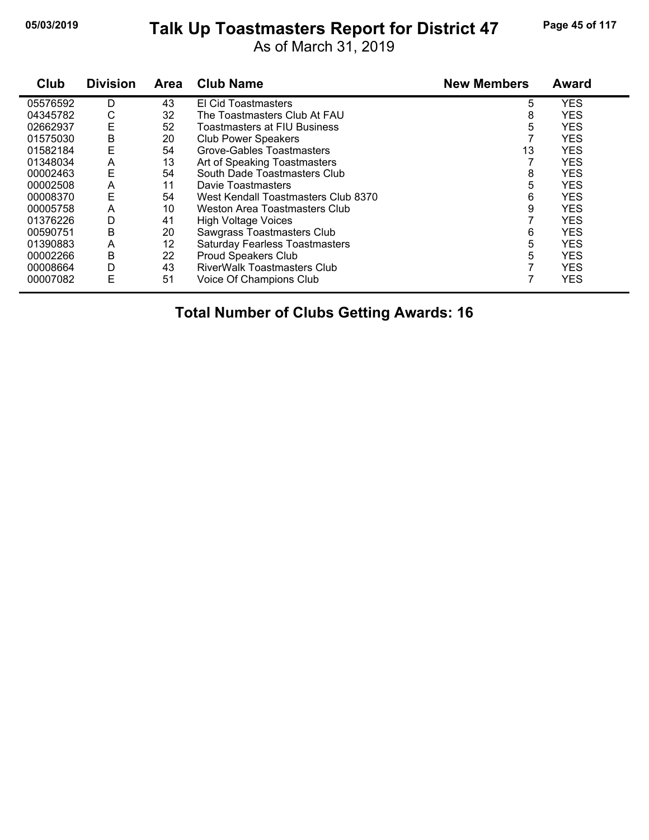# **05/03/2019 Page 45 of 117 Talk Up Toastmasters Report for District 47**

As of March 31, 2019

| Club     | <b>Division</b> | <b>Area</b> | <b>Club Name</b>                      | <b>New Members</b> | <b>Award</b> |
|----------|-----------------|-------------|---------------------------------------|--------------------|--------------|
| 05576592 | D               | 43          | El Cid Toastmasters                   | 5                  | <b>YES</b>   |
| 04345782 | С               | 32          | The Toastmasters Club At FAU          | 8                  | <b>YES</b>   |
| 02662937 | E               | 52          | Toastmasters at FIU Business          | 5                  | <b>YES</b>   |
| 01575030 | B               | 20          | <b>Club Power Speakers</b>            |                    | <b>YES</b>   |
| 01582184 | E               | 54          | Grove-Gables Toastmasters             | 13                 | <b>YES</b>   |
| 01348034 | A               | 13          | Art of Speaking Toastmasters          |                    | <b>YES</b>   |
| 00002463 | E               | 54          | South Dade Toastmasters Club          | 8                  | <b>YES</b>   |
| 00002508 | A               | 11          | Davie Toastmasters                    | 5                  | <b>YES</b>   |
| 00008370 | Ε               | 54          | West Kendall Toastmasters Club 8370   | 6                  | <b>YES</b>   |
| 00005758 | A               | 10          | Weston Area Toastmasters Club         | 9                  | <b>YES</b>   |
| 01376226 | D               | 41          | <b>High Voltage Voices</b>            |                    | <b>YES</b>   |
| 00590751 | Β               | 20          | Sawgrass Toastmasters Club            | 6                  | <b>YES</b>   |
| 01390883 | A               | 12          | <b>Saturday Fearless Toastmasters</b> | 5                  | <b>YES</b>   |
| 00002266 | В               | 22          | Proud Speakers Club                   | 5                  | <b>YES</b>   |
| 00008664 | D               | 43          | RiverWalk Toastmasters Club           |                    | <b>YES</b>   |
| 00007082 | E               | 51          | Voice Of Champions Club               |                    | <b>YES</b>   |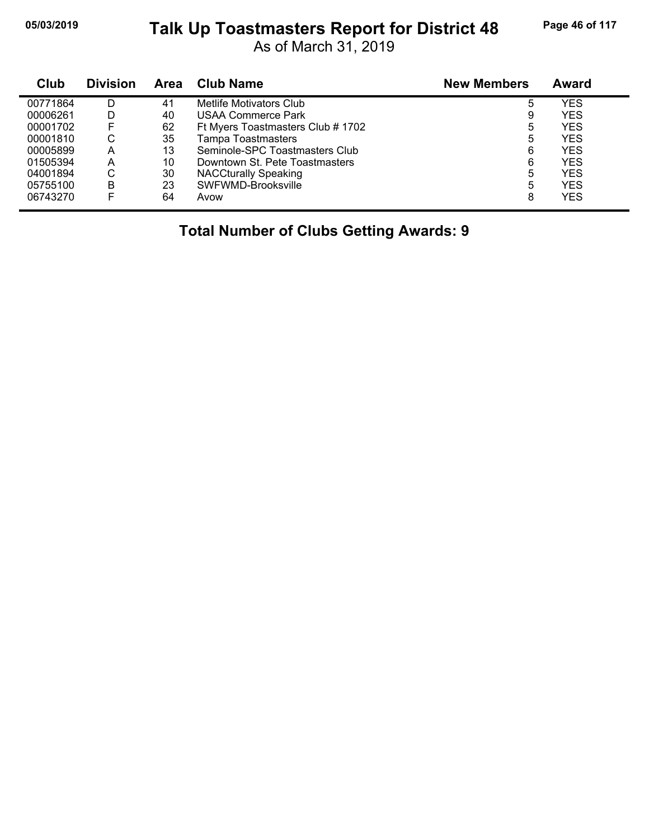# **05/03/2019 Page 46 of 117 Talk Up Toastmasters Report for District 48**

As of March 31, 2019

| Club     | <b>Division</b> | Area | <b>Club Name</b>                  | <b>New Members</b> | Award      |
|----------|-----------------|------|-----------------------------------|--------------------|------------|
| 00771864 | D               | 41   | Metlife Motivators Club           | 5                  | YES        |
| 00006261 | D               | 40   | USAA Commerce Park                | 9                  | <b>YES</b> |
| 00001702 | F               | 62   | Ft Myers Toastmasters Club # 1702 | 5                  | YES        |
| 00001810 | С               | 35   | <b>Tampa Toastmasters</b>         | 5                  | <b>YES</b> |
| 00005899 | А               | 13   | Seminole-SPC Toastmasters Club    | 6                  | <b>YES</b> |
| 01505394 | А               | 10   | Downtown St. Pete Toastmasters    | 6                  | <b>YES</b> |
| 04001894 | С               | 30   | <b>NACCturally Speaking</b>       | 5                  | <b>YES</b> |
| 05755100 | в               | 23   | SWFWMD-Brooksville                | 5                  | <b>YES</b> |
| 06743270 | F               | 64   | Avow                              | 8                  | <b>YES</b> |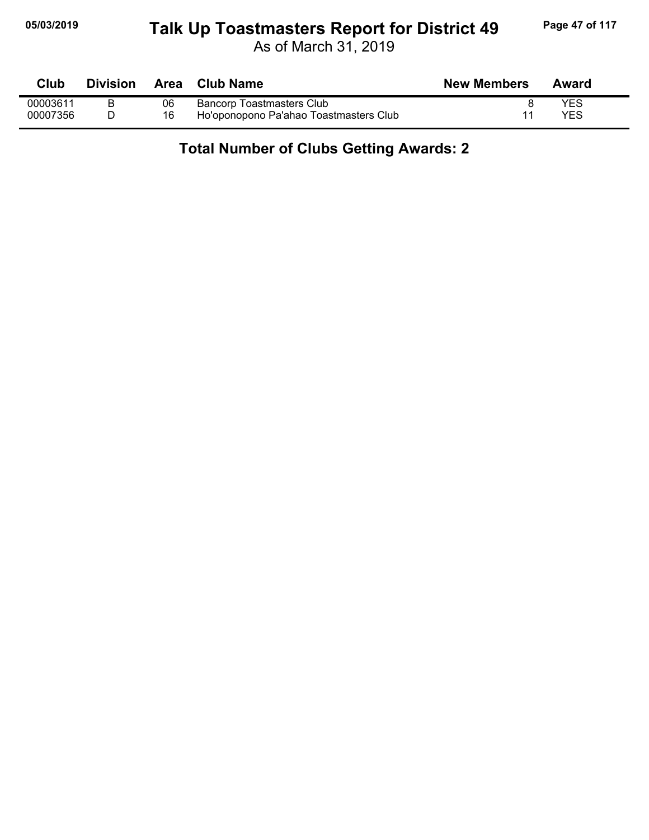#### **05/03/2019 Page 47 of 117 Talk Up Toastmasters Report for District 49**

As of March 31, 2019

| Club     | Division | Area | <b>Club Name</b>                       | <b>New Members</b> | Award      |
|----------|----------|------|----------------------------------------|--------------------|------------|
| 00003611 |          | 06   | Bancorp Toastmasters Club              |                    | <b>YES</b> |
| 00007356 |          | 16   | Ho'oponopono Pa'ahao Toastmasters Club |                    | YES        |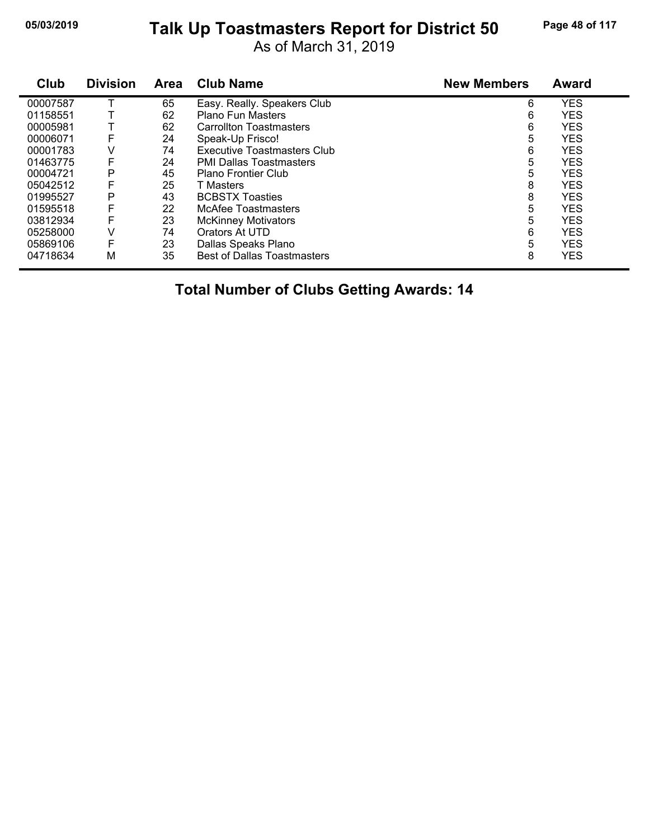# **05/03/2019 Page 48 of 117 Talk Up Toastmasters Report for District 50**

As of March 31, 2019

| Club     | <b>Division</b> | <b>Area</b> | <b>Club Name</b>                   | <b>New Members</b> | <b>Award</b> |
|----------|-----------------|-------------|------------------------------------|--------------------|--------------|
| 00007587 |                 | 65          | Easy. Really. Speakers Club        | 6                  | <b>YES</b>   |
| 01158551 |                 | 62          | <b>Plano Fun Masters</b>           | 6                  | <b>YES</b>   |
| 00005981 |                 | 62          | <b>Carrollton Toastmasters</b>     | 6                  | <b>YES</b>   |
| 00006071 | F               | 24          | Speak-Up Frisco!                   | 5                  | <b>YES</b>   |
| 00001783 | V               | 74          | Executive Toastmasters Club        | 6                  | <b>YES</b>   |
| 01463775 | F               | 24          | <b>PMI Dallas Toastmasters</b>     | 5                  | <b>YES</b>   |
| 00004721 | P               | 45          | <b>Plano Frontier Club</b>         | 5                  | <b>YES</b>   |
| 05042512 |                 | 25          | T Masters                          | 8                  | <b>YES</b>   |
| 01995527 | Р               | 43          | <b>BCBSTX Toasties</b>             | 8                  | <b>YES</b>   |
| 01595518 | F               | 22          | McAfee Toastmasters                | 5                  | <b>YES</b>   |
| 03812934 | F               | 23          | <b>McKinney Motivators</b>         | 5                  | <b>YES</b>   |
| 05258000 | v               | 74          | Orators At UTD                     | 6                  | <b>YES</b>   |
| 05869106 | F               | 23          | Dallas Speaks Plano                | 5                  | <b>YES</b>   |
| 04718634 | М               | 35          | <b>Best of Dallas Toastmasters</b> | 8                  | <b>YES</b>   |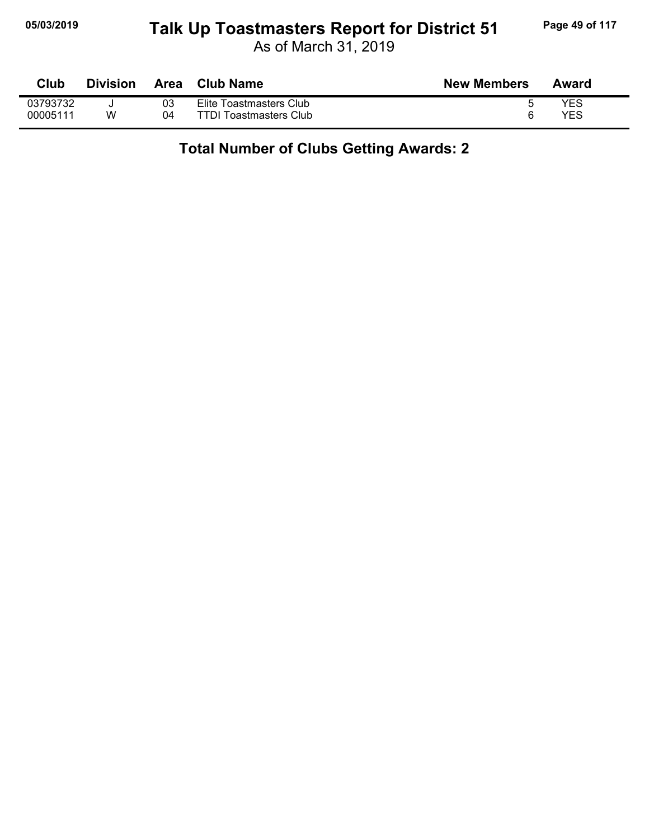#### **05/03/2019 Page 49 of 117 Talk Up Toastmasters Report for District 51**

As of March 31, 2019

| Club     | <b>Division</b> | <b>Area</b> | <b>Club Name</b>              | <b>New Members</b> | Award |
|----------|-----------------|-------------|-------------------------------|--------------------|-------|
| 03793732 |                 | 03          | Elite Toastmasters Club       |                    | YES   |
| 00005111 | w               | 04          | <b>TTDI Toastmasters Club</b> |                    | YES   |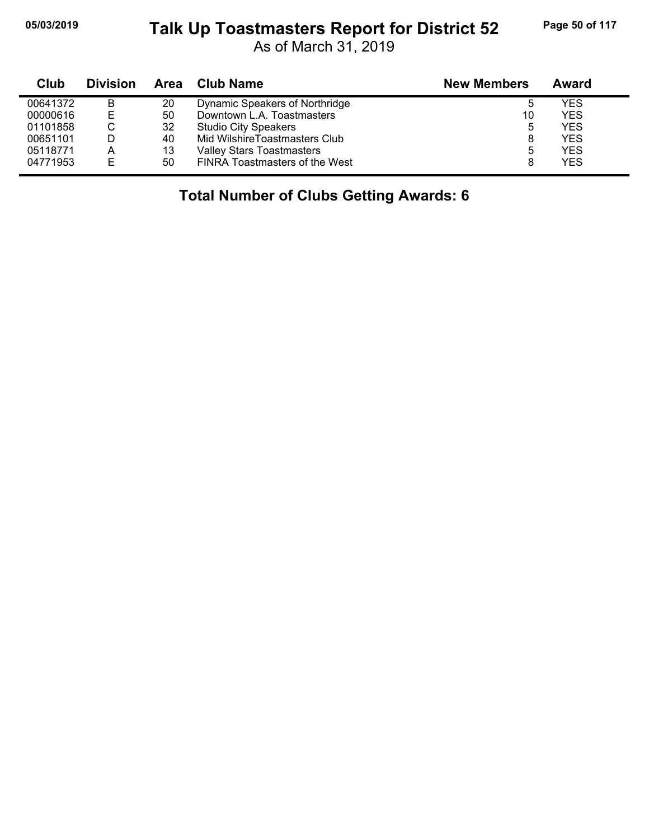#### **05/03/2019 Page 50 of 117 Talk Up Toastmasters Report for District 52**

As of March 31, 2019

| Club     | <b>Division</b> | Area | Club Name                        | <b>New Members</b> | Award |
|----------|-----------------|------|----------------------------------|--------------------|-------|
| 00641372 | B               | 20   | Dynamic Speakers of Northridge   | ხ                  | YES   |
| 00000616 | E               | 50   | Downtown L.A. Toastmasters       | 10                 | YES   |
| 01101858 |                 | 32   | <b>Studio City Speakers</b>      | 5                  | YES   |
| 00651101 |                 | 40   | Mid WilshireToastmasters Club    | 8                  | YES   |
| 05118771 | А               | 13   | <b>Valley Stars Toastmasters</b> | 5                  | YES   |
| 04771953 | E               | 50   | FINRA Toastmasters of the West   | 8                  | YES   |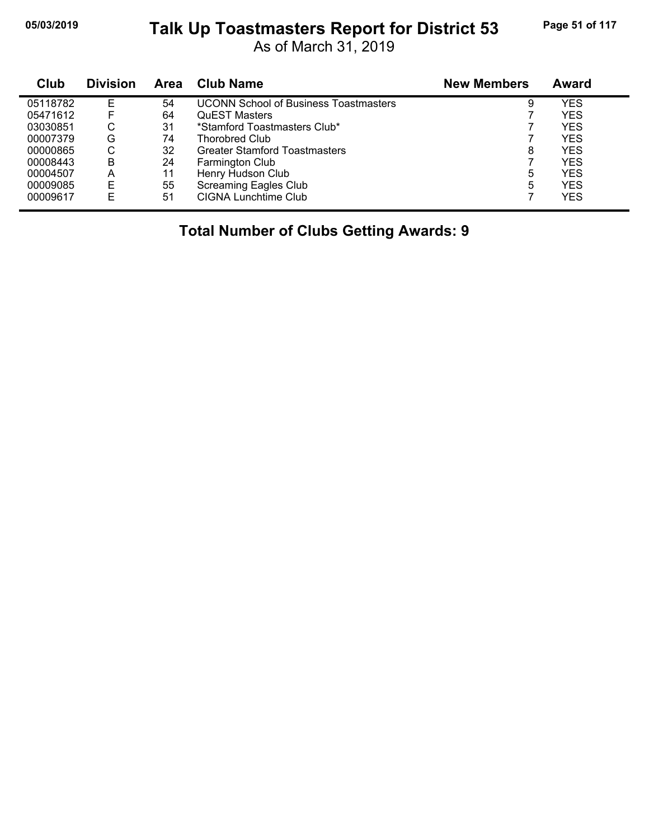# **05/03/2019 Page 51 of 117 Talk Up Toastmasters Report for District 53**

As of March 31, 2019

| <b>Club</b> | <b>Division</b> | <b>Area</b> | <b>Club Name</b>                             | <b>New Members</b> | <b>Award</b> |
|-------------|-----------------|-------------|----------------------------------------------|--------------------|--------------|
| 05118782    | Е               | 54          | <b>UCONN School of Business Toastmasters</b> | 9                  | YES          |
| 05471612    | F               | 64          | <b>QuEST Masters</b>                         |                    | <b>YES</b>   |
| 03030851    | С               | 31          | *Stamford Toastmasters Club*                 |                    | <b>YES</b>   |
| 00007379    | G               | 74          | <b>Thorobred Club</b>                        |                    | <b>YES</b>   |
| 00000865    | С               | 32          | <b>Greater Stamford Toastmasters</b>         | 8                  | <b>YES</b>   |
| 00008443    | B               | 24          | Farmington Club                              |                    | <b>YES</b>   |
| 00004507    | A               | 11          | Henry Hudson Club                            | 5                  | <b>YES</b>   |
| 00009085    | Е               | 55          | <b>Screaming Eagles Club</b>                 | 5                  | <b>YES</b>   |
| 00009617    | Е               | 51          | CIGNA Lunchtime Club                         |                    | <b>YES</b>   |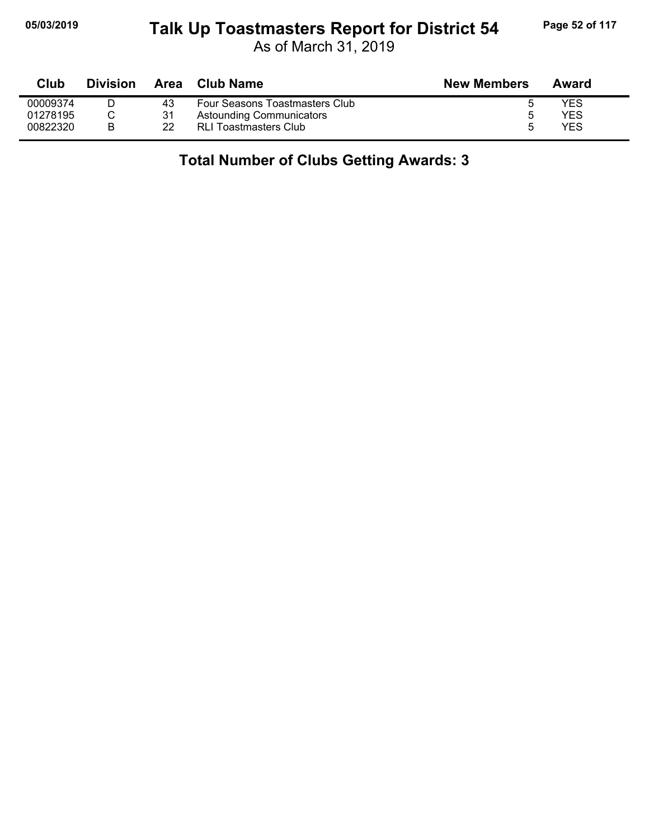#### **05/03/2019 Page 52 of 117 Talk Up Toastmasters Report for District 54**

As of March 31, 2019

| Club     | <b>Division</b> | Area | Club Name                       | <b>New Members</b> | Award |
|----------|-----------------|------|---------------------------------|--------------------|-------|
| 00009374 |                 | 43   | Four Seasons Toastmasters Club  |                    | YES   |
| 01278195 |                 | 31   | <b>Astounding Communicators</b> | b                  | YES   |
| 00822320 |                 | 22   | RLI Toastmasters Club           | 5                  | YES   |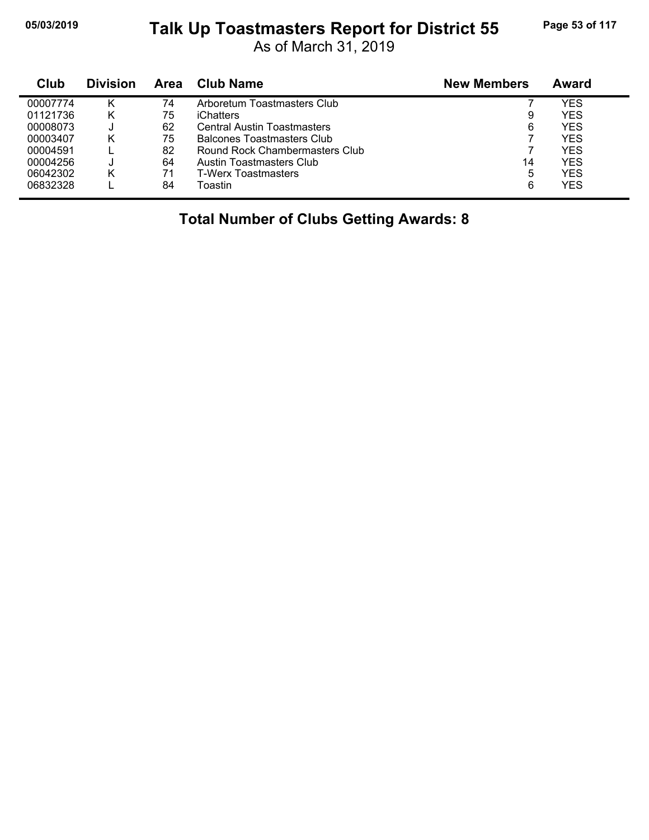#### **05/03/2019 Page 53 of 117 Talk Up Toastmasters Report for District 55**

As of March 31, 2019

| Club     | <b>Division</b> | <b>Area</b> | Club Name                          | <b>New Members</b> | Award |
|----------|-----------------|-------------|------------------------------------|--------------------|-------|
| 00007774 | κ               | 74          | Arboretum Toastmasters Club        |                    | YES   |
| 01121736 | κ               | 75          | iChatters                          | 9                  | YES   |
| 00008073 |                 | 62          | <b>Central Austin Toastmasters</b> | 6                  | YES   |
| 00003407 | κ               | 75          | <b>Balcones Toastmasters Club</b>  |                    | YES   |
| 00004591 |                 | 82          | Round Rock Chambermasters Club     |                    | YES   |
| 00004256 |                 | 64          | Austin Toastmasters Club           | 14                 | YES   |
| 06042302 | κ               | 71          | T-Werx Toastmasters                | 5                  | YES   |
| 06832328 |                 | 84          | Toastin                            | 6                  | YES   |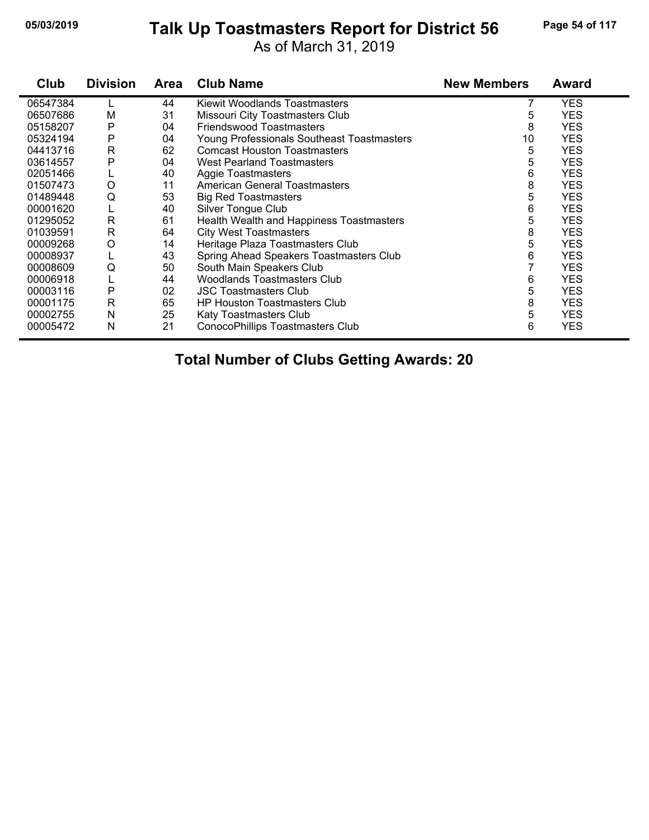# **05/03/2019 Page 54 of 117 Talk Up Toastmasters Report for District 56**

As of March 31, 2019

| Club     | <b>Division</b> | Area | <b>Club Name</b>                           | <b>New Members</b> | Award      |
|----------|-----------------|------|--------------------------------------------|--------------------|------------|
| 06547384 |                 | 44   | Kiewit Woodlands Toastmasters              |                    | <b>YES</b> |
| 06507686 | М               | 31   | Missouri City Toastmasters Club            | 5                  | <b>YES</b> |
| 05158207 | P               | 04   | <b>Friendswood Toastmasters</b>            | 8                  | <b>YES</b> |
| 05324194 | P               | 04   | Young Professionals Southeast Toastmasters | 10                 | <b>YES</b> |
| 04413716 | R               | 62   | <b>Comcast Houston Toastmasters</b>        | 5                  | <b>YES</b> |
| 03614557 | P               | 04   | <b>West Pearland Toastmasters</b>          | 5                  | <b>YES</b> |
| 02051466 | ц               | 40   | <b>Aggie Toastmasters</b>                  | 6                  | <b>YES</b> |
| 01507473 | $\circ$         | 11   | <b>American General Toastmasters</b>       | 8                  | <b>YES</b> |
| 01489448 | Q               | 53   | <b>Big Red Toastmasters</b>                | 5                  | <b>YES</b> |
| 00001620 | L               | 40   | Silver Tongue Club                         | 6                  | <b>YES</b> |
| 01295052 | R               | 61   | Health Wealth and Happiness Toastmasters   | 5                  | <b>YES</b> |
| 01039591 | R               | 64   | <b>City West Toastmasters</b>              | 8                  | <b>YES</b> |
| 00009268 | O               | 14   | Heritage Plaza Toastmasters Club           | 5                  | <b>YES</b> |
| 00008937 |                 | 43   | Spring Ahead Speakers Toastmasters Club    | 6                  | <b>YES</b> |
| 00008609 | Q               | 50   | South Main Speakers Club                   |                    | <b>YES</b> |
| 00006918 |                 | 44   | Woodlands Toastmasters Club                | 6                  | <b>YES</b> |
| 00003116 | P               | 02   | <b>JSC Toastmasters Club</b>               | 5                  | <b>YES</b> |
| 00001175 | $\mathsf{R}$    | 65   | <b>HP Houston Toastmasters Club</b>        | 8                  | <b>YES</b> |
| 00002755 | N               | 25   | Katy Toastmasters Club                     | 5                  | <b>YES</b> |
| 00005472 | N               | 21   | ConocoPhillips Toastmasters Club           | 6                  | <b>YES</b> |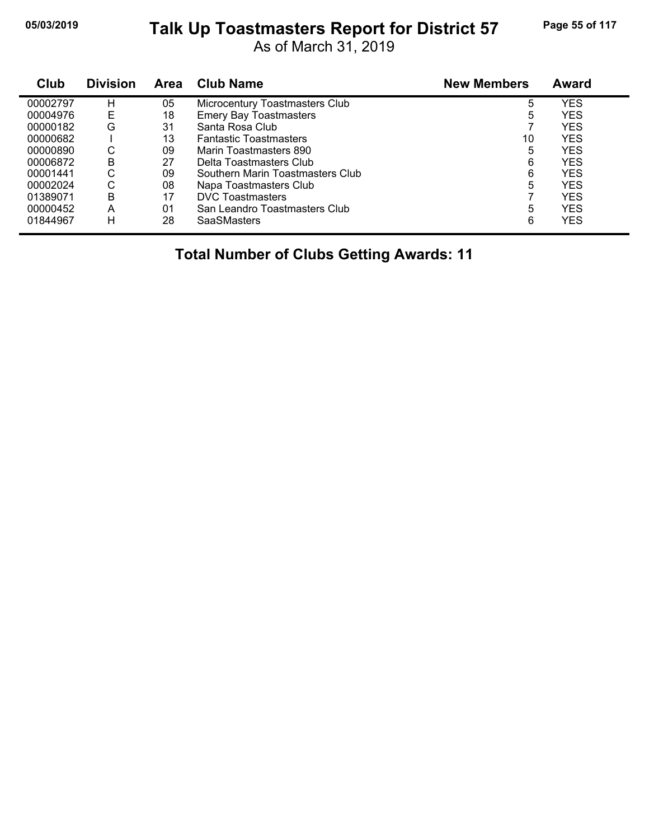# **05/03/2019 Page 55 of 117 Talk Up Toastmasters Report for District 57**

As of March 31, 2019

| Club     | <b>Division</b> | <b>Area</b> | <b>Club Name</b>                 | <b>New Members</b> | <b>Award</b> |
|----------|-----------------|-------------|----------------------------------|--------------------|--------------|
| 00002797 | н               | 05          | Microcentury Toastmasters Club   | 5                  | <b>YES</b>   |
| 00004976 | E               | 18          | <b>Emery Bay Toastmasters</b>    | 5                  | <b>YES</b>   |
| 00000182 | G               | 31          | Santa Rosa Club                  |                    | <b>YES</b>   |
| 00000682 |                 | 13          | <b>Fantastic Toastmasters</b>    | 10                 | <b>YES</b>   |
| 00000890 | С               | 09          | Marin Toastmasters 890           | 5                  | <b>YES</b>   |
| 00006872 | B               | 27          | Delta Toastmasters Club          | 6                  | <b>YES</b>   |
| 00001441 | С               | 09          | Southern Marin Toastmasters Club | 6                  | YES          |
| 00002024 | С               | 08          | Napa Toastmasters Club           | 5                  | <b>YES</b>   |
| 01389071 | В               | 17          | <b>DVC</b> Toastmasters          |                    | YES          |
| 00000452 | A               | 01          | San Leandro Toastmasters Club    | 5                  | <b>YES</b>   |
| 01844967 | н               | 28          | <b>SaaSMasters</b>               | 6                  | <b>YES</b>   |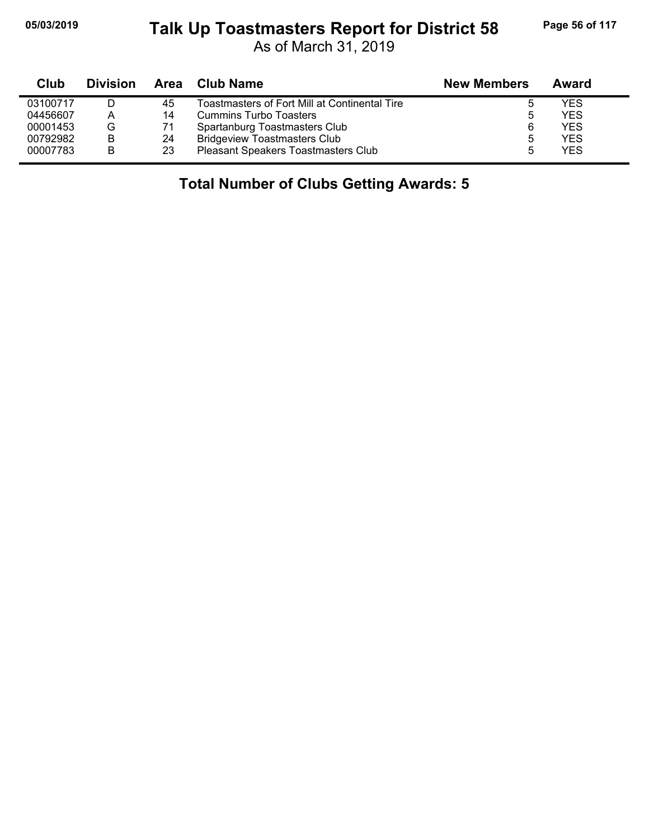# **05/03/2019 Page 56 of 117 Talk Up Toastmasters Report for District 58**

As of March 31, 2019

| Club     | <b>Division</b> | Area | Club Name                                     | <b>New Members</b> | Award      |
|----------|-----------------|------|-----------------------------------------------|--------------------|------------|
| 03100717 |                 | 45   | Toastmasters of Fort Mill at Continental Tire |                    | YES        |
| 04456607 | А               | 14   | Cummins Turbo Toasters                        | ა                  | YES        |
| 00001453 | G               | 71   | Spartanburg Toastmasters Club                 | 6                  | <b>YES</b> |
| 00792982 | в               | 24   | <b>Bridgeview Toastmasters Club</b>           | ხ                  | YES        |
| 00007783 | В               | 23   | <b>Pleasant Speakers Toastmasters Club</b>    | 5                  | YES        |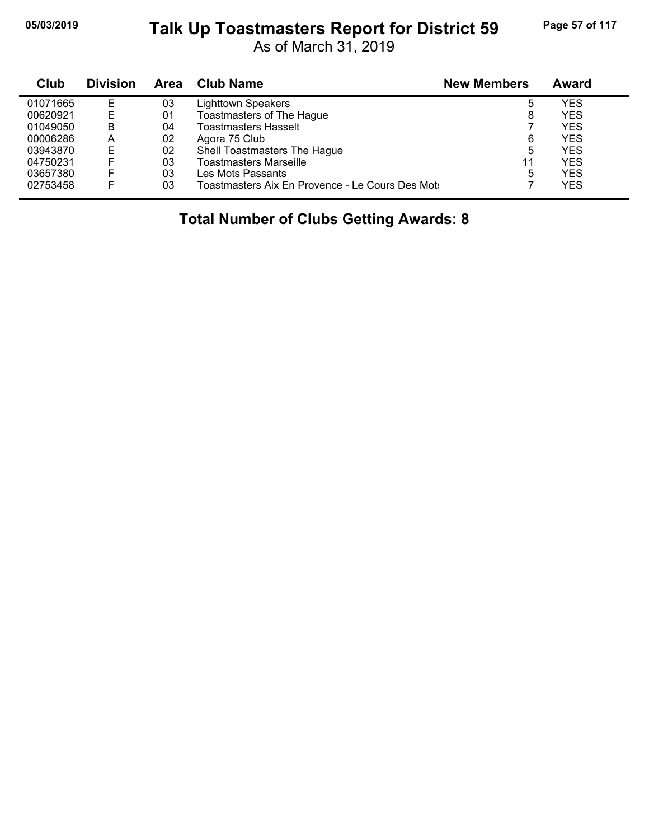#### **05/03/2019 Page 57 of 117 Talk Up Toastmasters Report for District 59**

As of March 31, 2019

| Club     | <b>Division</b> | Area | <b>Club Name</b>                                 | <b>New Members</b> | <b>Award</b> |
|----------|-----------------|------|--------------------------------------------------|--------------------|--------------|
| 01071665 | Е               | 03   | <b>Lighttown Speakers</b>                        | 5                  | YES          |
| 00620921 |                 | 01   | Toastmasters of The Hague                        | 8                  | YES          |
| 01049050 | в               | 04   | <b>Toastmasters Hasselt</b>                      |                    | YES          |
| 00006286 | A               | 02   | Agora 75 Club                                    | 6                  | YES          |
| 03943870 | E               | 02   | Shell Toastmasters The Hague                     | 5                  | YES          |
| 04750231 |                 | 03   | <b>Toastmasters Marseille</b>                    | 11                 | YES          |
| 03657380 |                 | 03   | Les Mots Passants                                | 5                  | YES          |
| 02753458 |                 | 03   | Toastmasters Aix En Provence - Le Cours Des Mots |                    | YES          |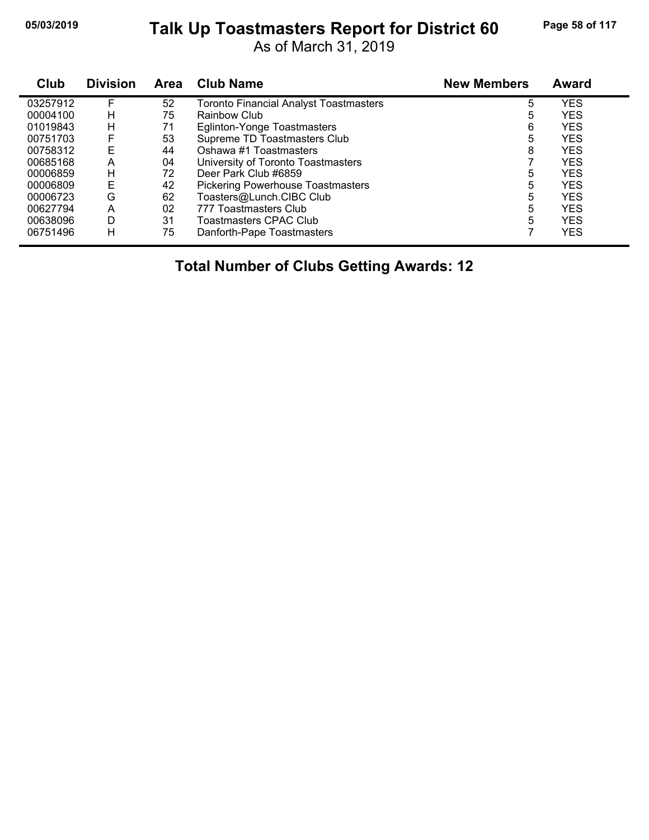# **05/03/2019 Page 58 of 117 Talk Up Toastmasters Report for District 60**

As of March 31, 2019

| Club     | <b>Division</b> | Area | <b>Club Name</b>                         | <b>New Members</b> | <b>Award</b> |
|----------|-----------------|------|------------------------------------------|--------------------|--------------|
| 03257912 | F               | 52   | Toronto Financial Analyst Toastmasters   | 5                  | <b>YES</b>   |
| 00004100 | н               | 75   | Rainbow Club                             | 5                  | <b>YES</b>   |
| 01019843 | н               | 71   | Eglinton-Yonge Toastmasters              | 6                  | <b>YES</b>   |
| 00751703 | F               | 53   | Supreme TD Toastmasters Club             | 5                  | <b>YES</b>   |
| 00758312 | E               | 44   | Oshawa #1 Toastmasters                   | 8                  | <b>YES</b>   |
| 00685168 | A               | 04   | University of Toronto Toastmasters       |                    | <b>YES</b>   |
| 00006859 | н               | 72   | Deer Park Club #6859                     | 5                  | <b>YES</b>   |
| 00006809 | E               | 42   | <b>Pickering Powerhouse Toastmasters</b> | 5                  | <b>YES</b>   |
| 00006723 | G               | 62   | Toasters@Lunch.CIBC Club                 | 5                  | <b>YES</b>   |
| 00627794 | A               | 02   | 777 Toastmasters Club                    | 5                  | <b>YES</b>   |
| 00638096 | D               | 31   | Toastmasters CPAC Club                   | 5                  | <b>YES</b>   |
| 06751496 | н               | 75   | Danforth-Pape Toastmasters               |                    | <b>YES</b>   |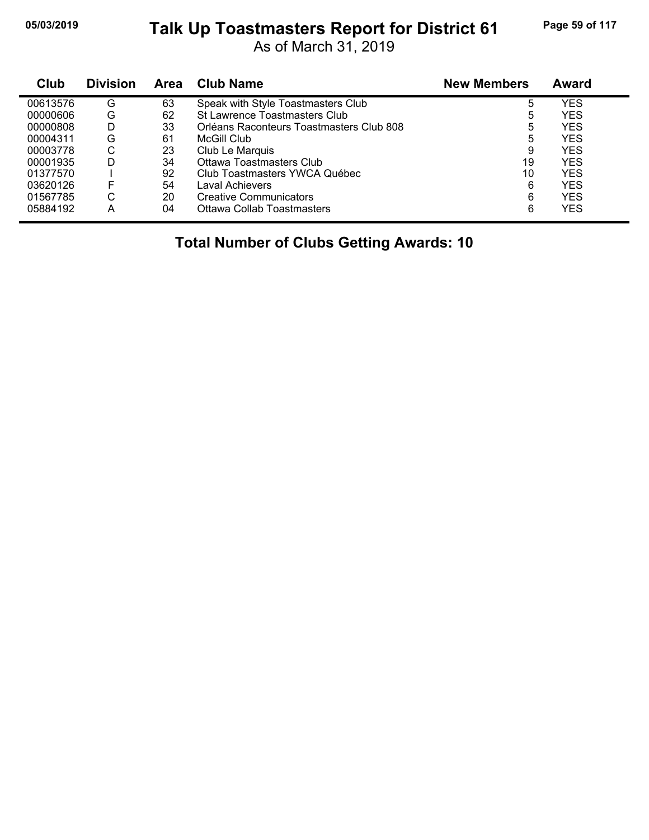# **05/03/2019 Page 59 of 117 Talk Up Toastmasters Report for District 61**

As of March 31, 2019

| Club     | <b>Division</b> | Area | <b>Club Name</b>                         | <b>New Members</b> | Award |
|----------|-----------------|------|------------------------------------------|--------------------|-------|
| 00613576 | G               | 63   | Speak with Style Toastmasters Club       | 5                  | YES   |
| 00000606 | G               | 62   | St Lawrence Toastmasters Club            | 5                  | YES   |
| 00000808 | D               | 33   | Orléans Raconteurs Toastmasters Club 808 | 5                  | YES   |
| 00004311 | G               | 61   | McGill Club                              | 5                  | YES   |
| 00003778 | С               | 23   | Club Le Marquis                          | 9                  | YES   |
| 00001935 | D               | 34   | Ottawa Toastmasters Club                 | 19                 | YES   |
| 01377570 |                 | 92   | Club Toastmasters YWCA Québec            | 10                 | YES   |
| 03620126 | F               | 54   | Laval Achievers                          | 6                  | YES   |
| 01567785 | ⌒<br>U          | 20   | <b>Creative Communicators</b>            | 6                  | YES   |
| 05884192 | Α               | 04   | Ottawa Collab Toastmasters               | 6                  | YES   |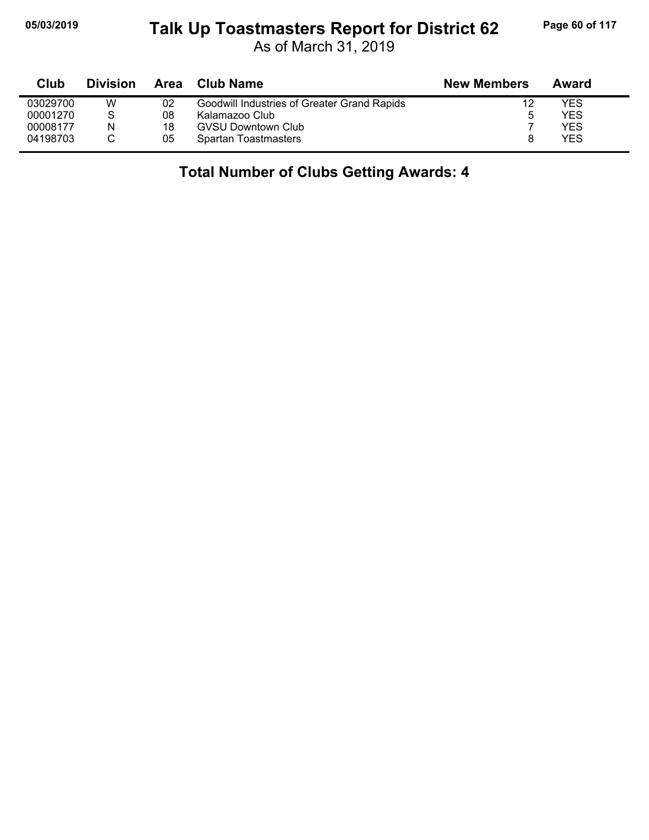#### **05/03/2019 Page 60 of 117 Talk Up Toastmasters Report for District 62**

As of March 31, 2019

| Club     | <b>Division</b> | Area | Club Name                                   | <b>New Members</b> | Award |
|----------|-----------------|------|---------------------------------------------|--------------------|-------|
| 03029700 | W               | 02   | Goodwill Industries of Greater Grand Rapids | 12                 | YES   |
| 00001270 | S               | 08   | Kalamazoo Club                              | ა                  | YES   |
| 00008177 | N               | 18   | <b>GVSU Downtown Club</b>                   |                    | YES   |
| 04198703 |                 | 05   | Spartan Toastmasters                        |                    | YES   |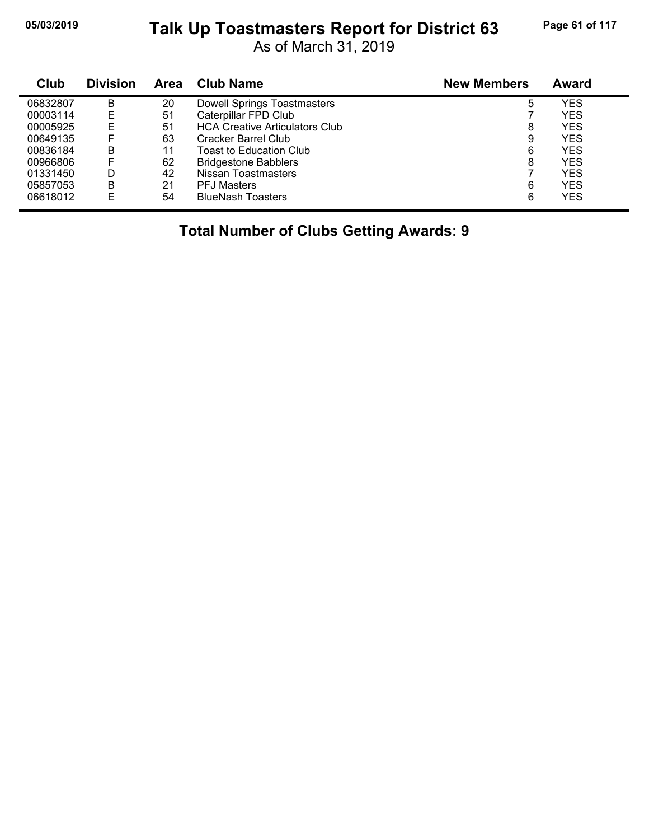# **05/03/2019 Page 61 of 117 Talk Up Toastmasters Report for District 63**

As of March 31, 2019

| Club     | <b>Division</b> | Area | <b>Club Name</b>                      | <b>New Members</b> | <b>Award</b> |
|----------|-----------------|------|---------------------------------------|--------------------|--------------|
| 06832807 | в               | 20   | <b>Dowell Springs Toastmasters</b>    | 5                  | YES          |
| 00003114 | Е               | 51   | Caterpillar FPD Club                  |                    | <b>YES</b>   |
| 00005925 | E               | 51   | <b>HCA Creative Articulators Club</b> | 8                  | <b>YES</b>   |
| 00649135 | F               | 63   | Cracker Barrel Club                   | 9                  | <b>YES</b>   |
| 00836184 | в               | 11   | Toast to Education Club               | 6                  | <b>YES</b>   |
| 00966806 | F               | 62   | <b>Bridgestone Babblers</b>           | 8                  | <b>YES</b>   |
| 01331450 | D               | 42   | Nissan Toastmasters                   |                    | <b>YES</b>   |
| 05857053 | в               | 21   | <b>PFJ Masters</b>                    | 6                  | <b>YES</b>   |
| 06618012 | E               | 54   | <b>BlueNash Toasters</b>              | 6                  | <b>YES</b>   |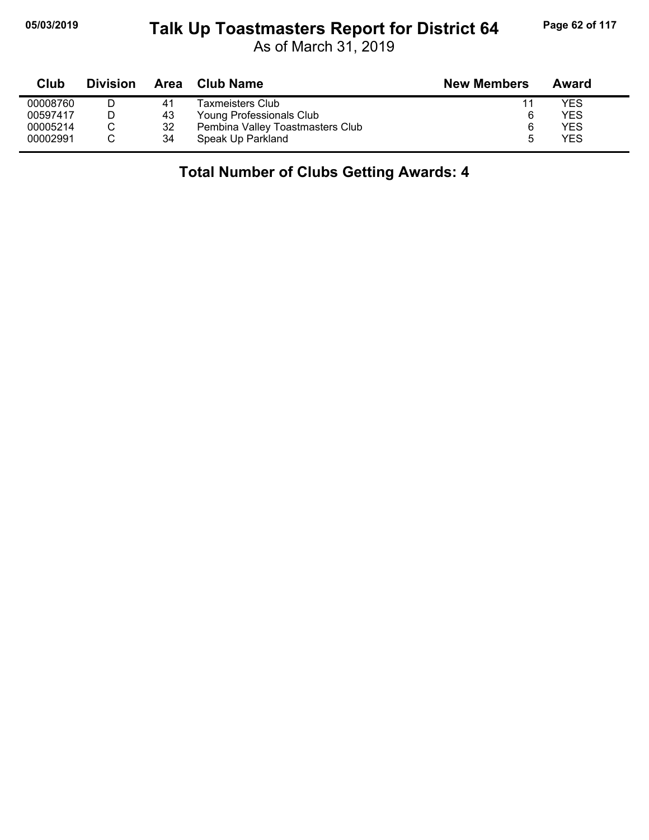#### **05/03/2019 Page 62 of 117 Talk Up Toastmasters Report for District 64**

As of March 31, 2019

| Club     | <b>Division</b> | <b>Area</b> | Club Name                        | <b>New Members</b> | Award      |
|----------|-----------------|-------------|----------------------------------|--------------------|------------|
| 00008760 |                 | 41          | Taxmeisters Club                 | 11                 | YES        |
| 00597417 |                 | 43          | Young Professionals Club         | 6                  | YES        |
| 00005214 |                 | 32          | Pembina Valley Toastmasters Club | 6                  | <b>YES</b> |
| 00002991 |                 | 34          | Speak Up Parkland                | ۰.                 | <b>YES</b> |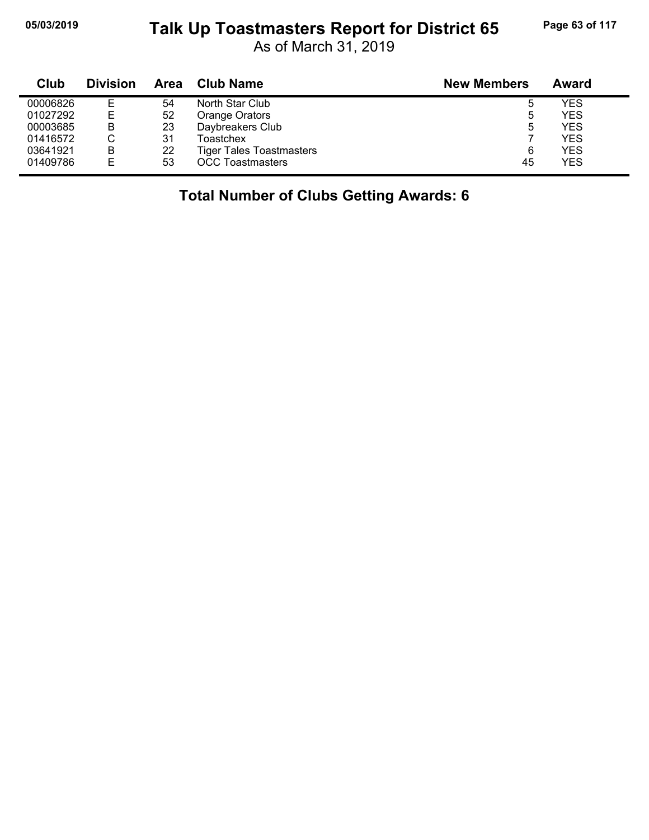#### **05/03/2019 Page 63 of 117 Talk Up Toastmasters Report for District 65**

As of March 31, 2019

| Club     | <b>Division</b> | Area | <b>Club Name</b>                | <b>New Members</b> | Award      |
|----------|-----------------|------|---------------------------------|--------------------|------------|
| 00006826 | Е               | 54   | North Star Club                 | ა                  | YES        |
| 01027292 | Е               | 52   | Orange Orators                  | 5                  | <b>YES</b> |
| 00003685 | в               | 23   | Daybreakers Club                | 5                  | YES        |
| 01416572 | С               | 31   | Toastchex                       |                    | <b>YES</b> |
| 03641921 | в               | 22   | <b>Tiger Tales Toastmasters</b> | 6                  | <b>YES</b> |
| 01409786 | E               | 53   | <b>OCC Toastmasters</b>         | 45                 | <b>YES</b> |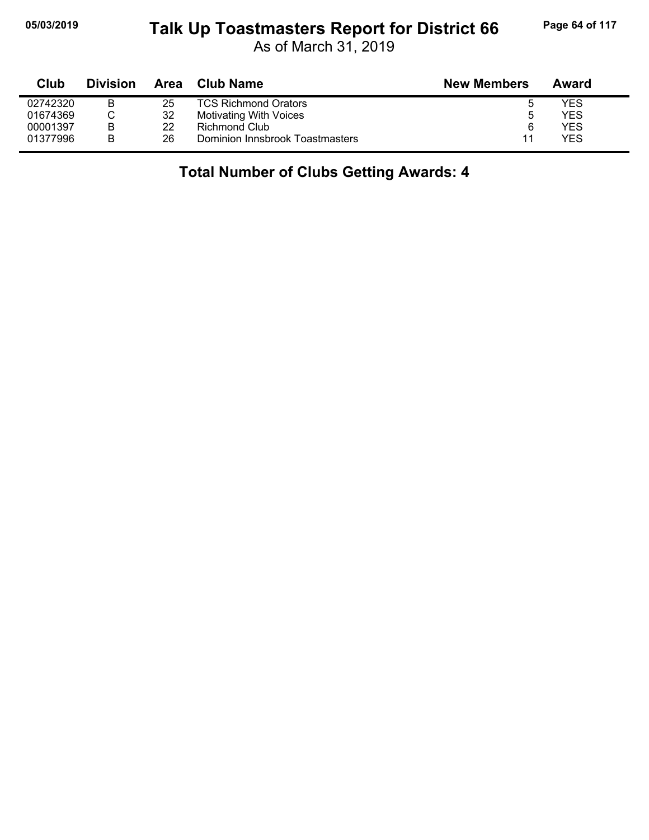#### **05/03/2019 Page 64 of 117 Talk Up Toastmasters Report for District 66**

As of March 31, 2019

| Club     | <b>Division</b> | Area | Club Name                       | <b>New Members</b> | Award |
|----------|-----------------|------|---------------------------------|--------------------|-------|
| 02742320 | B               | 25   | <b>TCS Richmond Orators</b>     |                    | YES   |
| 01674369 |                 | 32   | Motivating With Voices          | 5                  | YES   |
| 00001397 | B               | 22   | Richmond Club                   | 6                  | YES   |
| 01377996 | B               | 26   | Dominion Innsbrook Toastmasters | 11                 | YES   |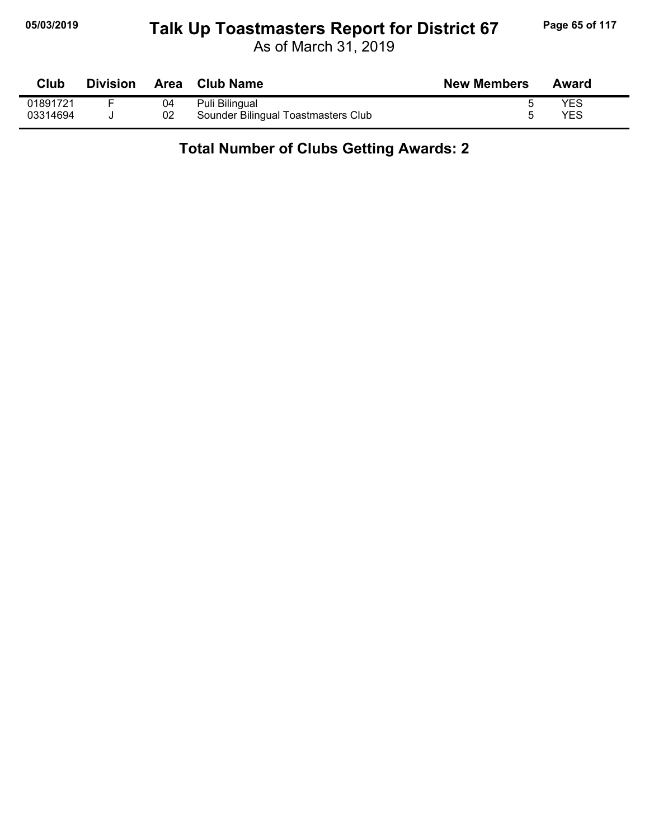#### **05/03/2019 Page 65 of 117 Talk Up Toastmasters Report for District 67**

As of March 31, 2019

| Club     | <b>Division</b> |    | Area Club Name                      | <b>New Members</b> | Award |
|----------|-----------------|----|-------------------------------------|--------------------|-------|
| 01891721 |                 | 04 | Puli Bilingual                      |                    | YES   |
| 03314694 |                 | 02 | Sounder Bilingual Toastmasters Club |                    | YES   |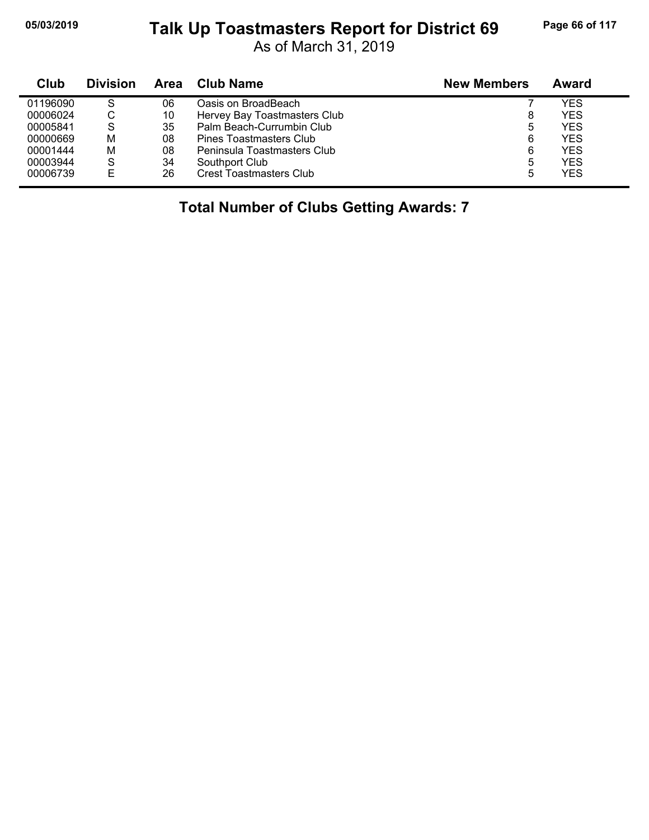#### **05/03/2019 Page 66 of 117 Talk Up Toastmasters Report for District 69**

As of March 31, 2019

| Club     | <b>Division</b> | Area | Club Name                    | <b>New Members</b> | Award      |
|----------|-----------------|------|------------------------------|--------------------|------------|
| 01196090 | S               | 06   | Oasis on BroadBeach          |                    | <b>YES</b> |
| 00006024 | ◡               | 10   | Hervey Bay Toastmasters Club |                    | <b>YES</b> |
| 00005841 | S               | 35   | Palm Beach-Currumbin Club    | 5                  | <b>YES</b> |
| 00000669 | M               | 08   | Pines Toastmasters Club      | 6                  | <b>YES</b> |
| 00001444 | M               | 08   | Peninsula Toastmasters Club  | 6                  | <b>YES</b> |
| 00003944 | S               | 34   | Southport Club               | 5                  | <b>YES</b> |
| 00006739 | F               | 26   | Crest Toastmasters Club      |                    | <b>YES</b> |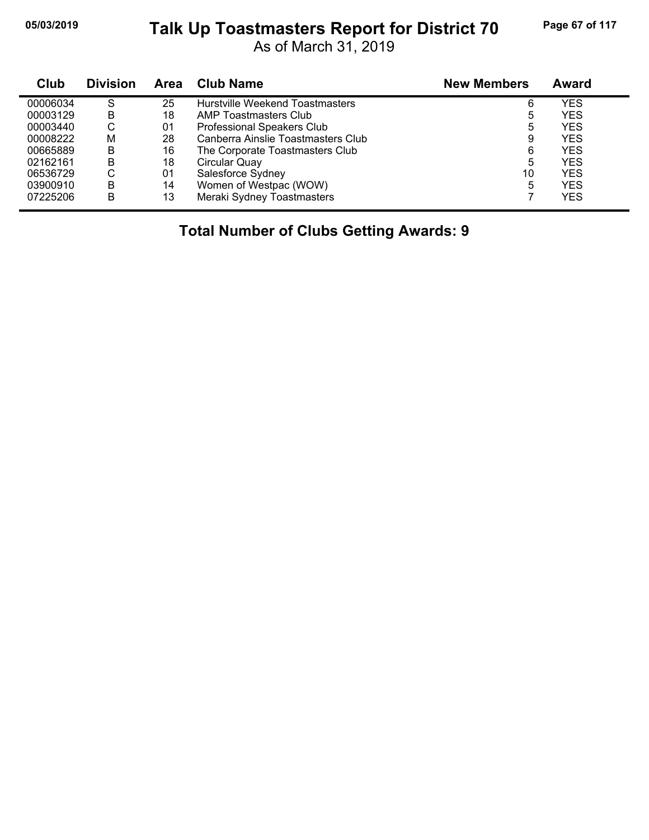# **05/03/2019 Page 67 of 117 Talk Up Toastmasters Report for District 70**

As of March 31, 2019

| Club     | <b>Division</b> | Area | <b>Club Name</b>                   | <b>New Members</b> | <b>Award</b> |
|----------|-----------------|------|------------------------------------|--------------------|--------------|
| 00006034 | S               | 25   | Hurstville Weekend Toastmasters    | 6                  | YES          |
| 00003129 | в               | 18   | AMP Toastmasters Club              | 5                  | <b>YES</b>   |
| 00003440 | С               | 01   | Professional Speakers Club         | 5                  | <b>YES</b>   |
| 00008222 | м               | 28   | Canberra Ainslie Toastmasters Club | 9                  | <b>YES</b>   |
| 00665889 | В               | 16   | The Corporate Toastmasters Club    | 6                  | <b>YES</b>   |
| 02162161 | в               | 18   | Circular Quay                      | 5                  | <b>YES</b>   |
| 06536729 | С               | 01   | Salesforce Sydney                  | 10                 | <b>YES</b>   |
| 03900910 | B               | 14   | Women of Westpac (WOW)             | 5                  | <b>YES</b>   |
| 07225206 | B               | 13   | Meraki Sydney Toastmasters         |                    | <b>YES</b>   |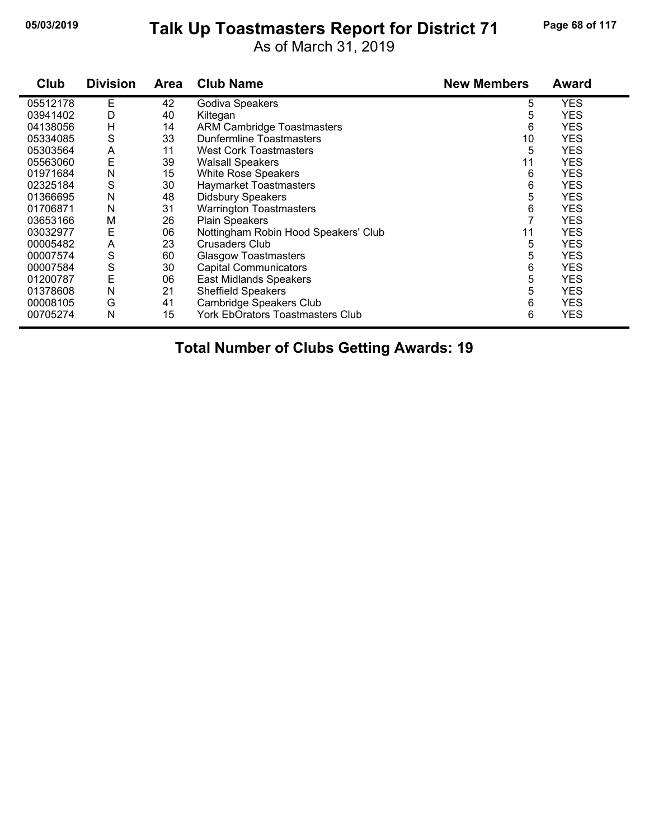#### **05/03/2019 Page 68 of 117 Talk Up Toastmasters Report for District 71**

As of March 31, 2019

| Club     | <b>Division</b> | <b>Area</b> | <b>Club Name</b>                     | <b>New Members</b> | <b>Award</b> |
|----------|-----------------|-------------|--------------------------------------|--------------------|--------------|
| 05512178 | Е               | 42          | Godiva Speakers                      | 5                  | <b>YES</b>   |
| 03941402 | D               | 40          | Kiltegan                             | 5                  | <b>YES</b>   |
| 04138056 | Н               | 14          | <b>ARM Cambridge Toastmasters</b>    | 6                  | <b>YES</b>   |
| 05334085 | S               | 33          | Dunfermline Toastmasters             | 10                 | YES          |
| 05303564 | A               | 11          | <b>West Cork Toastmasters</b>        | 5                  | <b>YES</b>   |
| 05563060 | E               | 39          | <b>Walsall Speakers</b>              | 11                 | YES          |
| 01971684 | N               | 15          | White Rose Speakers                  | 6                  | <b>YES</b>   |
| 02325184 | S               | 30          | Haymarket Toastmasters               | 6                  | <b>YES</b>   |
| 01366695 | N               | 48          | <b>Didsbury Speakers</b>             | 5                  | <b>YES</b>   |
| 01706871 | N               | 31          | <b>Warrington Toastmasters</b>       | 6                  | <b>YES</b>   |
| 03653166 | М               | 26          | <b>Plain Speakers</b>                | 7                  | YES          |
| 03032977 | E               | 06          | Nottingham Robin Hood Speakers' Club | 11                 | <b>YES</b>   |
| 00005482 | A               | 23          | Crusaders Club                       | 5                  | YES          |
| 00007574 | S               | 60          | <b>Glasgow Toastmasters</b>          | 5                  | <b>YES</b>   |
| 00007584 | S               | 30          | <b>Capital Communicators</b>         | 6                  | <b>YES</b>   |
| 01200787 | E               | 06          | <b>East Midlands Speakers</b>        | 5                  | <b>YES</b>   |
| 01378608 | N               | 21          | <b>Sheffield Speakers</b>            | 5                  | <b>YES</b>   |
| 00008105 | G               | 41          | Cambridge Speakers Club              | 6                  | YES          |
| 00705274 | N               | 15          | York EbOrators Toastmasters Club     | 6                  | <b>YES</b>   |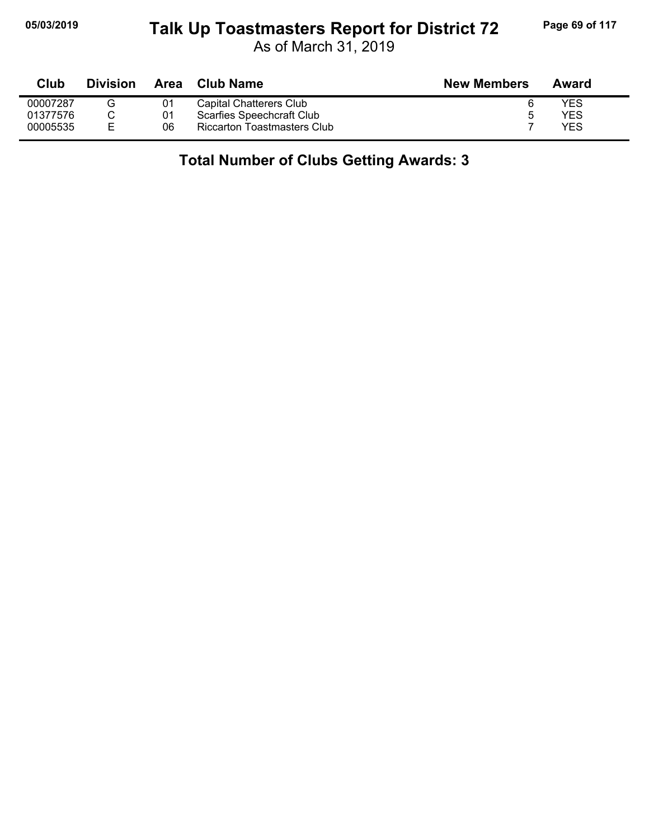#### **05/03/2019 Page 69 of 117 Talk Up Toastmasters Report for District 72**

As of March 31, 2019

| Club     | <b>Division</b> | Area | <b>Club Name</b>            | <b>New Members</b> | Award |
|----------|-----------------|------|-----------------------------|--------------------|-------|
| 00007287 |                 | 01   | Capital Chatterers Club     |                    | YES   |
| 01377576 |                 | 01   | Scarfies Speechcraft Club   |                    | YES   |
| 00005535 |                 | 06   | Riccarton Toastmasters Club |                    | YES   |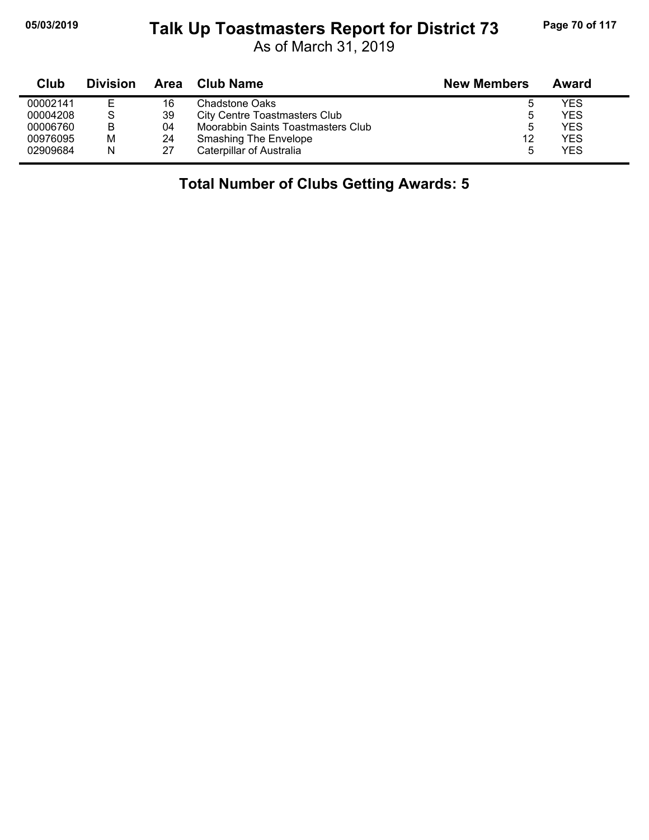# **05/03/2019 Page 70 of 117 Talk Up Toastmasters Report for District 73**

As of March 31, 2019

| Club     | <b>Division</b> | Area | <b>Club Name</b>                     | <b>New Members</b> | Award |
|----------|-----------------|------|--------------------------------------|--------------------|-------|
| 00002141 |                 | 16   | Chadstone Oaks                       | э                  | YES   |
| 00004208 | S               | 39   | <b>City Centre Toastmasters Club</b> | b                  | YES   |
| 00006760 | В               | 04   | Moorabbin Saints Toastmasters Club   | b                  | YES.  |
| 00976095 | M               | 24   | <b>Smashing The Envelope</b>         | 12                 | YES.  |
| 02909684 | N               | 27   | Caterpillar of Australia             | b                  | YES   |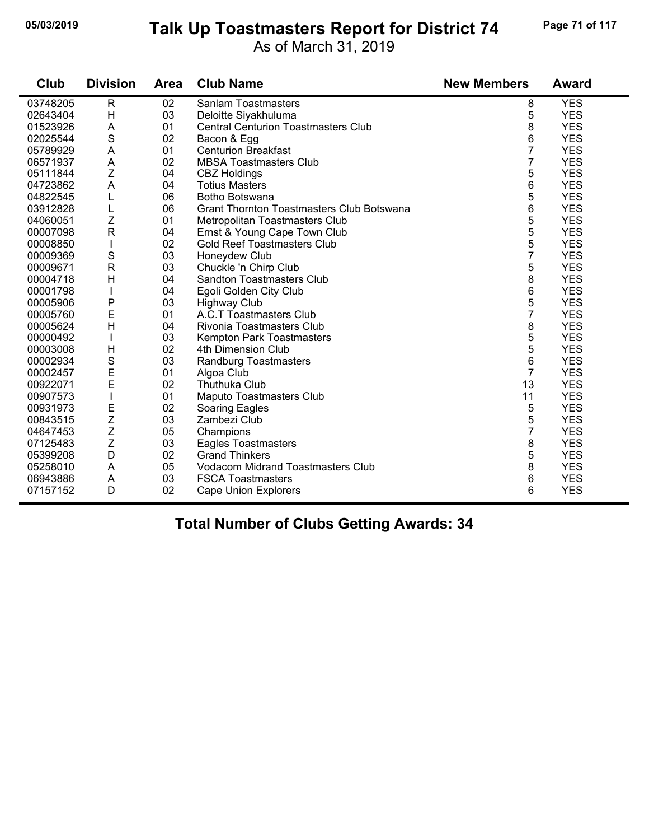# **05/03/2019 Page 71 of 117 Talk Up Toastmasters Report for District 74**

As of March 31, 2019

| Club     | <b>Division</b> | Area | <b>Club Name</b>                                 | <b>New Members</b> | <b>Award</b> |
|----------|-----------------|------|--------------------------------------------------|--------------------|--------------|
| 03748205 | $\mathsf{R}$    | 02   | <b>Sanlam Toastmasters</b>                       | 8                  | <b>YES</b>   |
| 02643404 | H               | 03   | Deloitte Siyakhuluma                             | 5                  | <b>YES</b>   |
| 01523926 | A               | 01   | <b>Central Centurion Toastmasters Club</b>       | 8                  | <b>YES</b>   |
| 02025544 | S               | 02   | Bacon & Egg                                      | 6                  | <b>YES</b>   |
| 05789929 | A               | 01   | <b>Centurion Breakfast</b>                       | $\overline{7}$     | <b>YES</b>   |
| 06571937 | A               | 02   | <b>MBSA Toastmasters Club</b>                    | 7                  | <b>YES</b>   |
| 05111844 | Z               | 04   | <b>CBZ Holdings</b>                              | 5                  | <b>YES</b>   |
| 04723862 | A               | 04   | <b>Totius Masters</b>                            | 6                  | <b>YES</b>   |
| 04822545 |                 | 06   | Botho Botswana                                   | 5                  | <b>YES</b>   |
| 03912828 | L               | 06   | <b>Grant Thornton Toastmasters Club Botswana</b> | 6                  | <b>YES</b>   |
| 04060051 | Z               | 01   | Metropolitan Toastmasters Club                   | 5                  | <b>YES</b>   |
| 00007098 | $\mathsf{R}$    | 04   | Ernst & Young Cape Town Club                     | 5                  | <b>YES</b>   |
| 00008850 |                 | 02   | <b>Gold Reef Toastmasters Club</b>               | 5                  | <b>YES</b>   |
| 00009369 | ${\mathsf S}$   | 03   | Honeydew Club                                    | 7                  | <b>YES</b>   |
| 00009671 | $\mathsf{R}$    | 03   | Chuckle 'n Chirp Club                            | 5                  | <b>YES</b>   |
| 00004718 | H               | 04   | <b>Sandton Toastmasters Club</b>                 | 8                  | <b>YES</b>   |
| 00001798 | L               | 04   | Egoli Golden City Club                           | 6                  | <b>YES</b>   |
| 00005906 | P               | 03   | <b>Highway Club</b>                              | 5                  | <b>YES</b>   |
| 00005760 | E               | 01   | A.C.T Toastmasters Club                          | 7                  | <b>YES</b>   |
| 00005624 | H               | 04   | Rivonia Toastmasters Club                        | 8                  | <b>YES</b>   |
| 00000492 |                 | 03   | Kempton Park Toastmasters                        | 5                  | <b>YES</b>   |
| 00003008 | Н               | 02   | 4th Dimension Club                               | 5                  | <b>YES</b>   |
| 00002934 | $\mathbf S$     | 03   | Randburg Toastmasters                            | 6                  | <b>YES</b>   |
| 00002457 | E               | 01   | Algoa Club                                       | $\overline{7}$     | <b>YES</b>   |
| 00922071 | E               | 02   | <b>Thuthuka Club</b>                             | 13                 | <b>YES</b>   |
| 00907573 |                 | 01   | <b>Maputo Toastmasters Club</b>                  | 11                 | <b>YES</b>   |
| 00931973 | E               | 02   | Soaring Eagles                                   | 5                  | <b>YES</b>   |
| 00843515 | Z               | 03   | Zambezi Club                                     | 5                  | <b>YES</b>   |
| 04647453 | Z               | 05   | Champions                                        | 7                  | <b>YES</b>   |
| 07125483 | Z               | 03   | Eagles Toastmasters                              | 8                  | <b>YES</b>   |
| 05399208 | D               | 02   | <b>Grand Thinkers</b>                            | 5                  | <b>YES</b>   |
| 05258010 | A               | 05   | <b>Vodacom Midrand Toastmasters Club</b>         | 8                  | <b>YES</b>   |
| 06943886 | A               | 03   | <b>FSCA Toastmasters</b>                         | 6                  | <b>YES</b>   |
| 07157152 | D               | 02   | <b>Cape Union Explorers</b>                      | 6                  | <b>YES</b>   |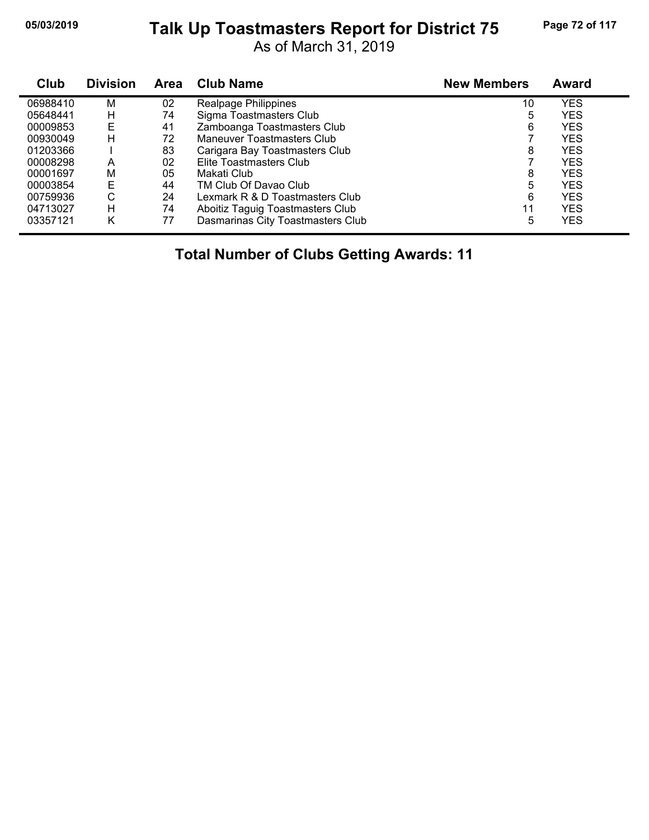# **05/03/2019 Page 72 of 117 Talk Up Toastmasters Report for District 75**

As of March 31, 2019

| Club     | <b>Division</b> | <b>Area</b> | <b>Club Name</b>                  | <b>New Members</b> | Award      |
|----------|-----------------|-------------|-----------------------------------|--------------------|------------|
| 06988410 | M               | 02          | Realpage Philippines              | 10                 | <b>YES</b> |
| 05648441 | н               | 74          | Sigma Toastmasters Club           | 5                  | <b>YES</b> |
| 00009853 | Е               | 41          | Zamboanga Toastmasters Club       | 6                  | <b>YES</b> |
| 00930049 | н               | 72          | Maneuver Toastmasters Club        |                    | <b>YES</b> |
| 01203366 |                 | 83          | Carigara Bay Toastmasters Club    | 8                  | <b>YES</b> |
| 00008298 | A               | 02          | Elite Toastmasters Club           |                    | <b>YES</b> |
| 00001697 | M               | 05          | Makati Club                       | 8                  | <b>YES</b> |
| 00003854 | E               | 44          | TM Club Of Davao Club             | 5                  | <b>YES</b> |
| 00759936 | С               | 24          | Lexmark R & D Toastmasters Club   | 6                  | <b>YES</b> |
| 04713027 | н               | 74          | Aboitiz Taguig Toastmasters Club  | 11                 | <b>YES</b> |
| 03357121 | κ               | 77          | Dasmarinas City Toastmasters Club | 5                  | <b>YES</b> |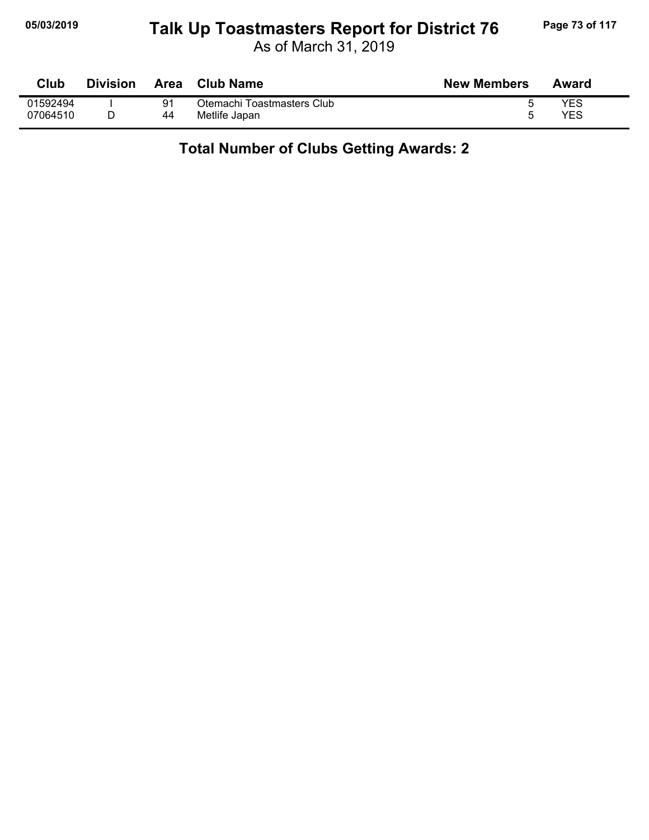## **05/03/2019 Page 73 of 117 Talk Up Toastmasters Report for District 76**

As of March 31, 2019

| Club     | <b>Division</b> | <b>Area</b> | Club Name                  | <b>New Members</b> | Award |
|----------|-----------------|-------------|----------------------------|--------------------|-------|
| 01592494 |                 | 91          | Otemachi Toastmasters Club |                    | YES   |
| 07064510 |                 | 44          | Metlife Japan              |                    | YES   |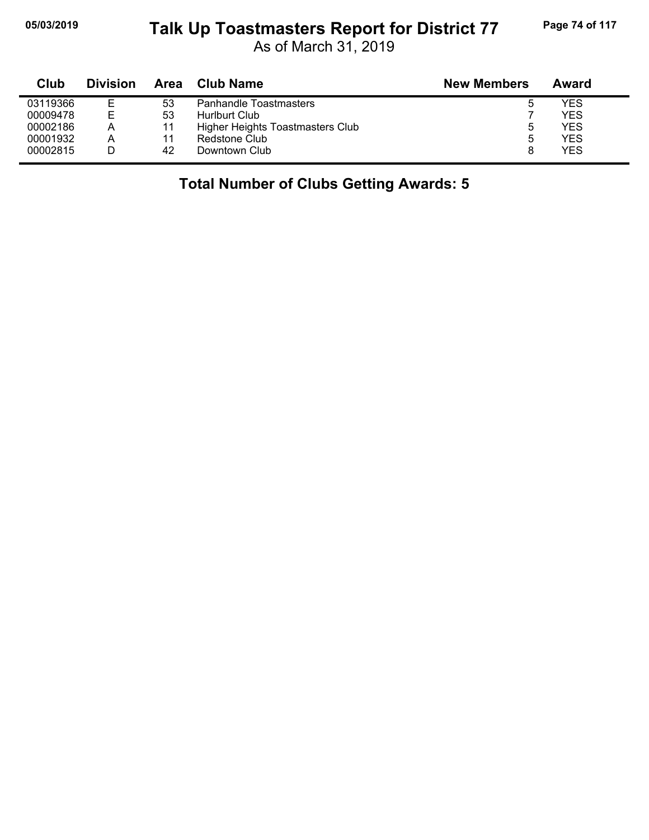# **05/03/2019 Page 74 of 117 Talk Up Toastmasters Report for District 77**

As of March 31, 2019

| Club     | <b>Division</b> | Area | Club Name                        | <b>New Members</b> | Award |
|----------|-----------------|------|----------------------------------|--------------------|-------|
| 03119366 | Е               | 53   | <b>Panhandle Toastmasters</b>    | ა                  | YES   |
| 00009478 | E               | 53   | Hurlburt Club                    |                    | YES   |
| 00002186 | Α               |      | Higher Heights Toastmasters Club | ა                  | YES   |
| 00001932 | Α               |      | Redstone Club                    | 5                  | YES   |
| 00002815 |                 | 42   | Downtown Club                    |                    | YES   |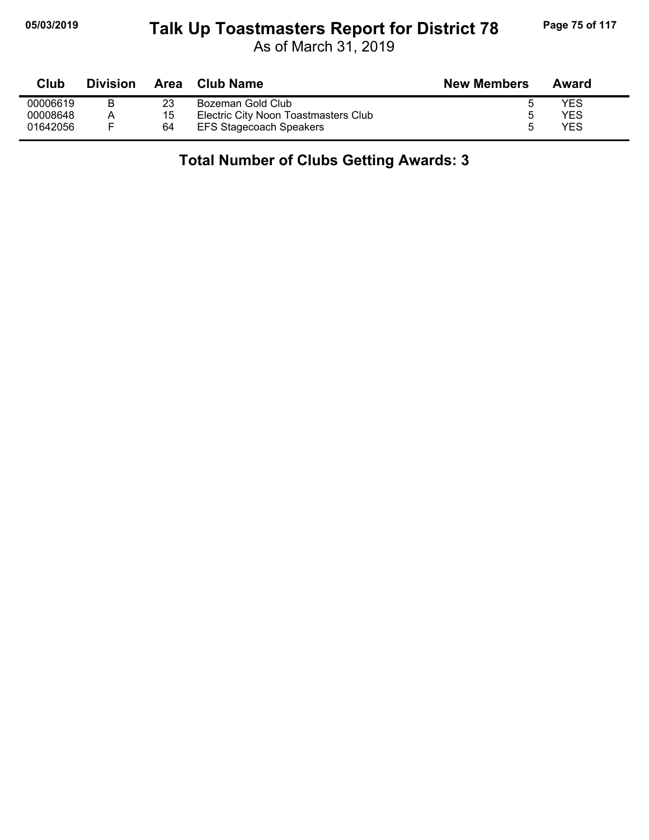## **05/03/2019 Page 75 of 117 Talk Up Toastmasters Report for District 78**

As of March 31, 2019

| Club     | <b>Division</b> | Area | Club Name                            | <b>New Members</b> | Award |
|----------|-----------------|------|--------------------------------------|--------------------|-------|
| 00006619 |                 | 23   | Bozeman Gold Club                    |                    | YES   |
| 00008648 |                 | 15   | Electric City Noon Toastmasters Club |                    | YES   |
| 01642056 |                 | 64   | <b>EFS Stagecoach Speakers</b>       |                    | YES   |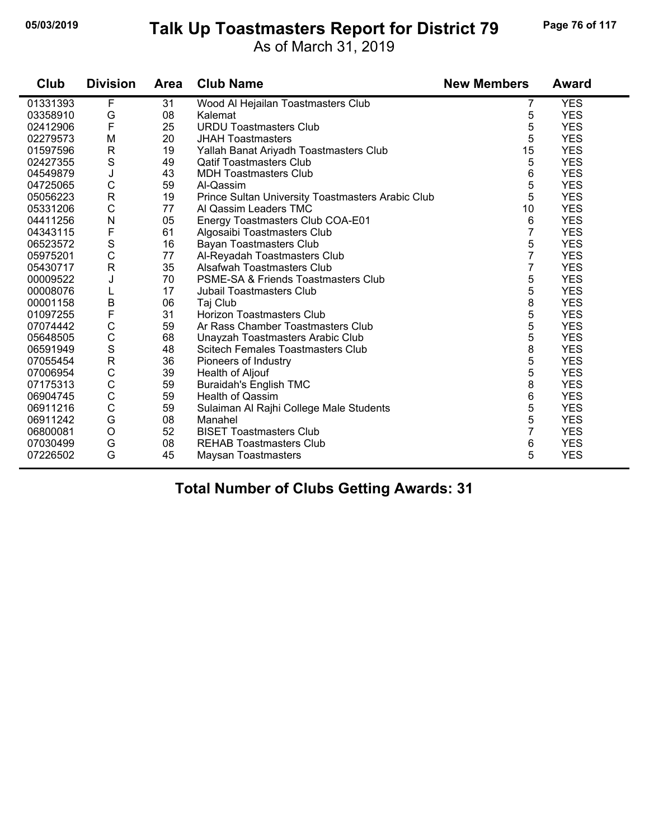#### **05/03/2019 Page 76 of 117 Talk Up Toastmasters Report for District 79**

As of March 31, 2019

| Club     | <b>Division</b>         | <b>Area</b> | <b>Club Name</b>                                  | <b>New Members</b> | <b>Award</b> |
|----------|-------------------------|-------------|---------------------------------------------------|--------------------|--------------|
| 01331393 | F                       | 31          | Wood Al Hejailan Toastmasters Club                | 7                  | <b>YES</b>   |
| 03358910 | G                       | 08          | Kalemat                                           | 5                  | <b>YES</b>   |
| 02412906 | F                       | 25          | <b>URDU Toastmasters Club</b>                     | 5                  | <b>YES</b>   |
| 02279573 | M                       | 20          | <b>JHAH Toastmasters</b>                          | 5                  | <b>YES</b>   |
| 01597596 | $\mathsf{R}$            | 19          | Yallah Banat Ariyadh Toastmasters Club            | 15                 | <b>YES</b>   |
| 02427355 | $\mathbf S$             | 49          | <b>Qatif Toastmasters Club</b>                    | 5                  | <b>YES</b>   |
| 04549879 | J                       | 43          | <b>MDH Toastmasters Club</b>                      | 6                  | <b>YES</b>   |
| 04725065 | $\mathsf C$             | 59          | Al-Qassim                                         | 5                  | <b>YES</b>   |
| 05056223 | $\mathsf{R}$            | 19          | Prince Sultan University Toastmasters Arabic Club | 5                  | <b>YES</b>   |
| 05331206 | $\mathsf C$             | 77          | Al Qassim Leaders TMC                             | 10                 | <b>YES</b>   |
| 04411256 | N                       | 05          | Energy Toastmasters Club COA-E01                  | 6                  | <b>YES</b>   |
| 04343115 | $\mathsf{F}$            | 61          | Algosaibi Toastmasters Club                       | 7                  | <b>YES</b>   |
| 06523572 | $\mathbf S$             | 16          | <b>Bayan Toastmasters Club</b>                    | 5                  | <b>YES</b>   |
| 05975201 | $\mathsf C$             | 77          | Al-Reyadah Toastmasters Club                      | 7                  | <b>YES</b>   |
| 05430717 | $\overline{\mathsf{R}}$ | 35          | Alsafwah Toastmasters Club                        | 7                  | <b>YES</b>   |
| 00009522 | J                       | 70          | <b>PSME-SA &amp; Friends Toastmasters Club</b>    | 5                  | <b>YES</b>   |
| 00008076 | L                       | 17          | <b>Jubail Toastmasters Club</b>                   | 5                  | <b>YES</b>   |
| 00001158 | B                       | 06          | Taj Club                                          | 8                  | <b>YES</b>   |
| 01097255 | F                       | 31          | Horizon Toastmasters Club                         | 5                  | <b>YES</b>   |
| 07074442 | $\mathsf C$             | 59          | Ar Rass Chamber Toastmasters Club                 | 5                  | <b>YES</b>   |
| 05648505 | $\mathsf C$             | 68          | Unayzah Toastmasters Arabic Club                  | 5                  | <b>YES</b>   |
| 06591949 | $\mathbf S$             | 48          | Scitech Females Toastmasters Club                 | 8                  | <b>YES</b>   |
| 07055454 | $\mathsf{R}$            | 36          | Pioneers of Industry                              | 5                  | <b>YES</b>   |
| 07006954 | $\mathsf C$             | 39          | Health of Aljouf                                  | 5                  | <b>YES</b>   |
| 07175313 | $\mathsf{C}$            | 59          | <b>Buraidah's English TMC</b>                     | 8                  | <b>YES</b>   |
| 06904745 | $\mathsf C$             | 59          | <b>Health of Qassim</b>                           | 6                  | <b>YES</b>   |
| 06911216 | $\mathsf{C}$            | 59          | Sulaiman Al Rajhi College Male Students           | 5                  | <b>YES</b>   |
| 06911242 | G                       | 08          | Manahel                                           | 5                  | <b>YES</b>   |
| 06800081 | $\circ$                 | 52          | <b>BISET Toastmasters Club</b>                    | $\overline{7}$     | <b>YES</b>   |
| 07030499 | G                       | 08          | <b>REHAB Toastmasters Club</b>                    | 6                  | <b>YES</b>   |
| 07226502 | G                       | 45          | <b>Maysan Toastmasters</b>                        | 5                  | <b>YES</b>   |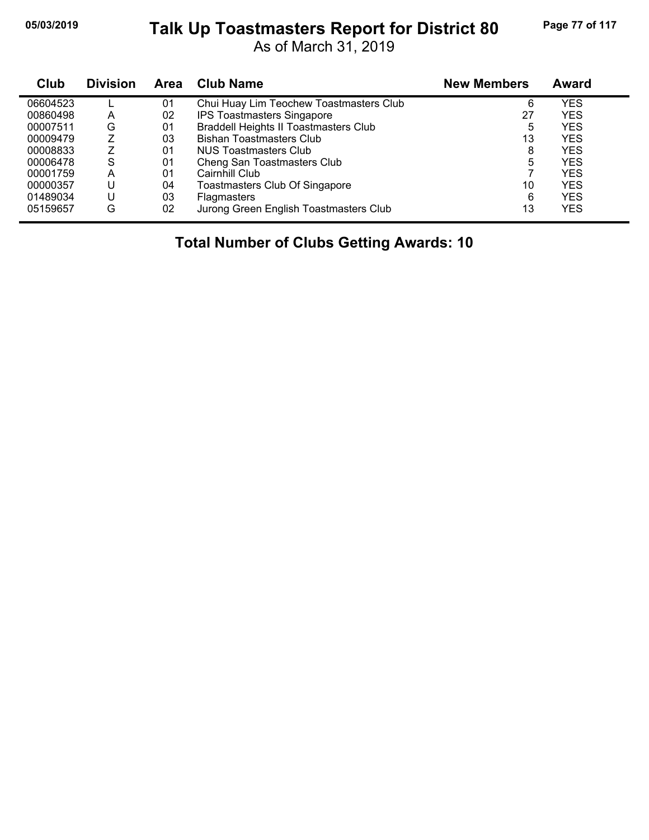## **05/03/2019 Page 77 of 117 Talk Up Toastmasters Report for District 80**

As of March 31, 2019

| Club     | <b>Division</b> | <b>Area</b> | <b>Club Name</b>                             | <b>New Members</b> | Award      |  |
|----------|-----------------|-------------|----------------------------------------------|--------------------|------------|--|
| 06604523 |                 | 01          | Chui Huay Lim Teochew Toastmasters Club      | 6                  | <b>YES</b> |  |
| 00860498 | A               | 02          | <b>IPS Toastmasters Singapore</b>            | 27                 | <b>YES</b> |  |
| 00007511 | G               | 01          | <b>Braddell Heights II Toastmasters Club</b> | 5                  | <b>YES</b> |  |
| 00009479 | 7               | 03          | <b>Bishan Toastmasters Club</b>              | 13                 | <b>YES</b> |  |
| 00008833 |                 | 01          | NUS Toastmasters Club                        | 8                  | <b>YES</b> |  |
| 00006478 | S               | 01          | Cheng San Toastmasters Club                  | 5                  | <b>YES</b> |  |
| 00001759 | A               | 01          | Cairnhill Club                               |                    | <b>YES</b> |  |
| 00000357 | U               | 04          | Toastmasters Club Of Singapore               | 10                 | <b>YES</b> |  |
| 01489034 | U               | 03          | <b>Flagmasters</b>                           | 6                  | <b>YES</b> |  |
| 05159657 | G               | 02          | Jurong Green English Toastmasters Club       | 13                 | YES        |  |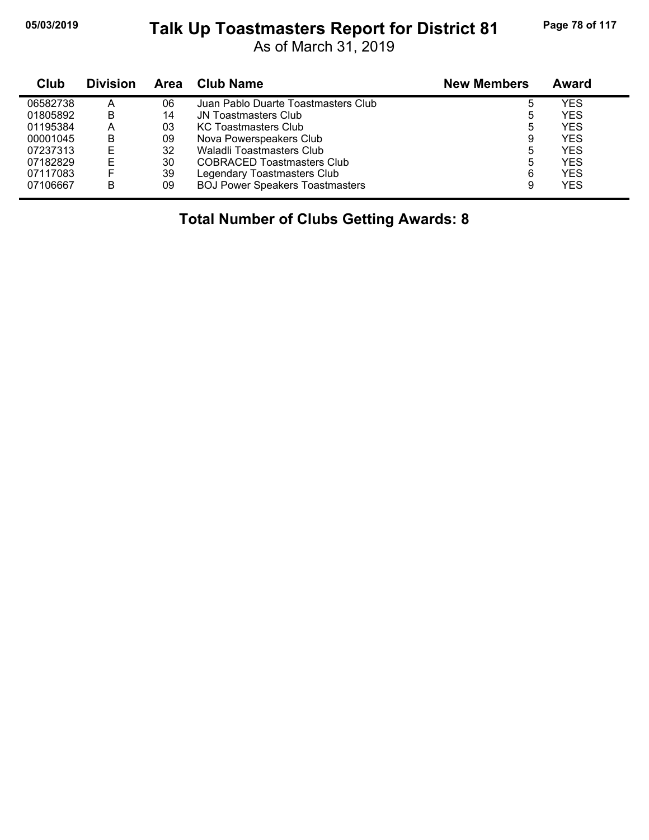## **05/03/2019 Page 78 of 117 Talk Up Toastmasters Report for District 81**

As of March 31, 2019

| Club     | <b>Division</b> | <b>Area</b> | Club Name                              | <b>New Members</b> | Award      |
|----------|-----------------|-------------|----------------------------------------|--------------------|------------|
| 06582738 | A               | 06          | Juan Pablo Duarte Toastmasters Club    | 5                  | YES        |
| 01805892 | B               | 14          | <b>JN Toastmasters Club</b>            | 5                  | YES        |
| 01195384 | А               | 03          | <b>KC Toastmasters Club</b>            | 5                  | YES        |
| 00001045 | B               | 09          | Nova Powerspeakers Club                | 9                  | YES        |
| 07237313 | E               | 32          | Waladli Toastmasters Club              | 5                  | YES        |
| 07182829 | E               | 30          | <b>COBRACED Toastmasters Club</b>      | 5                  | <b>YES</b> |
| 07117083 |                 | 39          | Legendary Toastmasters Club            | 6                  | <b>YES</b> |
| 07106667 | В               | 09          | <b>BOJ Power Speakers Toastmasters</b> | 9                  | <b>YES</b> |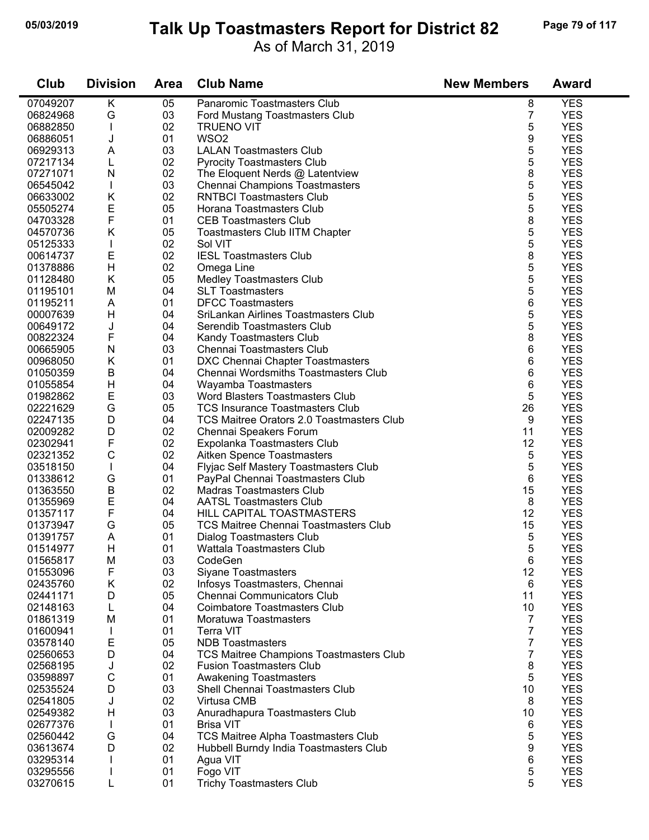### **05/03/2019 Page 79 of 117 Talk Up Toastmasters Report for District 82**

As of March 31, 2019

| Club     | <b>Division</b> | <b>Area</b> | <b>Club Name</b>                             | <b>New Members</b> | <b>Award</b> |
|----------|-----------------|-------------|----------------------------------------------|--------------------|--------------|
| 07049207 | Κ               | 05          | Panaromic Toastmasters Club                  | 8                  | <b>YES</b>   |
| 06824968 | G               | 03          | Ford Mustang Toastmasters Club               | 7                  | <b>YES</b>   |
| 06882850 |                 | 02          | <b>TRUENO VIT</b>                            | 5                  | <b>YES</b>   |
| 06886051 | J               | 01          | WSO <sub>2</sub>                             | 9                  | <b>YES</b>   |
| 06929313 | A               | 03          | <b>LALAN Toastmasters Club</b>               | 5                  | <b>YES</b>   |
| 07217134 | L               | 02          | <b>Pyrocity Toastmasters Club</b>            | 5                  | <b>YES</b>   |
| 07271071 | N               | 02          | The Eloquent Nerds @ Latentview              | 8                  | <b>YES</b>   |
| 06545042 |                 | 03          | <b>Chennai Champions Toastmasters</b>        | 5                  | <b>YES</b>   |
| 06633002 | K               | 02          | <b>RNTBCI Toastmasters Club</b>              | 5                  | <b>YES</b>   |
| 05505274 | E               | 05          | Horana Toastmasters Club                     | 5                  | <b>YES</b>   |
| 04703328 | F               | 01          | <b>CEB Toastmasters Club</b>                 | 8                  | <b>YES</b>   |
| 04570736 | K               | 05          | <b>Toastmasters Club IITM Chapter</b>        | 5                  | <b>YES</b>   |
| 05125333 |                 | 02          | Sol VIT                                      | 5                  | <b>YES</b>   |
| 00614737 | E               | 02          | <b>IESL Toastmasters Club</b>                | 8                  | <b>YES</b>   |
| 01378886 | H               | 02          | Omega Line                                   | 5                  | <b>YES</b>   |
| 01128480 | K               | 05          | <b>Medley Toastmasters Club</b>              | 5                  | <b>YES</b>   |
| 01195101 | M               | 04          | <b>SLT Toastmasters</b>                      | 5                  | <b>YES</b>   |
| 01195211 | A               | 01          | <b>DFCC Toastmasters</b>                     | 6                  | <b>YES</b>   |
| 00007639 | Н               | 04          | SriLankan Airlines Toastmasters Club         | 5                  | <b>YES</b>   |
| 00649172 | J               | 04          | Serendib Toastmasters Club                   | 5                  | <b>YES</b>   |
| 00822324 | F               | 04          | Kandy Toastmasters Club                      | 8                  | <b>YES</b>   |
| 00665905 | N               | 03          | Chennai Toastmasters Club                    | 6                  | <b>YES</b>   |
| 00968050 | K               | 01          | DXC Chennai Chapter Toastmasters             | 6                  | <b>YES</b>   |
| 01050359 | B               | 04          | Chennai Wordsmiths Toastmasters Club         | 6                  | <b>YES</b>   |
| 01055854 | H               | 04          | Wayamba Toastmasters                         | 6                  | <b>YES</b>   |
| 01982862 | Е               | 03          | Word Blasters Toastmasters Club              | 5                  | <b>YES</b>   |
| 02221629 | G               | 05          | <b>TCS Insurance Toastmasters Club</b>       | 26                 | <b>YES</b>   |
| 02247135 | D               | 04          | TCS Maitree Orators 2.0 Toastmasters Club    | 9                  | <b>YES</b>   |
| 02009282 | D               | 02          | Chennai Speakers Forum                       | 11                 | <b>YES</b>   |
| 02302941 | $\mathsf F$     | 02          | Expolanka Toastmasters Club                  | 12                 | <b>YES</b>   |
| 02321352 | $\mathsf{C}$    | 02          | Aitken Spence Toastmasters                   | 5                  | <b>YES</b>   |
| 03518150 |                 | 04          | Flyjac Self Mastery Toastmasters Club        | 5                  | <b>YES</b>   |
| 01338612 | G               | 01          | PayPal Chennai Toastmasters Club             | 6                  | <b>YES</b>   |
| 01363550 | $\mathsf B$     | 02          | <b>Madras Toastmasters Club</b>              | 15                 | <b>YES</b>   |
| 01355969 | E               | 04          | <b>AATSL Toastmasters Club</b>               | 8                  | <b>YES</b>   |
| 01357117 | $\mathsf F$     | 04          | HILL CAPITAL TOASTMASTERS                    | 12                 | <b>YES</b>   |
| 01373947 | G               | 05          | <b>TCS Maitree Chennai Toastmasters Club</b> | 15                 | <b>YES</b>   |
| 01391757 | A               | 01          | Dialog Toastmasters Club                     | 5                  | <b>YES</b>   |
| 01514977 | $\mathsf{H}$    | 01          | Wattala Toastmasters Club                    | 5                  | <b>YES</b>   |
| 01565817 | M               | 03          | CodeGen                                      | 6                  | <b>YES</b>   |
| 01553096 | F               | 03          | Siyane Toastmasters                          | 12                 | <b>YES</b>   |
| 02435760 | Κ               | 02          | Infosys Toastmasters, Chennai                | 6                  | <b>YES</b>   |
| 02441171 | D               | 05          | Chennai Communicators Club                   | 11                 | <b>YES</b>   |
| 02148163 |                 | 04          | <b>Coimbatore Toastmasters Club</b>          | 10                 | <b>YES</b>   |
| 01861319 | M               | 01          | Moratuwa Toastmasters                        | 7                  | <b>YES</b>   |
| 01600941 |                 | 01          | <b>Terra VIT</b>                             | 7                  | <b>YES</b>   |
| 03578140 | Ε               | 05          | <b>NDB</b> Toastmasters                      | 7                  | <b>YES</b>   |
| 02560653 | D               | 04          | TCS Maitree Champions Toastmasters Club      | 7                  | <b>YES</b>   |
| 02568195 | J               | 02          | <b>Fusion Toastmasters Club</b>              | 8                  | <b>YES</b>   |
| 03598897 | C               | 01          | Awakening Toastmasters                       | 5                  | <b>YES</b>   |
| 02535524 | D               | 03          | Shell Chennai Toastmasters Club              | 10                 | <b>YES</b>   |
| 02541805 | J               | 02          | Virtusa CMB                                  | 8                  | <b>YES</b>   |
| 02549382 | H               | 03          | Anuradhapura Toastmasters Club               | 10                 | <b>YES</b>   |
| 02677376 |                 | 01          | <b>Brisa VIT</b>                             | 6                  | <b>YES</b>   |
| 02560442 | G               | 04          | TCS Maitree Alpha Toastmasters Club          | 5                  | <b>YES</b>   |
| 03613674 | D               | 02          | Hubbell Burndy India Toastmasters Club       | 9                  | <b>YES</b>   |
| 03295314 |                 | 01          | Agua VIT                                     | 6                  | <b>YES</b>   |
| 03295556 |                 | 01          | Fogo VIT                                     | 5                  | <b>YES</b>   |
| 03270615 | L               | 01          | <b>Trichy Toastmasters Club</b>              | 5                  | <b>YES</b>   |
|          |                 |             |                                              |                    |              |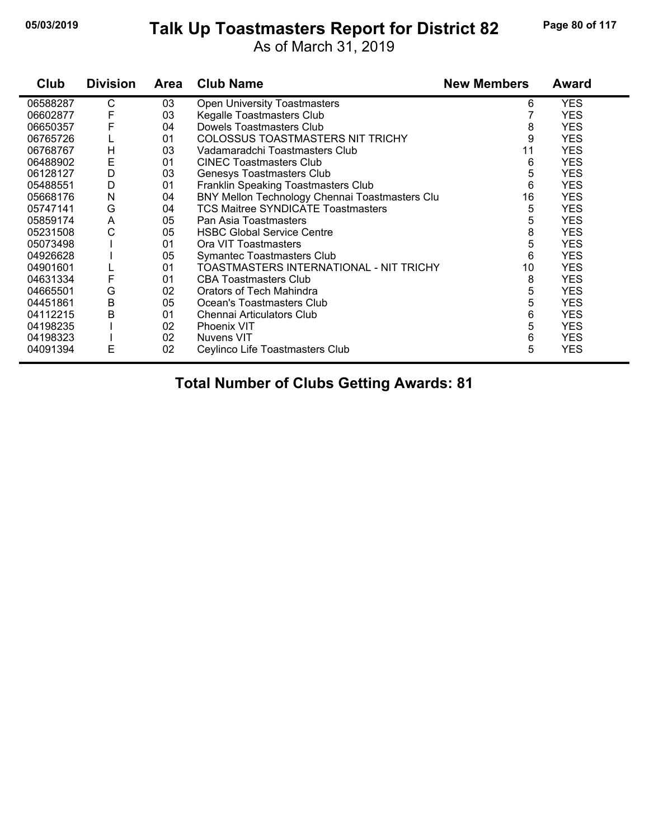# **05/03/2019 Page 80 of 117 Talk Up Toastmasters Report for District 82**

As of March 31, 2019

| Club     | <b>Division</b> | <b>Area</b> | <b>Club Name</b>                               | <b>New Members</b> | <b>Award</b> |
|----------|-----------------|-------------|------------------------------------------------|--------------------|--------------|
| 06588287 | С               | 03          | <b>Open University Toastmasters</b>            | 6                  | <b>YES</b>   |
| 06602877 | F               | 03          | Kegalle Toastmasters Club                      |                    | <b>YES</b>   |
| 06650357 | F               | 04          | Dowels Toastmasters Club                       | 8                  | <b>YES</b>   |
| 06765726 |                 | 01          | COLOSSUS TOASTMASTERS NIT TRICHY               | 9                  | <b>YES</b>   |
| 06768767 | H               | 03          | Vadamaradchi Toastmasters Club                 | 11                 | <b>YES</b>   |
| 06488902 | Ε               | 01          | <b>CINEC Toastmasters Club</b>                 | 6                  | <b>YES</b>   |
| 06128127 | D               | 03          | Genesys Toastmasters Club                      | 5                  | <b>YES</b>   |
| 05488551 | D               | 01          | <b>Franklin Speaking Toastmasters Club</b>     | 6                  | <b>YES</b>   |
| 05668176 | N               | 04          | BNY Mellon Technology Chennai Toastmasters Clu | 16                 | <b>YES</b>   |
| 05747141 | G               | 04          | <b>TCS Maitree SYNDICATE Toastmasters</b>      | 5                  | <b>YES</b>   |
| 05859174 | A               | 05          | Pan Asia Toastmasters                          | 5                  | <b>YES</b>   |
| 05231508 | C               | 05          | <b>HSBC Global Service Centre</b>              | 8                  | <b>YES</b>   |
| 05073498 |                 | 01          | Ora VIT Toastmasters                           | 5                  | <b>YES</b>   |
| 04926628 |                 | 05          | Symantec Toastmasters Club                     | 6                  | <b>YES</b>   |
| 04901601 |                 | 01          | TOASTMASTERS INTERNATIONAL - NIT TRICHY        | 10                 | <b>YES</b>   |
| 04631334 | F               | 01          | <b>CBA Toastmasters Club</b>                   | 8                  | <b>YES</b>   |
| 04665501 | G               | 02          | Orators of Tech Mahindra                       | 5                  | <b>YES</b>   |
| 04451861 | B               | 05          | Ocean's Toastmasters Club                      | 5                  | <b>YES</b>   |
| 04112215 | Β               | 01          | Chennai Articulators Club                      | 6                  | <b>YES</b>   |
| 04198235 |                 | 02          | Phoenix VIT                                    | 5                  | <b>YES</b>   |
| 04198323 |                 | 02          | Nuvens VIT                                     | 6                  | <b>YES</b>   |
| 04091394 | Е               | 02          | Ceylinco Life Toastmasters Club                | 5                  | <b>YES</b>   |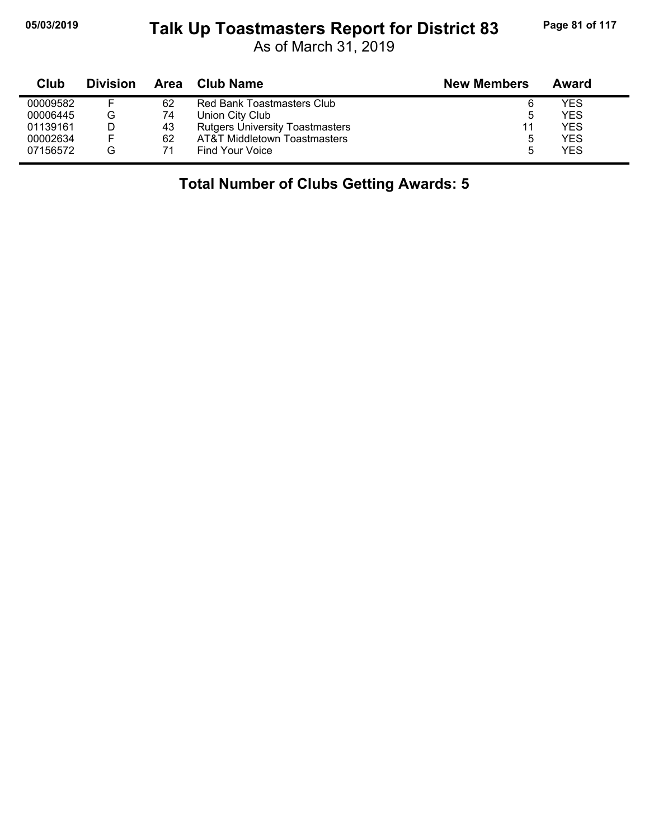# **05/03/2019 Page 81 of 117 Talk Up Toastmasters Report for District 83**

As of March 31, 2019

| Club     | <b>Division</b> | Area | <b>Club Name</b>                       | <b>New Members</b> | Award |
|----------|-----------------|------|----------------------------------------|--------------------|-------|
| 00009582 |                 | 62   | Red Bank Toastmasters Club             | 6                  | YES   |
| 00006445 | G               | 74   | Union City Club                        | 5                  | YES   |
| 01139161 |                 | 43   | <b>Rutgers University Toastmasters</b> | 11                 | YES   |
| 00002634 | E               | 62   | AT&T Middletown Toastmasters           | 5                  | YES   |
| 07156572 | G               |      | Find Your Voice                        | 5                  | YES   |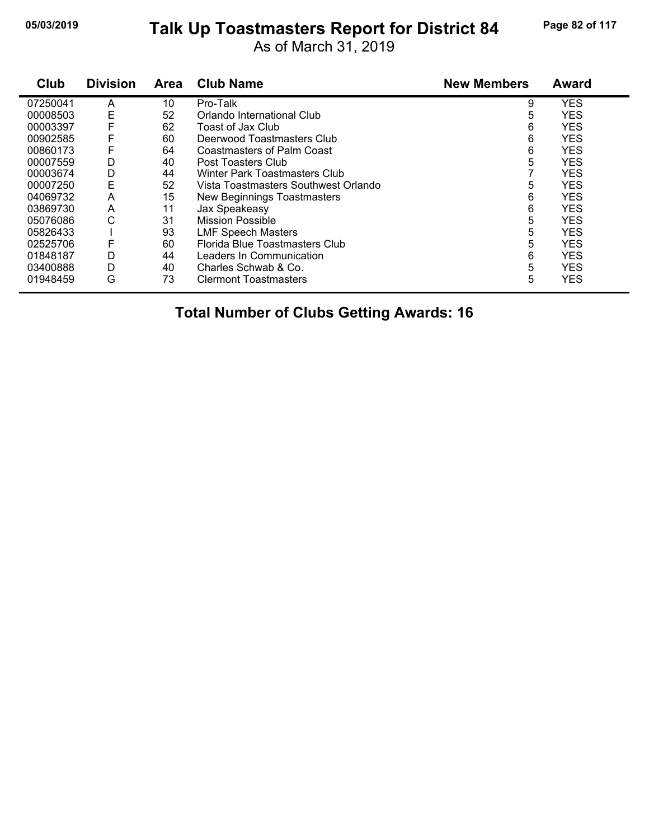# **05/03/2019 Page 82 of 117 Talk Up Toastmasters Report for District 84**

As of March 31, 2019

| Club     | <b>Division</b> | <b>Area</b> | <b>Club Name</b>                     | <b>New Members</b> | <b>Award</b> |
|----------|-----------------|-------------|--------------------------------------|--------------------|--------------|
| 07250041 | A               | 10          | Pro-Talk                             | 9                  | <b>YES</b>   |
| 00008503 | Ε               | 52          | Orlando International Club           | 5                  | <b>YES</b>   |
| 00003397 | F               | 62          | Toast of Jax Club                    | 6                  | <b>YES</b>   |
| 00902585 | F               | 60          | Deerwood Toastmasters Club           | 6                  | <b>YES</b>   |
| 00860173 | F               | 64          | <b>Coastmasters of Palm Coast</b>    | 6                  | <b>YES</b>   |
| 00007559 | D               | 40          | Post Toasters Club                   | 5                  | <b>YES</b>   |
| 00003674 | D               | 44          | Winter Park Toastmasters Club        |                    | <b>YES</b>   |
| 00007250 | E               | 52          | Vista Toastmasters Southwest Orlando | 5                  | <b>YES</b>   |
| 04069732 | A               | 15          | New Beginnings Toastmasters          | 6                  | <b>YES</b>   |
| 03869730 | A               | 11          | Jax Speakeasy                        | 6                  | <b>YES</b>   |
| 05076086 | С               | 31          | <b>Mission Possible</b>              | 5                  | <b>YES</b>   |
| 05826433 |                 | 93          | <b>LMF Speech Masters</b>            | 5                  | <b>YES</b>   |
| 02525706 | F               | 60          | Florida Blue Toastmasters Club       | 5                  | <b>YES</b>   |
| 01848187 | D               | 44          | Leaders In Communication             | 6                  | <b>YES</b>   |
| 03400888 | D               | 40          | Charles Schwab & Co.                 | 5                  | <b>YES</b>   |
| 01948459 | G               | 73          | <b>Clermont Toastmasters</b>         | 5                  | <b>YES</b>   |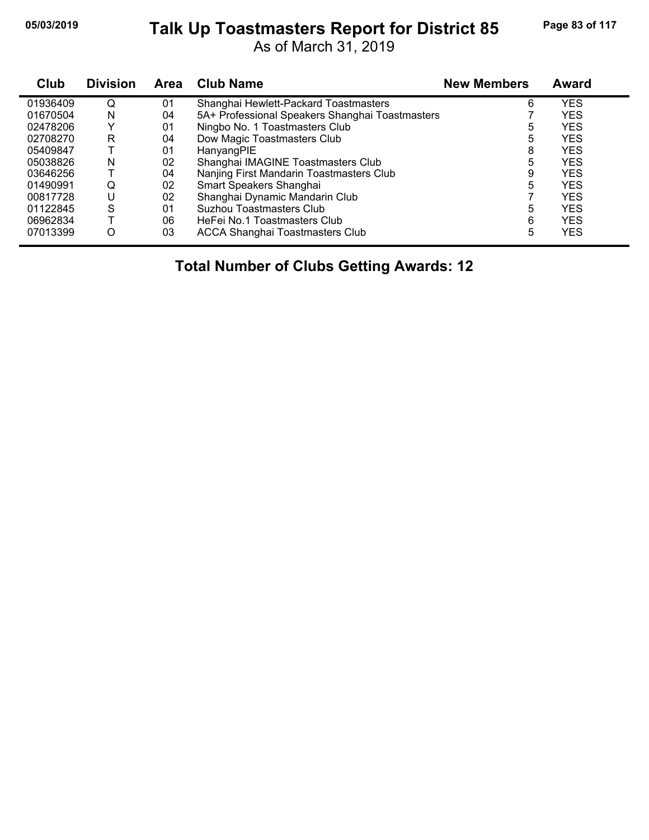# **05/03/2019 Page 83 of 117 Talk Up Toastmasters Report for District 85**

As of March 31, 2019

| Club     | <b>Division</b> | <b>Area</b> | <b>Club Name</b>                                | <b>New Members</b> | Award      |
|----------|-----------------|-------------|-------------------------------------------------|--------------------|------------|
| 01936409 | Q               | 01          | Shanghai Hewlett-Packard Toastmasters           | 6                  | <b>YES</b> |
| 01670504 | N               | 04          | 5A+ Professional Speakers Shanghai Toastmasters |                    | <b>YES</b> |
| 02478206 |                 | 01          | Ningbo No. 1 Toastmasters Club                  | 5                  | <b>YES</b> |
| 02708270 | R               | 04          | Dow Magic Toastmasters Club                     | 5                  | <b>YES</b> |
| 05409847 |                 | 01          | HanyangPIE                                      | 8                  | <b>YES</b> |
| 05038826 | N               | 02          | Shanghai IMAGINE Toastmasters Club              | 5                  | <b>YES</b> |
| 03646256 |                 | 04          | Nanjing First Mandarin Toastmasters Club        | 9                  | <b>YES</b> |
| 01490991 | Q               | 02          | Smart Speakers Shanghai                         | 5                  | <b>YES</b> |
| 00817728 | U               | 02          | Shanghai Dynamic Mandarin Club                  |                    | <b>YES</b> |
| 01122845 | S               | 01          | <b>Suzhou Toastmasters Club</b>                 | 5                  | <b>YES</b> |
| 06962834 |                 | 06          | HeFei No.1 Toastmasters Club                    | 6                  | <b>YES</b> |
| 07013399 | Ω               | 03          | <b>ACCA Shanghai Toastmasters Club</b>          | 5                  | <b>YES</b> |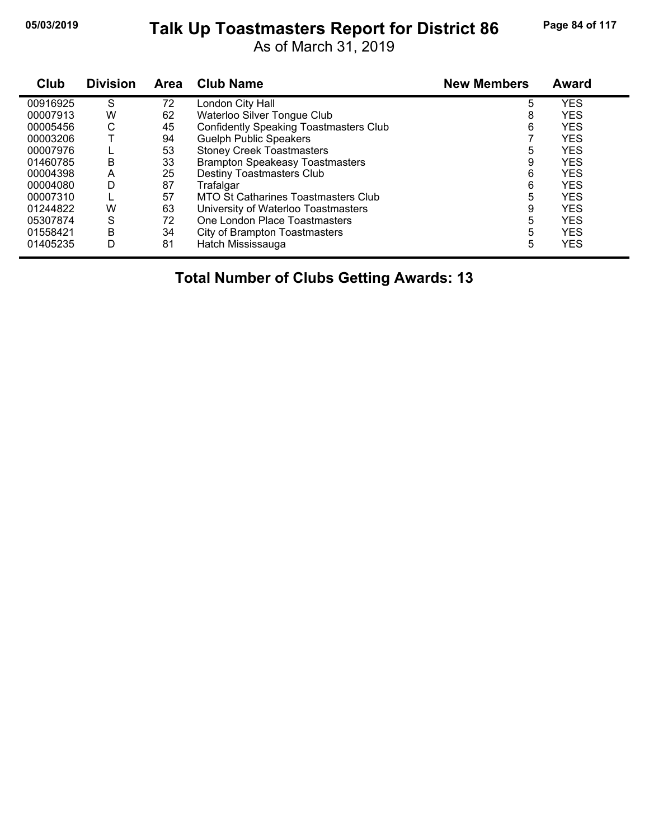# **05/03/2019 Page 84 of 117 Talk Up Toastmasters Report for District 86**

As of March 31, 2019

| Club     | <b>Division</b> | Area | <b>Club Name</b>                              | <b>New Members</b> | <b>Award</b> |
|----------|-----------------|------|-----------------------------------------------|--------------------|--------------|
| 00916925 | S               | 72   | London City Hall                              | 5                  | <b>YES</b>   |
| 00007913 | W               | 62   | Waterloo Silver Tongue Club                   | 8                  | <b>YES</b>   |
| 00005456 | С               | 45   | <b>Confidently Speaking Toastmasters Club</b> | 6                  | <b>YES</b>   |
| 00003206 |                 | 94   | <b>Guelph Public Speakers</b>                 |                    | <b>YES</b>   |
| 00007976 |                 | 53   | <b>Stoney Creek Toastmasters</b>              | 5                  | <b>YES</b>   |
| 01460785 | В               | 33   | <b>Brampton Speakeasy Toastmasters</b>        | 9                  | <b>YES</b>   |
| 00004398 | A               | 25   | Destiny Toastmasters Club                     | 6                  | <b>YES</b>   |
| 00004080 | D               | 87   | Trafalgar                                     | 6                  | <b>YES</b>   |
| 00007310 |                 | 57   | <b>MTO St Catharines Toastmasters Club</b>    | 5                  | <b>YES</b>   |
| 01244822 | W               | 63   | University of Waterloo Toastmasters           | 9                  | <b>YES</b>   |
| 05307874 | S               | 72   | One London Place Toastmasters                 | 5                  | <b>YES</b>   |
| 01558421 | B               | 34   | City of Brampton Toastmasters                 | 5                  | <b>YES</b>   |
| 01405235 | D               | 81   | Hatch Mississauga                             | 5                  | <b>YES</b>   |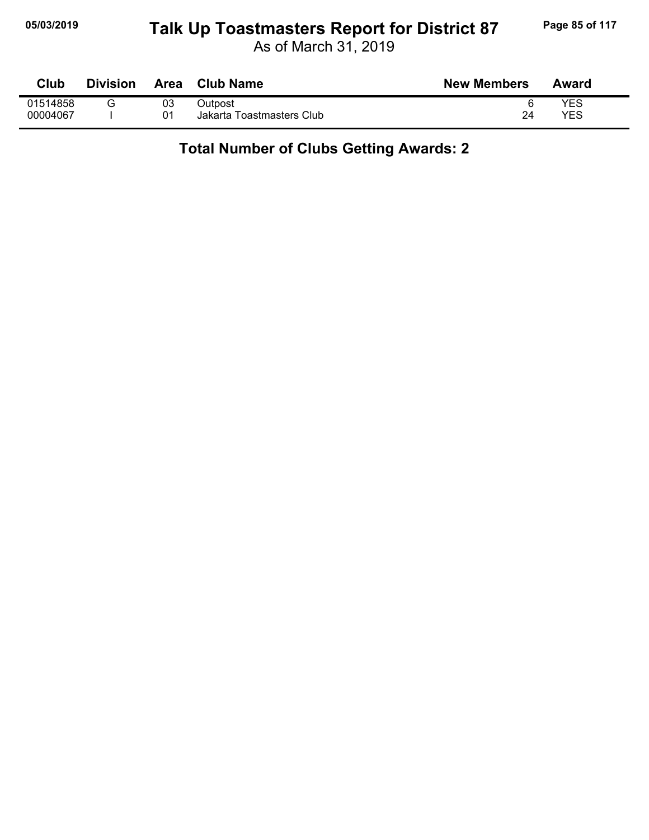## **05/03/2019 Page 85 of 117 Talk Up Toastmasters Report for District 87**

As of March 31, 2019

| Club     | Division | Area | <b>Club Name</b>          | <b>New Members</b> | Award |
|----------|----------|------|---------------------------|--------------------|-------|
| 01514858 |          | 03   | Dutpost                   |                    | YES   |
| 00004067 |          | 01   | Jakarta Toastmasters Club | 24                 | YES   |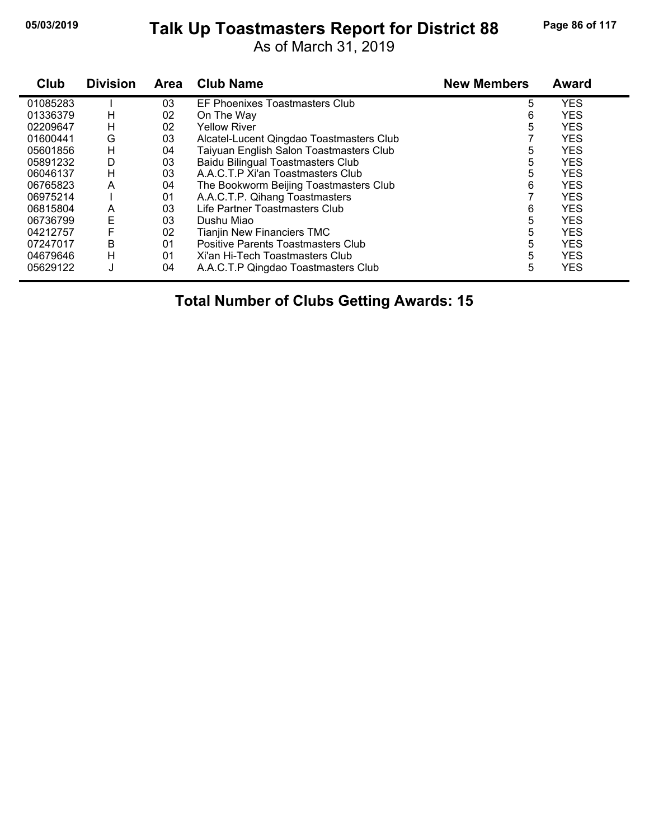# **05/03/2019 Page 86 of 117 Talk Up Toastmasters Report for District 88**

As of March 31, 2019

| Club     | <b>Division</b> | <b>Area</b> | <b>Club Name</b>                          | <b>New Members</b> | <b>Award</b> |
|----------|-----------------|-------------|-------------------------------------------|--------------------|--------------|
| 01085283 |                 | 03          | EF Phoenixes Toastmasters Club            | 5                  | <b>YES</b>   |
| 01336379 | н               | 02          | On The Way                                | 6                  | <b>YES</b>   |
| 02209647 | н               | 02          | <b>Yellow River</b>                       | 5                  | <b>YES</b>   |
| 01600441 | G               | 03          | Alcatel-Lucent Qingdao Toastmasters Club  |                    | <b>YES</b>   |
| 05601856 | Н               | 04          | Taiyuan English Salon Toastmasters Club   | 5                  | <b>YES</b>   |
| 05891232 | D               | 03          | <b>Baidu Bilingual Toastmasters Club</b>  | 5                  | <b>YES</b>   |
| 06046137 | Н               | 03          | A.A.C.T.P Xi'an Toastmasters Club         | 5                  | <b>YES</b>   |
| 06765823 | A               | 04          | The Bookworm Beijing Toastmasters Club    | 6                  | <b>YES</b>   |
| 06975214 |                 | 01          | A.A.C.T.P. Qihang Toastmasters            |                    | <b>YES</b>   |
| 06815804 | A               | 03          | Life Partner Toastmasters Club            | 6                  | <b>YES</b>   |
| 06736799 | E               | 03          | Dushu Miao                                | 5                  | <b>YES</b>   |
| 04212757 | F               | 02          | <b>Tianjin New Financiers TMC</b>         | 5                  | <b>YES</b>   |
| 07247017 | B               | 01          | <b>Positive Parents Toastmasters Club</b> | 5                  | <b>YES</b>   |
| 04679646 | H               | 01          | Xi'an Hi-Tech Toastmasters Club           | 5                  | <b>YES</b>   |
| 05629122 | J               | 04          | A.A.C.T.P Qingdao Toastmasters Club       | 5                  | <b>YES</b>   |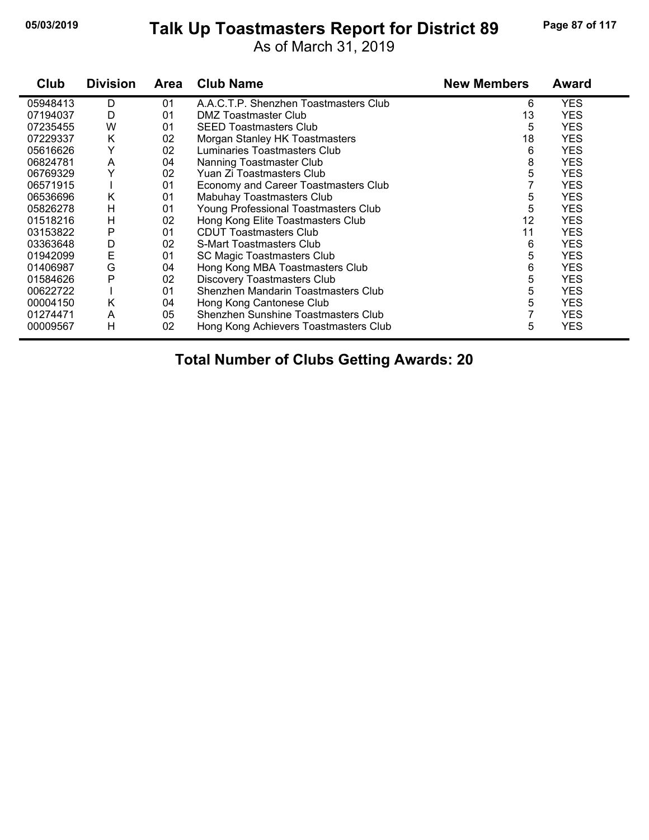# **05/03/2019 Page 87 of 117 Talk Up Toastmasters Report for District 89**

As of March 31, 2019

| Club     | <b>Division</b> | Area | <b>Club Name</b>                      | <b>New Members</b> | Award      |
|----------|-----------------|------|---------------------------------------|--------------------|------------|
| 05948413 | D               | 01   | A.A.C.T.P. Shenzhen Toastmasters Club | 6                  | <b>YES</b> |
| 07194037 | D               | 01   | DMZ Toastmaster Club                  | 13                 | <b>YES</b> |
| 07235455 | W               | 01   | <b>SEED Toastmasters Club</b>         | 5                  | <b>YES</b> |
| 07229337 | Κ               | 02   | Morgan Stanley HK Toastmasters        | 18                 | <b>YES</b> |
| 05616626 | Y               | 02   | Luminaries Toastmasters Club          | 6                  | <b>YES</b> |
| 06824781 | A               | 04   | Nanning Toastmaster Club              | 8                  | <b>YES</b> |
| 06769329 | Y               | 02   | Yuan Zi Toastmasters Club             | 5                  | <b>YES</b> |
| 06571915 |                 | 01   | Economy and Career Toastmasters Club  |                    | <b>YES</b> |
| 06536696 | Κ               | 01   | Mabuhay Toastmasters Club             | 5                  | <b>YES</b> |
| 05826278 | н               | 01   | Young Professional Toastmasters Club  | 5                  | <b>YES</b> |
| 01518216 | н               | 02   | Hong Kong Elite Toastmasters Club     | 12                 | <b>YES</b> |
| 03153822 | Ρ               | 01   | <b>CDUT Toastmasters Club</b>         | 11                 | <b>YES</b> |
| 03363648 | D               | 02   | <b>S-Mart Toastmasters Club</b>       | 6                  | <b>YES</b> |
| 01942099 | E               | 01   | <b>SC Magic Toastmasters Club</b>     | 5                  | <b>YES</b> |
| 01406987 | G               | 04   | Hong Kong MBA Toastmasters Club       | 6                  | <b>YES</b> |
| 01584626 | P               | 02   | <b>Discovery Toastmasters Club</b>    | 5                  | <b>YES</b> |
| 00622722 |                 | 01   | Shenzhen Mandarin Toastmasters Club   | 5                  | <b>YES</b> |
| 00004150 | Κ               | 04   | Hong Kong Cantonese Club              | 5                  | <b>YES</b> |
| 01274471 | A               | 05   | Shenzhen Sunshine Toastmasters Club   |                    | <b>YES</b> |
| 00009567 | Н               | 02   | Hong Kong Achievers Toastmasters Club | 5                  | <b>YES</b> |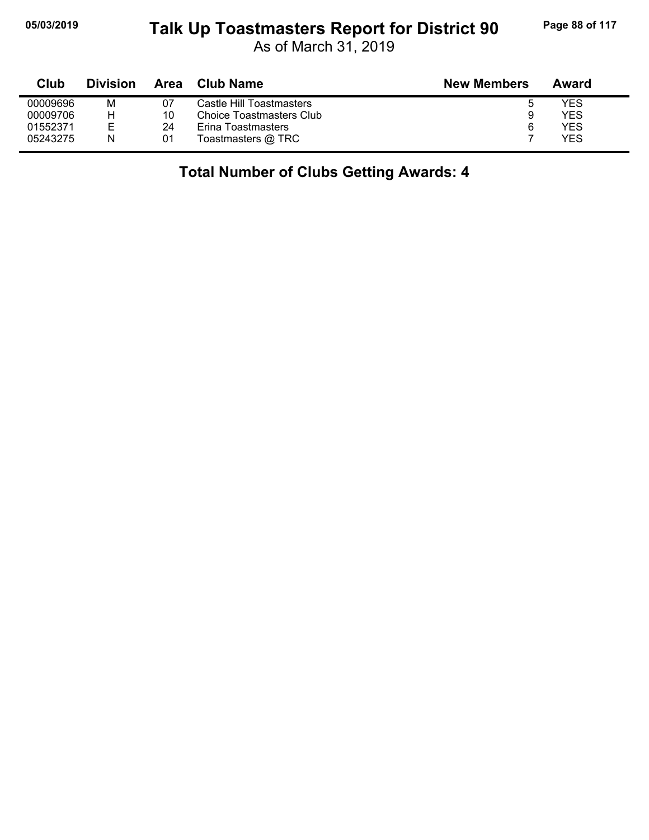## **05/03/2019 Page 88 of 117 Talk Up Toastmasters Report for District 90**

As of March 31, 2019

| Club     | <b>Division</b> | Area | Club Name                | <b>New Members</b> | Award |
|----------|-----------------|------|--------------------------|--------------------|-------|
| 00009696 | М               | 07   | Castle Hill Toastmasters | 0                  | YES   |
| 00009706 | н               | 10   | Choice Toastmasters Club | 9                  | YES   |
| 01552371 | E               | 24   | Erina Toastmasters       | 6                  | YES   |
| 05243275 | N               | 01   | Toastmasters @ TRC       |                    | YES   |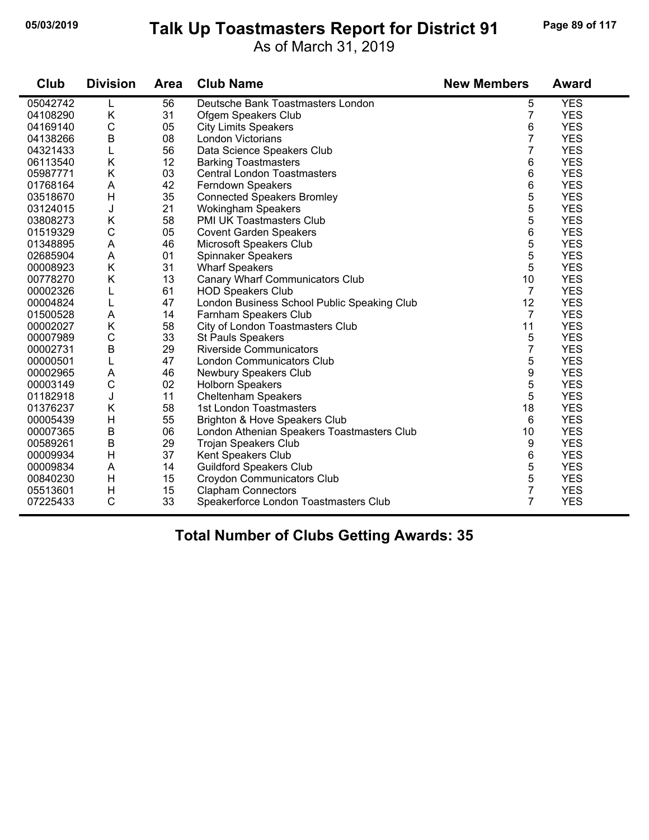## **05/03/2019 Page 89 of 117 Talk Up Toastmasters Report for District 91**

As of March 31, 2019

| Club     | <b>Division</b> | Area | <b>Club Name</b>                            | <b>New Members</b> | <b>Award</b> |
|----------|-----------------|------|---------------------------------------------|--------------------|--------------|
| 05042742 | L               | 56   | Deutsche Bank Toastmasters London           | 5                  | <b>YES</b>   |
| 04108290 | K               | 31   | Ofgem Speakers Club                         | $\overline{7}$     | <b>YES</b>   |
| 04169140 | $\mathsf{C}$    | 05   | <b>City Limits Speakers</b>                 | 6                  | <b>YES</b>   |
| 04138266 | B               | 08   | London Victorians                           | 7                  | <b>YES</b>   |
| 04321433 | L               | 56   | Data Science Speakers Club                  | 7                  | <b>YES</b>   |
| 06113540 | Κ               | 12   | <b>Barking Toastmasters</b>                 | 6                  | <b>YES</b>   |
| 05987771 | Κ               | 03   | <b>Central London Toastmasters</b>          | 6                  | <b>YES</b>   |
| 01768164 | A               | 42   | Ferndown Speakers                           | 6                  | <b>YES</b>   |
| 03518670 | H               | 35   | <b>Connected Speakers Bromley</b>           | 5                  | <b>YES</b>   |
| 03124015 | J               | 21   | <b>Wokingham Speakers</b>                   | 5                  | <b>YES</b>   |
| 03808273 | K               | 58   | PMI UK Toastmasters Club                    | 5                  | <b>YES</b>   |
| 01519329 | C               | 05   | <b>Covent Garden Speakers</b>               | 6                  | <b>YES</b>   |
| 01348895 | A               | 46   | Microsoft Speakers Club                     | 5                  | <b>YES</b>   |
| 02685904 | A               | 01   | Spinnaker Speakers                          | 5                  | <b>YES</b>   |
| 00008923 | K               | 31   | <b>Wharf Speakers</b>                       | 5                  | <b>YES</b>   |
| 00778270 | Κ               | 13   | Canary Wharf Communicators Club             | 10                 | <b>YES</b>   |
| 00002326 | L               | 61   | <b>HOD Speakers Club</b>                    | $\overline{7}$     | <b>YES</b>   |
| 00004824 | L               | 47   | London Business School Public Speaking Club | 12                 | <b>YES</b>   |
| 01500528 | A               | 14   | Farnham Speakers Club                       | $\overline{7}$     | <b>YES</b>   |
| 00002027 | K               | 58   | City of London Toastmasters Club            | 11                 | <b>YES</b>   |
| 00007989 | $\mathsf C$     | 33   | <b>St Pauls Speakers</b>                    | 5                  | <b>YES</b>   |
| 00002731 | $\sf B$         | 29   | <b>Riverside Communicators</b>              | 7                  | <b>YES</b>   |
| 00000501 | L               | 47   | <b>London Communicators Club</b>            | 5                  | <b>YES</b>   |
| 00002965 | A               | 46   | Newbury Speakers Club                       | 9                  | <b>YES</b>   |
| 00003149 | $\mathsf C$     | 02   | <b>Holborn Speakers</b>                     | 5                  | <b>YES</b>   |
| 01182918 | J               | 11   | <b>Cheltenham Speakers</b>                  | 5                  | <b>YES</b>   |
| 01376237 | K               | 58   | 1st London Toastmasters                     | 18                 | <b>YES</b>   |
| 00005439 | Н               | 55   | Brighton & Hove Speakers Club               | 6                  | <b>YES</b>   |
| 00007365 | $\sf B$         | 06   | London Athenian Speakers Toastmasters Club  | 10                 | <b>YES</b>   |
| 00589261 | B               | 29   | Trojan Speakers Club                        | 9                  | <b>YES</b>   |
| 00009934 | Н               | 37   | Kent Speakers Club                          | 6                  | <b>YES</b>   |
| 00009834 | A               | 14   | <b>Guildford Speakers Club</b>              | 5                  | <b>YES</b>   |
| 00840230 | H               | 15   | Croydon Communicators Club                  | 5                  | <b>YES</b>   |
| 05513601 | Н               | 15   | <b>Clapham Connectors</b>                   | 7                  | <b>YES</b>   |
| 07225433 | $\mathsf{C}$    | 33   | Speakerforce London Toastmasters Club       | 7                  | <b>YES</b>   |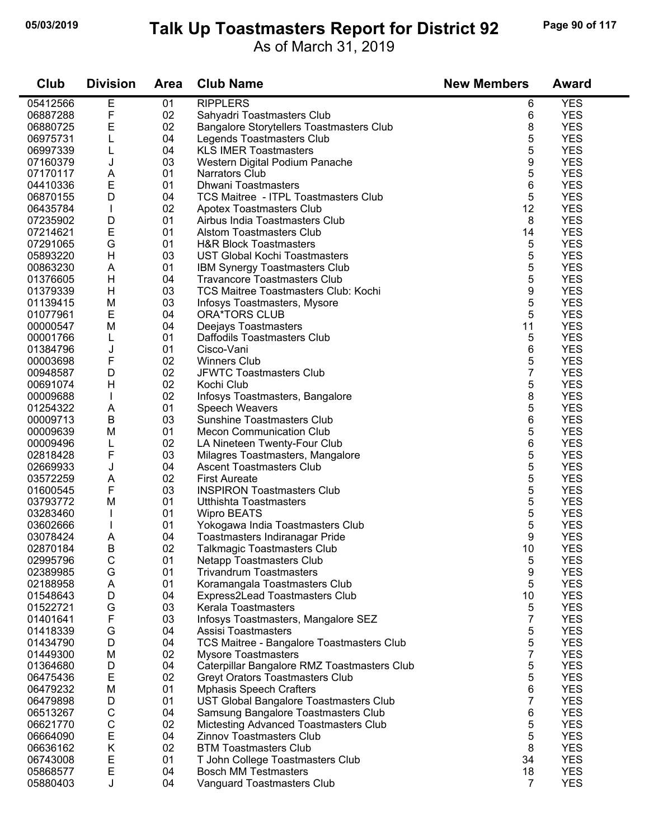#### **05/03/2019 Page 90 of 117 Talk Up Toastmasters Report for District 92**

As of March 31, 2019

| Club     | <b>Division</b> | <b>Area</b> | <b>Club Name</b>                                | <b>New Members</b> | <b>Award</b> |  |
|----------|-----------------|-------------|-------------------------------------------------|--------------------|--------------|--|
| 05412566 | E               | 01          | <b>RIPPLERS</b>                                 | 6                  | <b>YES</b>   |  |
| 06887288 | F               | 02          | Sahyadri Toastmasters Club                      | 6                  | <b>YES</b>   |  |
| 06880725 | E               | 02          | <b>Bangalore Storytellers Toastmasters Club</b> | 8                  | <b>YES</b>   |  |
| 06975731 | L               | 04          | Legends Toastmasters Club                       | 5                  | <b>YES</b>   |  |
| 06997339 | L               | 04          | <b>KLS IMER Toastmasters</b>                    | 5                  | <b>YES</b>   |  |
| 07160379 | J               | 03          | Western Digital Podium Panache                  | 9                  | <b>YES</b>   |  |
| 07170117 | A               | 01          | Narrators Club                                  | 5                  | <b>YES</b>   |  |
| 04410336 | E               | 01          | <b>Dhwani Toastmasters</b>                      | 6                  | <b>YES</b>   |  |
| 06870155 | D               | 04          | <b>TCS Maitree - ITPL Toastmasters Club</b>     | 5                  | <b>YES</b>   |  |
| 06435784 |                 | 02          | Apotex Toastmasters Club                        | 12                 | <b>YES</b>   |  |
| 07235902 | D               | 01          | Airbus India Toastmasters Club                  | 8                  | <b>YES</b>   |  |
| 07214621 | $\mathsf E$     | 01          | <b>Alstom Toastmasters Club</b>                 | 14                 | <b>YES</b>   |  |
| 07291065 | G               | 01          | <b>H&amp;R Block Toastmasters</b>               | 5                  | <b>YES</b>   |  |
| 05893220 | H               | 03          | <b>UST Global Kochi Toastmasters</b>            | 5                  | <b>YES</b>   |  |
| 00863230 | A               | 01          | <b>IBM Synergy Toastmasters Club</b>            | 5                  | <b>YES</b>   |  |
| 01376605 | H               | 04          | <b>Travancore Toastmasters Club</b>             | 5                  | <b>YES</b>   |  |
| 01379339 | H               | 03          | <b>TCS Maitree Toastmasters Club: Kochi</b>     | 9                  | <b>YES</b>   |  |
| 01139415 |                 | 03          |                                                 | 5                  | <b>YES</b>   |  |
|          | M<br>E          |             | Infosys Toastmasters, Mysore                    |                    |              |  |
| 01077961 |                 | 04          | <b>ORA*TORS CLUB</b>                            | 5                  | <b>YES</b>   |  |
| 00000547 | M               | 04          | Deejays Toastmasters                            | 11                 | <b>YES</b>   |  |
| 00001766 | L               | 01          | Daffodils Toastmasters Club                     | 5                  | <b>YES</b>   |  |
| 01384796 | J               | 01          | Cisco-Vani                                      | 6                  | <b>YES</b>   |  |
| 00003698 | F               | 02          | <b>Winners Club</b>                             | 5                  | <b>YES</b>   |  |
| 00948587 | D               | 02          | <b>JFWTC Toastmasters Club</b>                  | $\overline{7}$     | <b>YES</b>   |  |
| 00691074 | H               | 02          | Kochi Club                                      | 5                  | <b>YES</b>   |  |
| 00009688 |                 | 02          | Infosys Toastmasters, Bangalore                 | 8                  | <b>YES</b>   |  |
| 01254322 | Α               | 01          | Speech Weavers                                  | 5                  | <b>YES</b>   |  |
| 00009713 | B               | 03          | <b>Sunshine Toastmasters Club</b>               | 6                  | <b>YES</b>   |  |
| 00009639 | M               | 01          | <b>Mecon Communication Club</b>                 | 5                  | <b>YES</b>   |  |
| 00009496 | L               | 02          | LA Nineteen Twenty-Four Club                    | 6                  | <b>YES</b>   |  |
| 02818428 | F               | 03          | Milagres Toastmasters, Mangalore                | 5                  | <b>YES</b>   |  |
| 02669933 | J               | 04          | <b>Ascent Toastmasters Club</b>                 | 5                  | <b>YES</b>   |  |
| 03572259 | Α               | 02          | <b>First Aureate</b>                            | 5                  | <b>YES</b>   |  |
| 01600545 | F               | 03          | <b>INSPIRON Toastmasters Club</b>               | 5                  | <b>YES</b>   |  |
| 03793772 | M               | 01          | Utthishta Toastmasters                          | 5                  | <b>YES</b>   |  |
| 03283460 |                 | 01          | <b>Wipro BEATS</b>                              | 5                  | <b>YES</b>   |  |
| 03602666 |                 | 01          | Yokogawa India Toastmasters Club                | 5                  | <b>YES</b>   |  |
| 03078424 | A               | 04          | Toastmasters Indiranagar Pride                  | 9                  | <b>YES</b>   |  |
| 02870184 | В               | 02          | Talkmagic Toastmasters Club                     | 10                 | <b>YES</b>   |  |
| 02995796 | С               | 01          | <b>Netapp Toastmasters Club</b>                 | 5                  | <b>YES</b>   |  |
| 02389985 | G               | 01          | <b>Trivandrum Toastmasters</b>                  | 9                  | <b>YES</b>   |  |
| 02188958 | A               | 01          | Koramangala Toastmasters Club                   | 5                  | <b>YES</b>   |  |
| 01548643 | D               | 04          | Express2Lead Toastmasters Club                  | 10                 | <b>YES</b>   |  |
| 01522721 | G               | 03          | Kerala Toastmasters                             | 5                  | <b>YES</b>   |  |
| 01401641 | F               | 03          | Infosys Toastmasters, Mangalore SEZ             | 7                  | <b>YES</b>   |  |
| 01418339 | G               | 04          | Assisi Toastmasters                             | 5                  | <b>YES</b>   |  |
| 01434790 | D               | 04          | TCS Maitree - Bangalore Toastmasters Club       | 5                  | <b>YES</b>   |  |
| 01449300 | M               | 02          | <b>Mysore Toastmasters</b>                      | 7                  | <b>YES</b>   |  |
| 01364680 | D               | 04          | Caterpillar Bangalore RMZ Toastmasters Club     | 5                  | <b>YES</b>   |  |
| 06475436 | Е               | 02          | <b>Greyt Orators Toastmasters Club</b>          | 5                  | <b>YES</b>   |  |
| 06479232 | M               | 01          | <b>Mphasis Speech Crafters</b>                  | 6                  | <b>YES</b>   |  |
| 06479898 | D               | 01          | UST Global Bangalore Toastmasters Club          | 7                  | <b>YES</b>   |  |
| 06513267 | С               | 04          | Samsung Bangalore Toastmasters Club             | 6                  | <b>YES</b>   |  |
| 06621770 | С               | 02          | Mictesting Advanced Toastmasters Club           | 5                  | <b>YES</b>   |  |
| 06664090 | E               | 04          | <b>Zinnov Toastmasters Club</b>                 | 5                  | <b>YES</b>   |  |
| 06636162 | Κ               | 02          | <b>BTM Toastmasters Club</b>                    | 8                  | <b>YES</b>   |  |
| 06743008 | Е               | 01          | T John College Toastmasters Club                | 34                 | <b>YES</b>   |  |
| 05868577 | E               | 04          | <b>Bosch MM Testmasters</b>                     | 18                 | <b>YES</b>   |  |
| 05880403 | J               | 04          | Vanguard Toastmasters Club                      | $\overline{7}$     | <b>YES</b>   |  |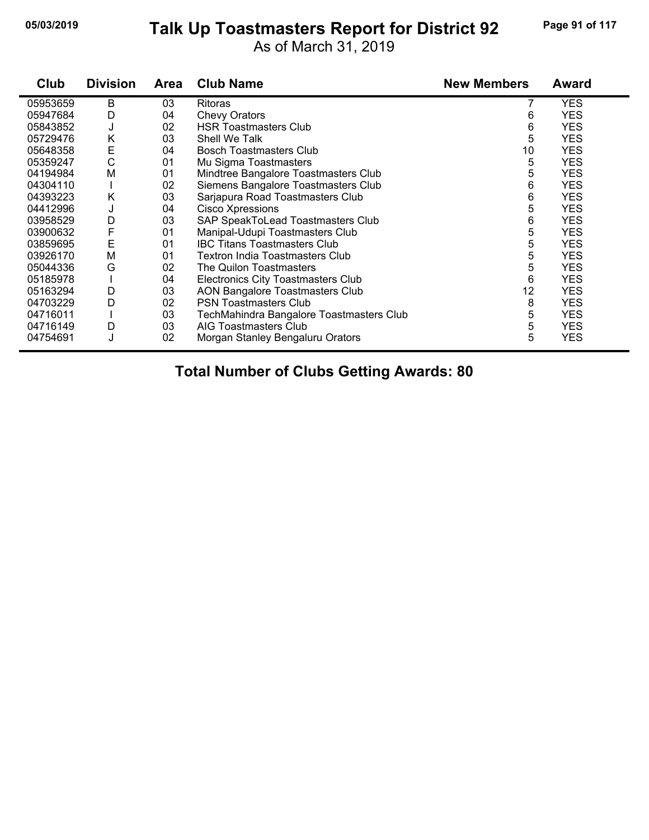#### **05/03/2019 Page 91 of 117 Talk Up Toastmasters Report for District 92**

As of March 31, 2019

| Club     | <b>Division</b> | <b>Area</b> | <b>Club Name</b>                          | <b>New Members</b> | <b>Award</b> |
|----------|-----------------|-------------|-------------------------------------------|--------------------|--------------|
| 05953659 | B               | 03          | <b>Ritoras</b>                            |                    | <b>YES</b>   |
| 05947684 | D               | 04          | <b>Chevy Orators</b>                      | 6                  | <b>YES</b>   |
| 05843852 | J               | 02          | <b>HSR Toastmasters Club</b>              | 6                  | <b>YES</b>   |
| 05729476 | Κ               | 03          | Shell We Talk                             | 5                  | <b>YES</b>   |
| 05648358 | E               | 04          | <b>Bosch Toastmasters Club</b>            | 10                 | <b>YES</b>   |
| 05359247 | С               | 01          | Mu Sigma Toastmasters                     | 5                  | <b>YES</b>   |
| 04194984 | M               | 01          | Mindtree Bangalore Toastmasters Club      | 5                  | <b>YES</b>   |
| 04304110 |                 | 02          | Siemens Bangalore Toastmasters Club       | 6                  | <b>YES</b>   |
| 04393223 | Κ               | 03          | Sarjapura Road Toastmasters Club          | 6                  | <b>YES</b>   |
| 04412996 | J               | 04          | Cisco Xpressions                          | 5                  | <b>YES</b>   |
| 03958529 | D               | 03          | SAP SpeakToLead Toastmasters Club         | 6                  | <b>YES</b>   |
| 03900632 | F               | 01          | Manipal-Udupi Toastmasters Club           | 5                  | <b>YES</b>   |
| 03859695 | E               | 01          | <b>IBC Titans Toastmasters Club</b>       | 5                  | <b>YES</b>   |
| 03926170 | M               | 01          | Textron India Toastmasters Club           | 5                  | <b>YES</b>   |
| 05044336 | G               | 02          | The Quilon Toastmasters                   | 5                  | <b>YES</b>   |
| 05185978 |                 | 04          | <b>Electronics City Toastmasters Club</b> | 6                  | <b>YES</b>   |
| 05163294 | D               | 03          | <b>AON Bangalore Toastmasters Club</b>    | 12                 | <b>YES</b>   |
| 04703229 | D               | 02          | <b>PSN Toastmasters Club</b>              | 8                  | <b>YES</b>   |
| 04716011 |                 | 03          | TechMahindra Bangalore Toastmasters Club  | 5                  | <b>YES</b>   |
| 04716149 | D               | 03          | AIG Toastmasters Club                     | 5                  | <b>YES</b>   |
| 04754691 | J               | 02          | Morgan Stanley Bengaluru Orators          | 5                  | <b>YES</b>   |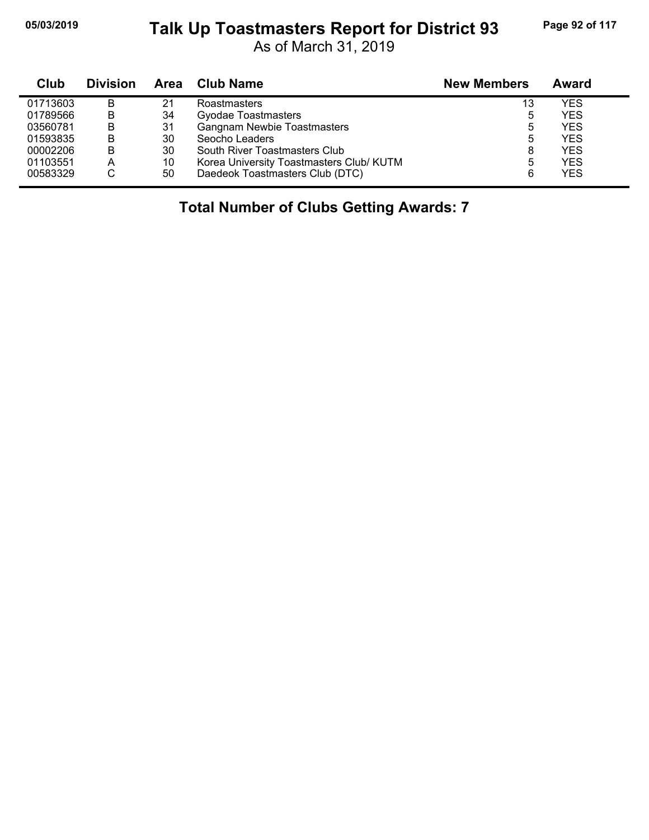## **05/03/2019 Page 92 of 117 Talk Up Toastmasters Report for District 93**

As of March 31, 2019

| <b>Club</b> | <b>Division</b> | Area | <b>Club Name</b>                         | <b>New Members</b> | Award      |
|-------------|-----------------|------|------------------------------------------|--------------------|------------|
| 01713603    | B               | 21   | Roastmasters                             | 13                 | <b>YES</b> |
| 01789566    | B               | 34   | Gyodae Toastmasters                      | 5                  | <b>YES</b> |
| 03560781    | B               | 31   | <b>Gangnam Newbie Toastmasters</b>       | 5                  | <b>YES</b> |
| 01593835    | B               | 30   | Seocho Leaders                           | 5                  | <b>YES</b> |
| 00002206    | В               | 30   | South River Toastmasters Club            | 8                  | <b>YES</b> |
| 01103551    | А               | 10   | Korea University Toastmasters Club/ KUTM | 5                  | <b>YES</b> |
| 00583329    | С               | 50   | Daedeok Toastmasters Club (DTC)          | 6                  | <b>YES</b> |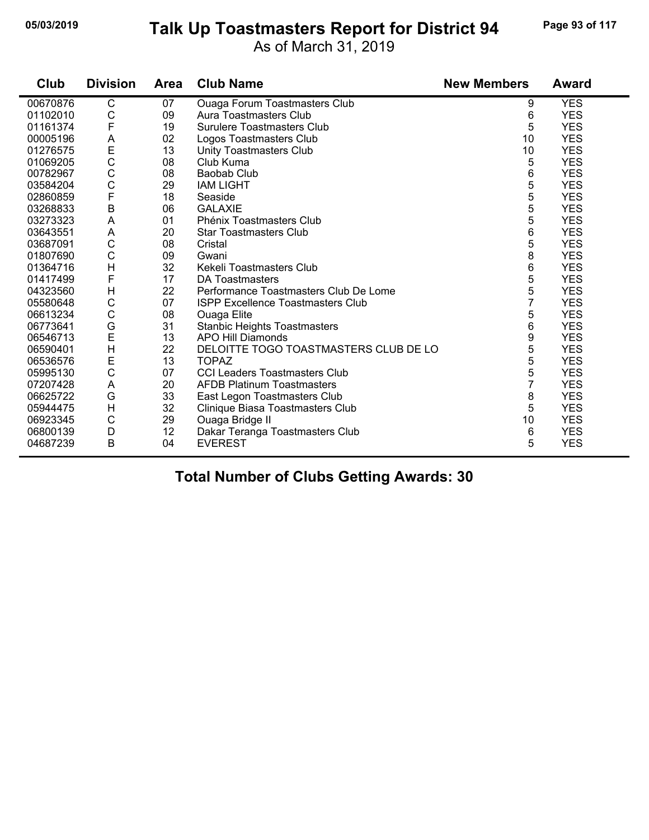# **05/03/2019 Page 93 of 117 Talk Up Toastmasters Report for District 94**

As of March 31, 2019

| Club     | <b>Division</b> | <b>Area</b> | <b>Club Name</b>                         | <b>New Members</b> | <b>Award</b> |
|----------|-----------------|-------------|------------------------------------------|--------------------|--------------|
| 00670876 | C               | 07          | Ouaga Forum Toastmasters Club            | 9                  | <b>YES</b>   |
| 01102010 | C               | 09          | Aura Toastmasters Club                   | 6                  | <b>YES</b>   |
| 01161374 | F               | 19          | <b>Surulere Toastmasters Club</b>        | 5                  | <b>YES</b>   |
| 00005196 | A               | 02          | Logos Toastmasters Club                  | 10                 | <b>YES</b>   |
| 01276575 | E               | 13          | Unity Toastmasters Club                  | 10                 | <b>YES</b>   |
| 01069205 | $\mathsf C$     | 08          | Club Kuma                                | 5                  | <b>YES</b>   |
| 00782967 | $\mathsf{C}$    | 08          | Baobab Club                              | 6                  | <b>YES</b>   |
| 03584204 | $\mathsf{C}$    | 29          | <b>IAM LIGHT</b>                         | 5                  | <b>YES</b>   |
| 02860859 | $\mathsf{F}$    | 18          | Seaside                                  | 5                  | <b>YES</b>   |
| 03268833 | $\mathsf B$     | 06          | <b>GALAXIE</b>                           | 5                  | <b>YES</b>   |
| 03273323 | A               | 01          | Phénix Toastmasters Club                 | 5                  | <b>YES</b>   |
| 03643551 | A               | 20          | <b>Star Toastmasters Club</b>            | 6                  | <b>YES</b>   |
| 03687091 | $\mathsf C$     | 08          | Cristal                                  | 5                  | <b>YES</b>   |
| 01807690 | $\mathsf{C}$    | 09          | Gwani                                    | 8                  | <b>YES</b>   |
| 01364716 | H               | 32          | Kekeli Toastmasters Club                 | 6                  | <b>YES</b>   |
| 01417499 | $\mathsf{F}$    | 17          | DA Toastmasters                          | 5                  | <b>YES</b>   |
| 04323560 | $\mathsf{H}$    | 22          | Performance Toastmasters Club De Lome    | 5                  | <b>YES</b>   |
| 05580648 | $\mathsf C$     | 07          | <b>ISPP Excellence Toastmasters Club</b> | 7                  | <b>YES</b>   |
| 06613234 | $\mathsf C$     | 08          | Ouaga Elite                              | 5                  | <b>YES</b>   |
| 06773641 | G               | 31          | <b>Stanbic Heights Toastmasters</b>      | 6                  | <b>YES</b>   |
| 06546713 | E               | 13          | APO Hill Diamonds                        | 9                  | <b>YES</b>   |
| 06590401 | H               | 22          | DELOITTE TOGO TOASTMASTERS CLUB DE LO    | 5                  | <b>YES</b>   |
| 06536576 | E               | 13          | <b>TOPAZ</b>                             | 5                  | <b>YES</b>   |
| 05995130 | $\mathsf{C}$    | 07          | <b>CCI Leaders Toastmasters Club</b>     | 5                  | <b>YES</b>   |
| 07207428 | A               | 20          | <b>AFDB Platinum Toastmasters</b>        | 7                  | <b>YES</b>   |
| 06625722 | G               | 33          | East Legon Toastmasters Club             | 8                  | <b>YES</b>   |
| 05944475 | $\mathsf{H}$    | 32          | Clinique Biasa Toastmasters Club         | 5                  | <b>YES</b>   |
| 06923345 | $\mathsf C$     | 29          | Ouaga Bridge II                          | 10                 | <b>YES</b>   |
| 06800139 | D               | 12          | Dakar Teranga Toastmasters Club          | 6                  | <b>YES</b>   |
| 04687239 | B               | 04          | <b>EVEREST</b>                           | 5                  | <b>YES</b>   |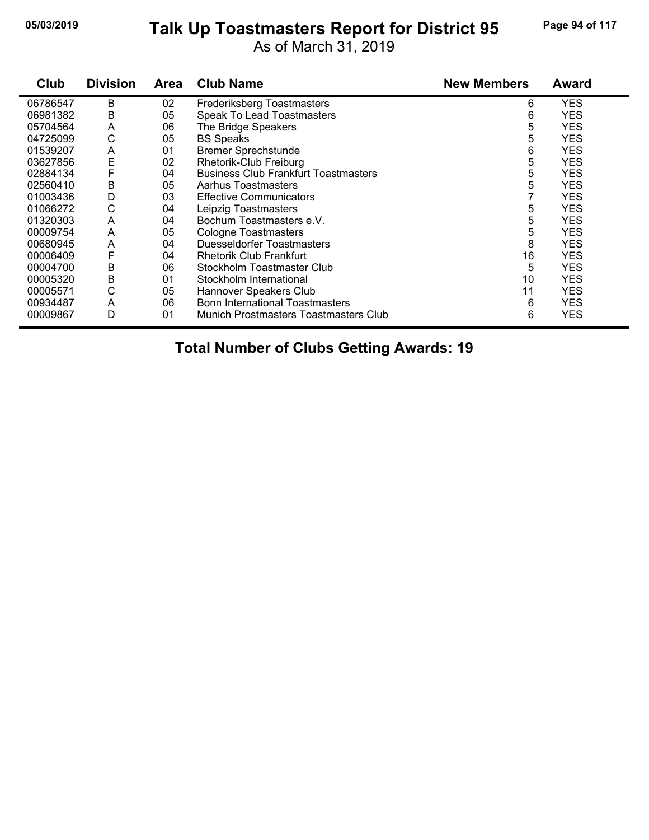## **05/03/2019 Page 94 of 117 Talk Up Toastmasters Report for District 95**

As of March 31, 2019

| Club     | <b>Division</b> | <b>Area</b> | <b>Club Name</b>                            | <b>New Members</b> | <b>Award</b> |
|----------|-----------------|-------------|---------------------------------------------|--------------------|--------------|
| 06786547 | B               | 02          | Frederiksberg Toastmasters                  | 6                  | <b>YES</b>   |
| 06981382 | В               | 05          | Speak To Lead Toastmasters                  | 6                  | <b>YES</b>   |
| 05704564 | A               | 06          | The Bridge Speakers                         | 5                  | <b>YES</b>   |
| 04725099 | С               | 05          | <b>BS Speaks</b>                            | 5                  | <b>YES</b>   |
| 01539207 | A               | 01          | <b>Bremer Sprechstunde</b>                  | 6                  | <b>YES</b>   |
| 03627856 | E               | 02          | Rhetorik-Club Freiburg                      | 5                  | YES          |
| 02884134 | F               | 04          | <b>Business Club Frankfurt Toastmasters</b> | 5                  | YES          |
| 02560410 | B               | 05          | Aarhus Toastmasters                         | 5                  | YES          |
| 01003436 | D               | 03          | <b>Effective Communicators</b>              |                    | <b>YES</b>   |
| 01066272 | С               | 04          | Leipzig Toastmasters                        | 5                  | <b>YES</b>   |
| 01320303 | A               | 04          | Bochum Toastmasters e.V.                    | 5                  | YES          |
| 00009754 | A               | 05          | Cologne Toastmasters                        | 5                  | <b>YES</b>   |
| 00680945 | A               | 04          | <b>Duesseldorfer Toastmasters</b>           | 8                  | <b>YES</b>   |
| 00006409 | F               | 04          | <b>Rhetorik Club Frankfurt</b>              | 16                 | <b>YES</b>   |
| 00004700 | B               | 06          | Stockholm Toastmaster Club                  | 5                  | YES          |
| 00005320 | B               | 01          | Stockholm International                     | 10                 | <b>YES</b>   |
| 00005571 | С               | 05          | Hannover Speakers Club                      | 11                 | <b>YES</b>   |
| 00934487 | A               | 06          | <b>Bonn International Toastmasters</b>      | 6                  | YES          |
| 00009867 | D               | 01          | Munich Prostmasters Toastmasters Club       | 6                  | <b>YES</b>   |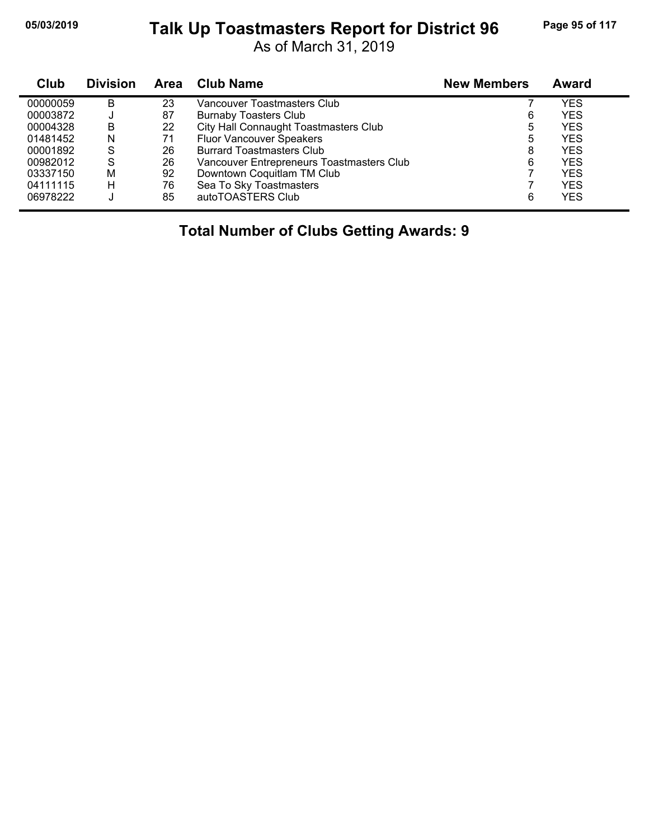# **05/03/2019 Page 95 of 117 Talk Up Toastmasters Report for District 96**

As of March 31, 2019

| Club     | <b>Division</b> | <b>Area</b> | <b>Club Name</b>                          | <b>New Members</b> | Award      |
|----------|-----------------|-------------|-------------------------------------------|--------------------|------------|
| 00000059 | B               | 23          | Vancouver Toastmasters Club               |                    | YES        |
| 00003872 | J               | 87          | <b>Burnaby Toasters Club</b>              | 6                  | <b>YES</b> |
| 00004328 | В               | 22          | City Hall Connaught Toastmasters Club     | 5                  | <b>YES</b> |
| 01481452 | N               | 71          | <b>Fluor Vancouver Speakers</b>           | 5                  | <b>YES</b> |
| 00001892 | S               | 26          | <b>Burrard Toastmasters Club</b>          | 8                  | <b>YES</b> |
| 00982012 | S               | 26          | Vancouver Entrepreneurs Toastmasters Club | 6                  | <b>YES</b> |
| 03337150 | м               | 92          | Downtown Coquitlam TM Club                |                    | <b>YES</b> |
| 04111115 | н               | 76          | Sea To Sky Toastmasters                   |                    | <b>YES</b> |
| 06978222 |                 | 85          | autoTOASTERS Club                         | 6                  | <b>YES</b> |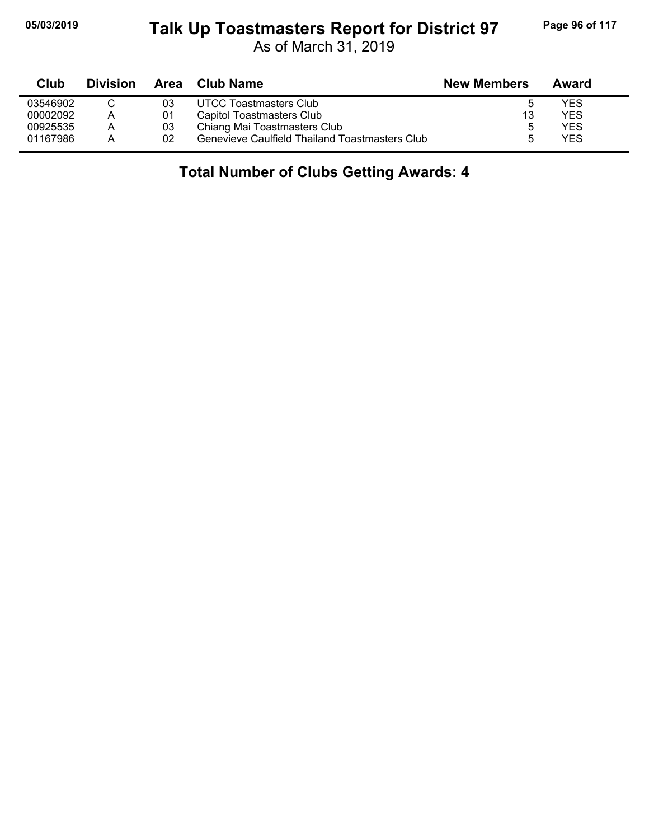## **05/03/2019 Page 96 of 117 Talk Up Toastmasters Report for District 97**

As of March 31, 2019

| Club     | <b>Division</b> | Area | Club Name                                      | <b>New Members</b> | Award |  |
|----------|-----------------|------|------------------------------------------------|--------------------|-------|--|
| 03546902 |                 | 03   | UTCC Toastmasters Club                         |                    | YES   |  |
| 00002092 | A               | 01   | Capitol Toastmasters Club                      | 13                 | YES   |  |
| 00925535 | A               | 03   | Chiang Mai Toastmasters Club                   | 5                  | YES   |  |
| 01167986 | А               | 02   | Genevieve Caulfield Thailand Toastmasters Club |                    | YES   |  |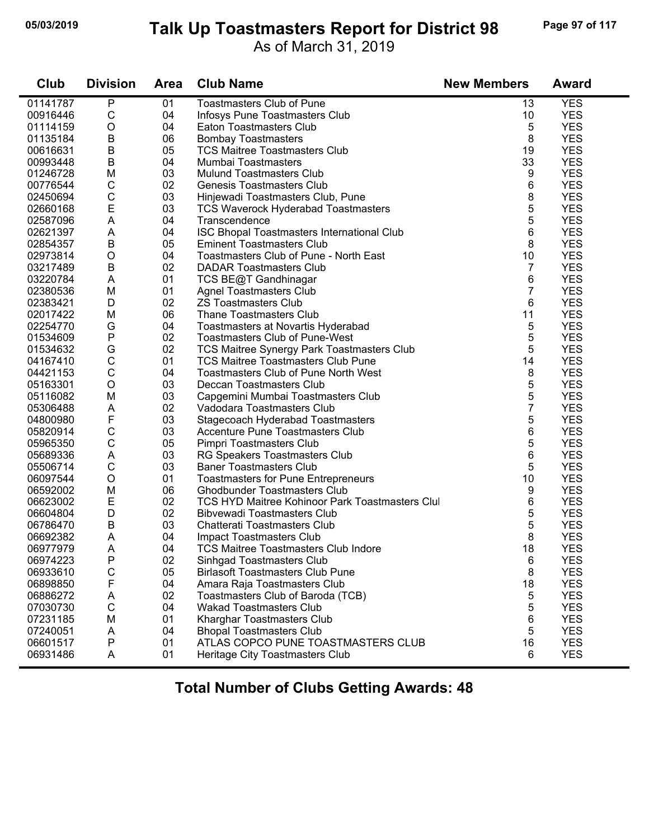## **05/03/2019 Page 97 of 117 Talk Up Toastmasters Report for District 98**

As of March 31, 2019

| Club     | <b>Division</b> | <b>Area</b> | <b>Club Name</b>                                                        | <b>New Members</b> | <b>Award</b> |
|----------|-----------------|-------------|-------------------------------------------------------------------------|--------------------|--------------|
| 01141787 | P               | 01          | <b>Toastmasters Club of Pune</b>                                        | 13                 | <b>YES</b>   |
| 00916446 | C               | 04          | Infosys Pune Toastmasters Club                                          | 10                 | <b>YES</b>   |
| 01114159 | $\circ$         | 04          | Eaton Toastmasters Club                                                 | 5                  | <b>YES</b>   |
| 01135184 | B               | 06          | <b>Bombay Toastmasters</b>                                              | 8                  | <b>YES</b>   |
| 00616631 | $\sf B$         | 05          | <b>TCS Maitree Toastmasters Club</b>                                    | 19                 | <b>YES</b>   |
| 00993448 | $\sf B$         | 04          | Mumbai Toastmasters                                                     | 33                 | <b>YES</b>   |
| 01246728 | M               | 03          | <b>Mulund Toastmasters Club</b>                                         | 9                  | <b>YES</b>   |
| 00776544 | $\mathsf{C}$    | 02          | <b>Genesis Toastmasters Club</b>                                        | 6                  | <b>YES</b>   |
| 02450694 | $\mathsf C$     | 03          | Hinjewadi Toastmasters Club, Pune                                       | 8                  | <b>YES</b>   |
| 02660168 | $\mathsf E$     | 03          | <b>TCS Waverock Hyderabad Toastmasters</b>                              | 5                  | <b>YES</b>   |
| 02587096 | A               | 04          | Transcendence                                                           | 5                  | <b>YES</b>   |
| 02621397 | A               | 04          | ISC Bhopal Toastmasters International Club                              | 6                  | <b>YES</b>   |
| 02854357 | $\sf B$         | 05          | <b>Eminent Toastmasters Club</b>                                        | 8                  | <b>YES</b>   |
| 02973814 | O               | 04          | Toastmasters Club of Pune - North East                                  | 10                 | <b>YES</b>   |
| 03217489 | $\sf B$         | 02          | <b>DADAR Toastmasters Club</b>                                          | 7                  | <b>YES</b>   |
| 03220784 | A               | 01          | TCS BE@T Gandhinagar                                                    | 6                  | <b>YES</b>   |
| 02380536 | M               | 01          | <b>Agnel Toastmasters Club</b>                                          | 7                  | <b>YES</b>   |
| 02383421 | D               | 02          | <b>ZS Toastmasters Club</b>                                             | 6                  | <b>YES</b>   |
| 02017422 | M               | 06          | <b>Thane Toastmasters Club</b>                                          | 11                 | <b>YES</b>   |
| 02254770 | G               | 04          | Toastmasters at Novartis Hyderabad                                      | 5                  | <b>YES</b>   |
| 01534609 | P               | 02          | <b>Toastmasters Club of Pune-West</b>                                   | 5                  | <b>YES</b>   |
| 01534632 | G               | 02          | TCS Maitree Synergy Park Toastmasters Club                              | 5                  | <b>YES</b>   |
| 04167410 | $\mathsf C$     | 01          | <b>TCS Maitree Toastmasters Club Pune</b>                               | 14                 | <b>YES</b>   |
| 04421153 | $\mathsf C$     | 04          | <b>Toastmasters Club of Pune North West</b>                             | 8                  | <b>YES</b>   |
| 05163301 | $\circ$         | 03          | Deccan Toastmasters Club                                                | 5                  | <b>YES</b>   |
| 05116082 | M               | 03          | Capgemini Mumbai Toastmasters Club                                      | 5                  | <b>YES</b>   |
| 05306488 | A               | 02          | Vadodara Toastmasters Club                                              | $\overline{7}$     | <b>YES</b>   |
| 04800980 | F               | 03          | Stagecoach Hyderabad Toastmasters                                       | 5                  | <b>YES</b>   |
| 05820914 | $\mathsf C$     | 03          | Accenture Pune Toastmasters Club                                        | 6                  | <b>YES</b>   |
| 05965350 | $\mathsf{C}$    | 05          | Pimpri Toastmasters Club                                                | 5                  | <b>YES</b>   |
| 05689336 | A               | 03          | RG Speakers Toastmasters Club                                           | 6                  | <b>YES</b>   |
| 05506714 | $\mathsf C$     | 03          | <b>Baner Toastmasters Club</b>                                          | 5                  | <b>YES</b>   |
| 06097544 | $\circ$         | 01          | <b>Toastmasters for Pune Entrepreneurs</b>                              | 10                 | <b>YES</b>   |
| 06592002 | M               | 06          | <b>Ghodbunder Toastmasters Club</b>                                     | 9                  | <b>YES</b>   |
| 06623002 | E               | 02          | <b>TCS HYD Maitree Kohinoor Park Toastmasters Clu</b>                   | 6                  | <b>YES</b>   |
| 06604804 | D               | 02          | <b>Bibvewadi Toastmasters Club</b>                                      | 5                  | <b>YES</b>   |
| 06786470 | B               | 03          | Chatterati Toastmasters Club                                            | 5                  | <b>YES</b>   |
| 06692382 | A               | 04          |                                                                         | 8                  | <b>YES</b>   |
| 06977979 | Α               | 04          | <b>Impact Toastmasters Club</b><br>TCS Maitree Toastmasters Club Indore | 18                 | <b>YES</b>   |
| 06974223 |                 | 02          |                                                                         |                    | <b>YES</b>   |
| 06933610 | Ρ               | 05          | Sinhgad Toastmasters Club<br><b>Birlasoft Toastmasters Club Pune</b>    | 6                  | <b>YES</b>   |
|          | C               |             |                                                                         | 8                  | <b>YES</b>   |
| 06898850 | F               | 04          | Amara Raja Toastmasters Club                                            | 18                 |              |
| 06886272 | A               | 02          | Toastmasters Club of Baroda (TCB)                                       | 5                  | <b>YES</b>   |
| 07030730 | $\mathsf C$     | 04          | <b>Wakad Toastmasters Club</b>                                          | 5                  | <b>YES</b>   |
| 07231185 | M               | 01          | Kharghar Toastmasters Club                                              | 6                  | <b>YES</b>   |
| 07240051 | A               | 04          | <b>Bhopal Toastmasters Club</b>                                         | 5                  | <b>YES</b>   |
| 06601517 | Ρ               | 01          | ATLAS COPCO PUNE TOASTMASTERS CLUB                                      | 16                 | <b>YES</b>   |
| 06931486 | A               | 01          | Heritage City Toastmasters Club                                         | 6                  | <b>YES</b>   |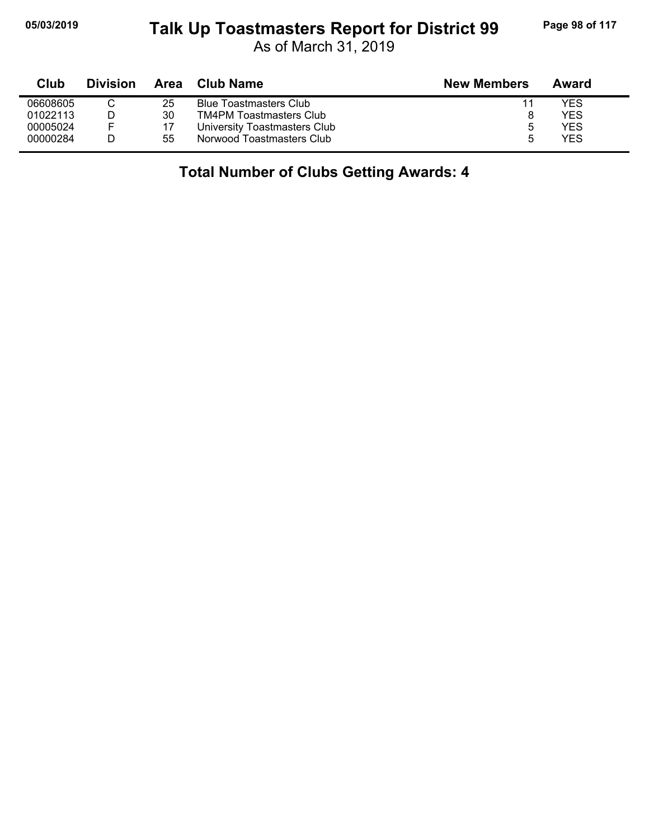## **05/03/2019 Page 98 of 117 Talk Up Toastmasters Report for District 99**

As of March 31, 2019

| Club     | <b>Division</b> | Area | Club Name                      | <b>New Members</b> | Award |  |
|----------|-----------------|------|--------------------------------|--------------------|-------|--|
| 06608605 |                 | 25   | <b>Blue Toastmasters Club</b>  |                    | YES   |  |
| 01022113 |                 | 30   | <b>TM4PM Toastmasters Club</b> |                    | YES   |  |
| 00005024 | E               | 17   | University Toastmasters Club   | 5                  | YES   |  |
| 00000284 |                 | 55   | Norwood Toastmasters Club      |                    | YES   |  |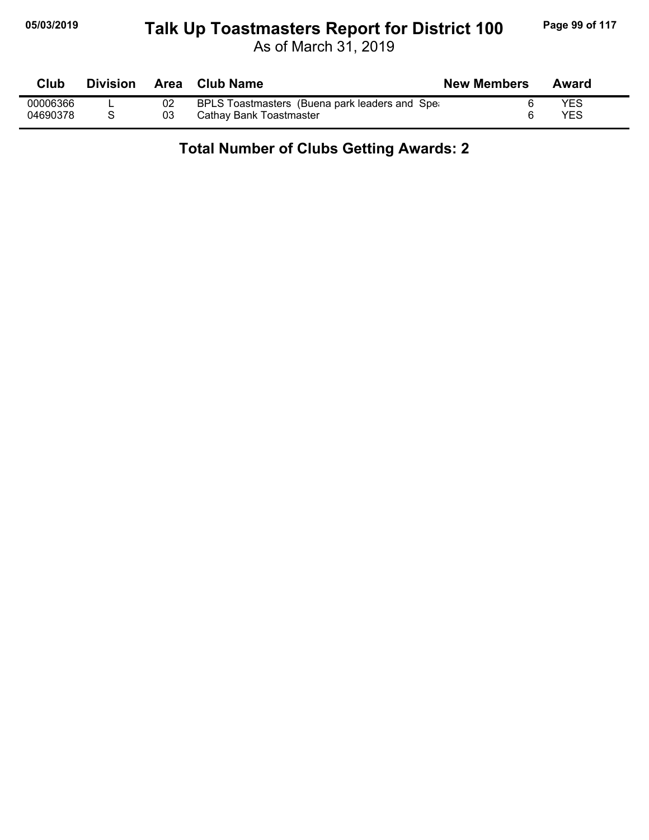## **05/03/2019 Page 99 of 117 Talk Up Toastmasters Report for District 100**

As of March 31, 2019

| <b>Club</b> | <b>Division</b> | Area | <b>Club Name</b>                              | <b>New Members</b> | Award      |
|-------------|-----------------|------|-----------------------------------------------|--------------------|------------|
| 00006366    |                 |      | BPLS Toastmasters (Buena park leaders and Spe |                    | <b>YES</b> |
| 04690378    |                 | 03   | Cathay Bank Toastmaster                       |                    | YES        |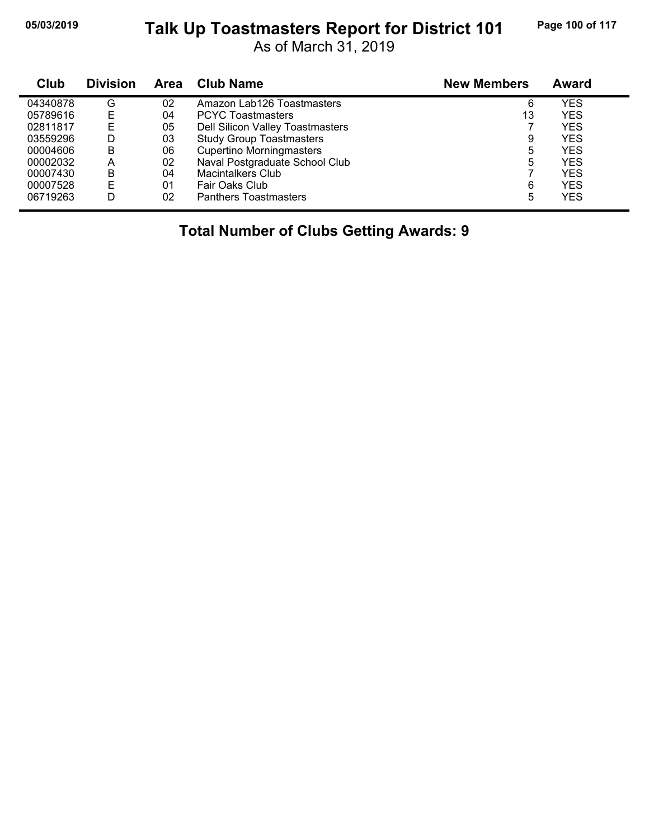#### **05/03/2019 Page 100 of 117 Talk Up Toastmasters Report for District 101**

As of March 31, 2019

| Club     | <b>Division</b> | Area | <b>Club Name</b>                 | <b>New Members</b> | Award      |
|----------|-----------------|------|----------------------------------|--------------------|------------|
| 04340878 | G               | 02   | Amazon Lab126 Toastmasters       | 6                  | <b>YES</b> |
| 05789616 | Е               | 04   | <b>PCYC Toastmasters</b>         | 13                 | <b>YES</b> |
| 02811817 | Е               | 05   | Dell Silicon Valley Toastmasters |                    | <b>YES</b> |
| 03559296 | D               | 03   | <b>Study Group Toastmasters</b>  | 9                  | <b>YES</b> |
| 00004606 | B               | 06   | <b>Cupertino Morningmasters</b>  | 5                  | <b>YES</b> |
| 00002032 | Α               | 02   | Naval Postgraduate School Club   | 5                  | <b>YES</b> |
| 00007430 | B               | 04   | Macintalkers Club                |                    | <b>YES</b> |
| 00007528 | Е               | 01   | Fair Oaks Club                   | 6                  | <b>YES</b> |
| 06719263 | D               | 02   | <b>Panthers Toastmasters</b>     | 5                  | <b>YES</b> |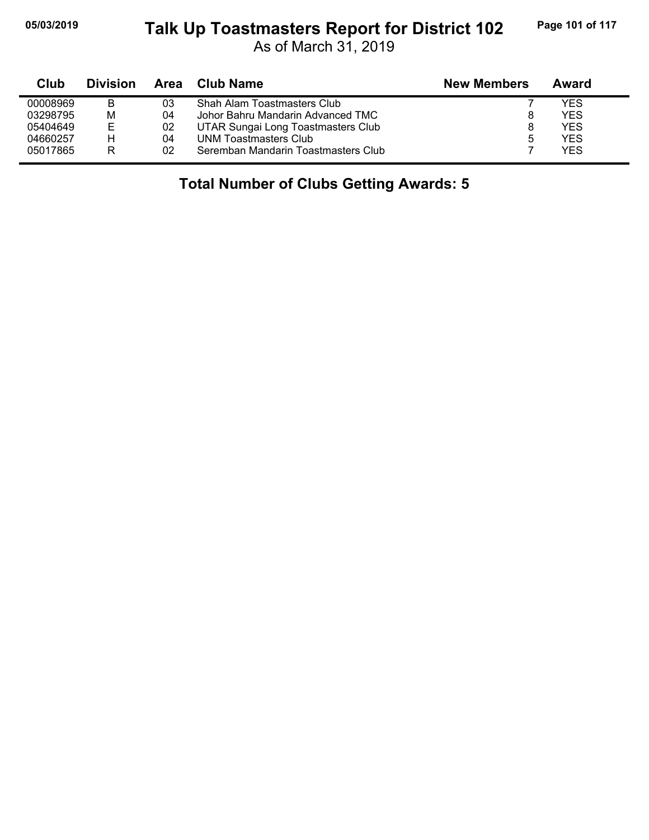## **05/03/2019 Page 101 of 117 Talk Up Toastmasters Report for District 102**

As of March 31, 2019

| Club     | <b>Division</b> | Area | Club Name                           | <b>New Members</b> | Award |
|----------|-----------------|------|-------------------------------------|--------------------|-------|
| 00008969 | В               | 03   | Shah Alam Toastmasters Club         |                    | YES   |
| 03298795 | М               | 04   | Johor Bahru Mandarin Advanced TMC   |                    | YES   |
| 05404649 | Е               | 02   | UTAR Sungai Long Toastmasters Club  |                    | YES.  |
| 04660257 | н               | 04   | <b>UNM Toastmasters Club</b>        | b                  | YES   |
| 05017865 | R               | 02   | Seremban Mandarin Toastmasters Club |                    | YES.  |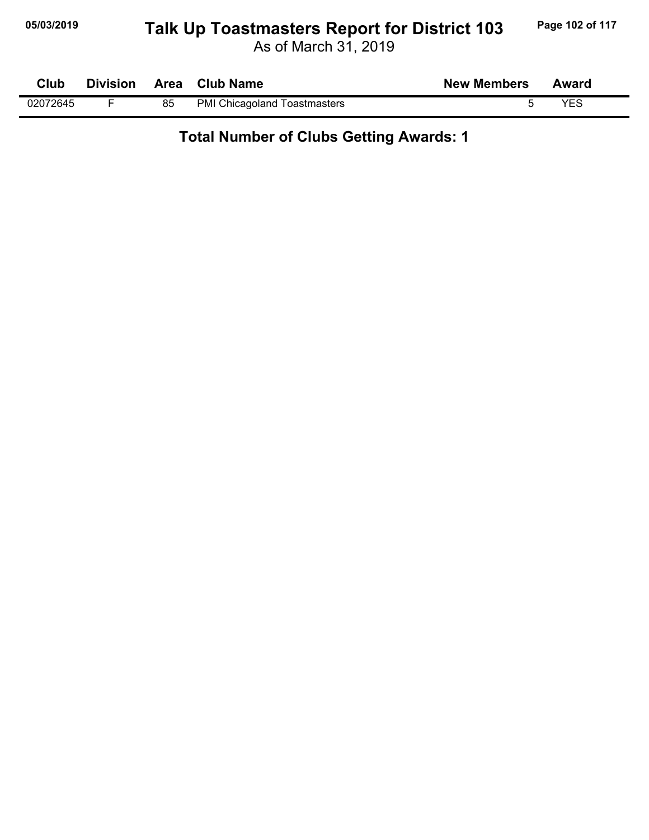## **05/03/2019 Page 102 of 117 Talk Up Toastmasters Report for District 103**

As of March 31, 2019

|          |    | Club Division Area Club Name        | <b>New Members</b> | Award |  |
|----------|----|-------------------------------------|--------------------|-------|--|
| 02072645 | 85 | <b>PMI Chicagoland Toastmasters</b> |                    | YES   |  |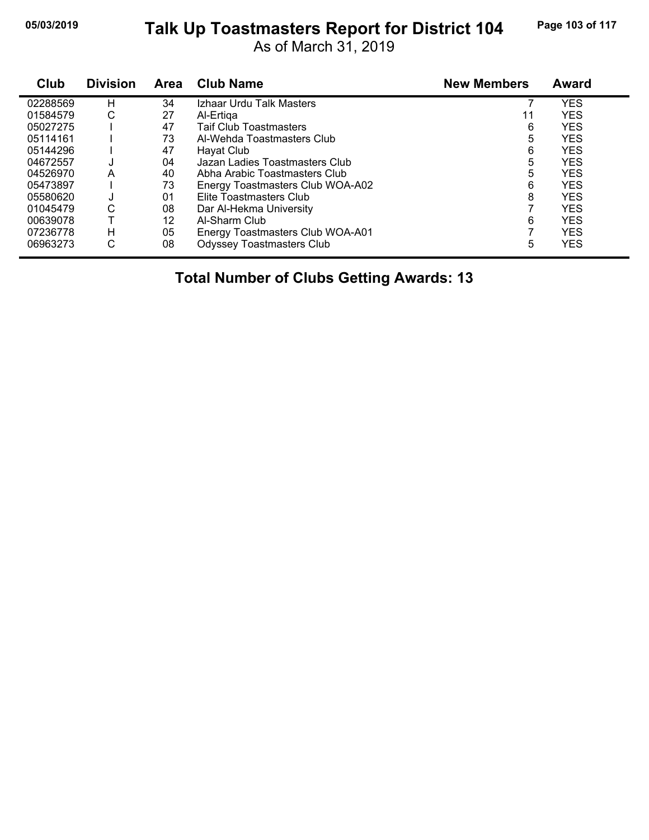#### **05/03/2019 Page 103 of 117 Talk Up Toastmasters Report for District 104**

As of March 31, 2019

| Club     | <b>Division</b> | Area | <b>Club Name</b>                 | <b>New Members</b> | <b>Award</b> |
|----------|-----------------|------|----------------------------------|--------------------|--------------|
| 02288569 | н               | 34   | Izhaar Urdu Talk Masters         |                    | <b>YES</b>   |
| 01584579 | С               | 27   | Al-Ertiga                        | 11                 | <b>YES</b>   |
| 05027275 |                 | 47   | <b>Taif Club Toastmasters</b>    | 6                  | <b>YES</b>   |
| 05114161 |                 | 73   | Al-Wehda Toastmasters Club       | 5                  | <b>YES</b>   |
| 05144296 |                 | 47   | Hayat Club                       | 6                  | <b>YES</b>   |
| 04672557 | J               | 04   | Jazan Ladies Toastmasters Club   | 5                  | <b>YES</b>   |
| 04526970 | A               | 40   | Abha Arabic Toastmasters Club    | 5                  | <b>YES</b>   |
| 05473897 |                 | 73   | Energy Toastmasters Club WOA-A02 | 6                  | <b>YES</b>   |
| 05580620 | J               | 01   | Elite Toastmasters Club          | 8                  | <b>YES</b>   |
| 01045479 | С               | 08   | Dar Al-Hekma University          |                    | <b>YES</b>   |
| 00639078 |                 | 12   | Al-Sharm Club                    | 6                  | <b>YES</b>   |
| 07236778 | н               | 05   | Energy Toastmasters Club WOA-A01 |                    | <b>YES</b>   |
| 06963273 | С               | 08   | <b>Odyssey Toastmasters Club</b> | 5                  | <b>YES</b>   |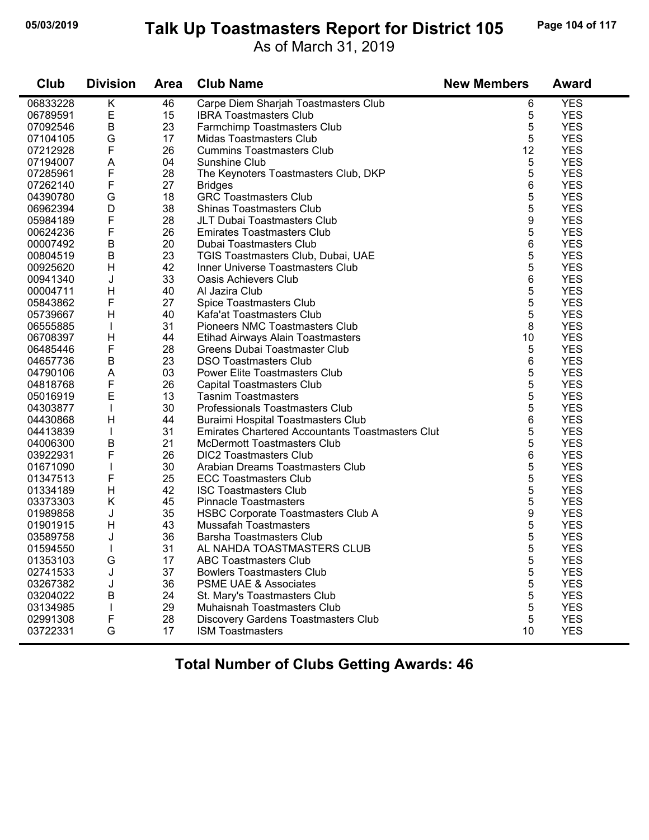## **05/03/2019 Page 104 of 117 Talk Up Toastmasters Report for District 105**

As of March 31, 2019

| Club     | <b>Division</b> | <b>Area</b> | <b>Club Name</b>                                        | <b>New Members</b> | <b>Award</b> |
|----------|-----------------|-------------|---------------------------------------------------------|--------------------|--------------|
| 06833228 | K               | 46          | Carpe Diem Sharjah Toastmasters Club                    | 6                  | <b>YES</b>   |
| 06789591 | E               | 15          | <b>IBRA Toastmasters Club</b>                           | 5                  | <b>YES</b>   |
| 07092546 | $\sf B$         | 23          | Farmchimp Toastmasters Club                             | 5                  | <b>YES</b>   |
| 07104105 | G               | 17          | Midas Toastmasters Club                                 | 5                  | <b>YES</b>   |
| 07212928 | $\mathsf F$     | 26          | <b>Cummins Toastmasters Club</b>                        | 12                 | <b>YES</b>   |
| 07194007 | A               | 04          | Sunshine Club                                           | 5                  | <b>YES</b>   |
| 07285961 | F               | 28          | The Keynoters Toastmasters Club, DKP                    | 5                  | <b>YES</b>   |
| 07262140 | F               | 27          | <b>Bridges</b>                                          | 6                  | <b>YES</b>   |
| 04390780 | G               | 18          | <b>GRC Toastmasters Club</b>                            | 5                  | <b>YES</b>   |
| 06962394 | D               | 38          | <b>Shinas Toastmasters Club</b>                         | 5                  | <b>YES</b>   |
| 05984189 | F               | 28          | JLT Dubai Toastmasters Club                             | 9                  | <b>YES</b>   |
| 00624236 | F               | 26          | <b>Emirates Toastmasters Club</b>                       | 5                  | <b>YES</b>   |
| 00007492 | $\mathsf B$     | 20          | Dubai Toastmasters Club                                 | 6                  | <b>YES</b>   |
| 00804519 | B               | 23          | TGIS Toastmasters Club, Dubai, UAE                      | 5                  | <b>YES</b>   |
| 00925620 | H               | 42          | Inner Universe Toastmasters Club                        | 5                  | <b>YES</b>   |
| 00941340 | J               | 33          | <b>Oasis Achievers Club</b>                             | 6                  | <b>YES</b>   |
| 00004711 | $\mathsf{H}$    | 40          | Al Jazira Club                                          | 5                  | <b>YES</b>   |
| 05843862 | F               | 27          | Spice Toastmasters Club                                 | 5                  | <b>YES</b>   |
| 05739667 | H               | 40          | Kafa'at Toastmasters Club                               | 5                  | <b>YES</b>   |
| 06555885 |                 | 31          | <b>Pioneers NMC Toastmasters Club</b>                   | 8                  | <b>YES</b>   |
| 06708397 | H               | 44          | Etihad Airways Alain Toastmasters                       | 10                 | <b>YES</b>   |
| 06485446 | F               | 28          | Greens Dubai Toastmaster Club                           | 5                  | <b>YES</b>   |
| 04657736 | B               | 23          | <b>DSO Toastmasters Club</b>                            | 6                  | <b>YES</b>   |
| 04790106 | A               | 03          | Power Elite Toastmasters Club                           | 5                  | <b>YES</b>   |
| 04818768 | F               | 26          | <b>Capital Toastmasters Club</b>                        | 5                  | <b>YES</b>   |
| 05016919 | E               | 13          | <b>Tasnim Toastmasters</b>                              | 5                  | <b>YES</b>   |
| 04303877 |                 | 30          | Professionals Toastmasters Club                         | 5                  | <b>YES</b>   |
| 04430868 | $\mathsf{H}$    | 44          | Buraimi Hospital Toastmasters Club                      | 6                  | <b>YES</b>   |
| 04413839 |                 | 31          | <b>Emirates Chartered Accountants Toastmasters Club</b> | 5                  | <b>YES</b>   |
| 04006300 | $\mathsf B$     | 21          | <b>McDermott Toastmasters Club</b>                      | 5                  | <b>YES</b>   |
| 03922931 | F               | 26          | <b>DIC2 Toastmasters Club</b>                           | 6                  | <b>YES</b>   |
| 01671090 |                 | 30          | Arabian Dreams Toastmasters Club                        | 5                  | <b>YES</b>   |
| 01347513 | F               | 25          | <b>ECC Toastmasters Club</b>                            | 5                  | <b>YES</b>   |
| 01334189 | H               | 42          | <b>ISC Toastmasters Club</b>                            | 5                  | <b>YES</b>   |
| 03373303 | K               | 45          | <b>Pinnacle Toastmasters</b>                            | 5                  | <b>YES</b>   |
| 01989858 | J               | 35          | <b>HSBC Corporate Toastmasters Club A</b>               | 9                  | <b>YES</b>   |
| 01901915 | H               | 43          | Mussafah Toastmasters                                   | 5                  | <b>YES</b>   |
| 03589758 | J               | 36          | <b>Barsha Toastmasters Club</b>                         | 5                  | <b>YES</b>   |
| 01594550 |                 | 31          | AL NAHDA TOASTMASTERS CLUB                              | 5                  | <b>YES</b>   |
| 01353103 | G               | 17          | <b>ABC Toastmasters Club</b>                            | 5                  | <b>YES</b>   |
| 02741533 | J               | 37          | <b>Bowlers Toastmasters Club</b>                        | 5                  | <b>YES</b>   |
| 03267382 | J               | 36          | <b>PSME UAE &amp; Associates</b>                        | 5                  | <b>YES</b>   |
| 03204022 | В               | 24          | St. Mary's Toastmasters Club                            | 5                  | <b>YES</b>   |
| 03134985 |                 | 29          | Muhaisnah Toastmasters Club                             | 5                  | <b>YES</b>   |
| 02991308 | F               | 28          | Discovery Gardens Toastmasters Club                     | 5                  | <b>YES</b>   |
| 03722331 | G               | 17          | <b>ISM Toastmasters</b>                                 | 10                 | <b>YES</b>   |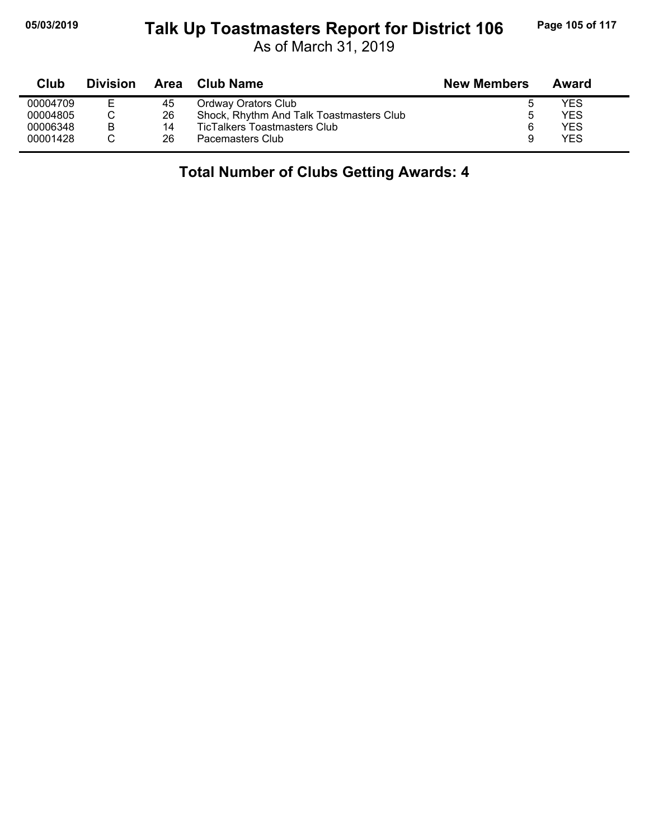## **05/03/2019 Page 105 of 117 Talk Up Toastmasters Report for District 106**

As of March 31, 2019

| Club     | <b>Division</b> |    | Area Club Name                           | <b>New Members</b> | Award      |  |
|----------|-----------------|----|------------------------------------------|--------------------|------------|--|
| 00004709 | Е               | 45 | Ordway Orators Club                      | b                  | YES        |  |
| 00004805 |                 | 26 | Shock, Rhythm And Talk Toastmasters Club | b                  | <b>YES</b> |  |
| 00006348 | B               | 14 | TicTalkers Toastmasters Club             | 6                  | YES        |  |
| 00001428 |                 | 26 | Pacemasters Club                         | 9                  | YES        |  |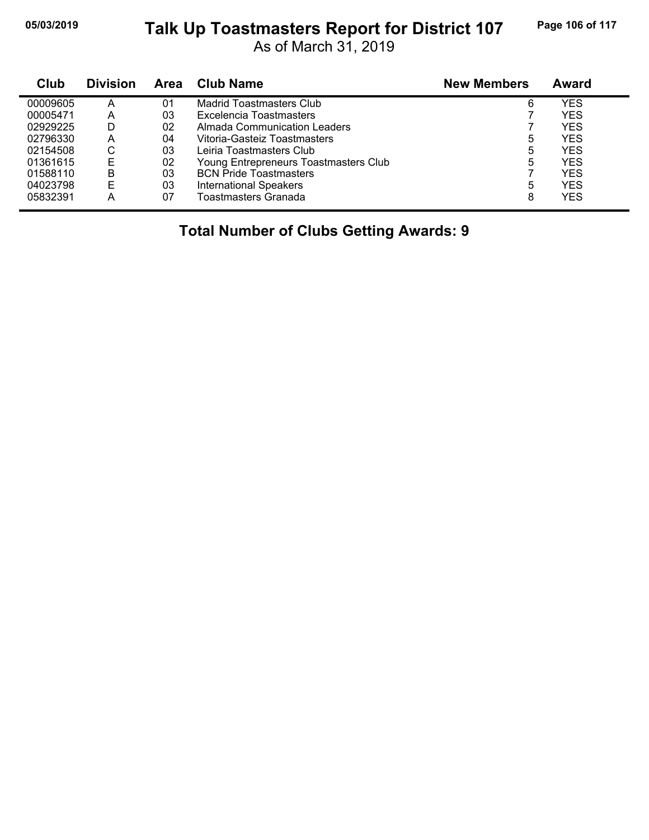#### **05/03/2019 Page 106 of 117 Talk Up Toastmasters Report for District 107**

As of March 31, 2019

| Club     | <b>Division</b> | Area | <b>Club Name</b>                      | <b>New Members</b> | <b>Award</b> |
|----------|-----------------|------|---------------------------------------|--------------------|--------------|
| 00009605 | Α               | 01   | Madrid Toastmasters Club              | 6                  | YES          |
| 00005471 | Α               | 03   | Excelencia Toastmasters               |                    | <b>YES</b>   |
| 02929225 | D               | 02   | Almada Communication Leaders          |                    | <b>YES</b>   |
| 02796330 | A               | 04   | Vitoria-Gasteiz Toastmasters          | 5                  | YES          |
| 02154508 | ⌒<br>U          | 03   | Leiria Toastmasters Club              | 5                  | <b>YES</b>   |
| 01361615 | F               | 02   | Young Entrepreneurs Toastmasters Club | 5                  | <b>YES</b>   |
| 01588110 | в               | 03   | <b>BCN Pride Toastmasters</b>         |                    | YES          |
| 04023798 | E               | 03   | <b>International Speakers</b>         | 5                  | <b>YES</b>   |
| 05832391 | А               | 07   | Toastmasters Granada                  | 8                  | YES          |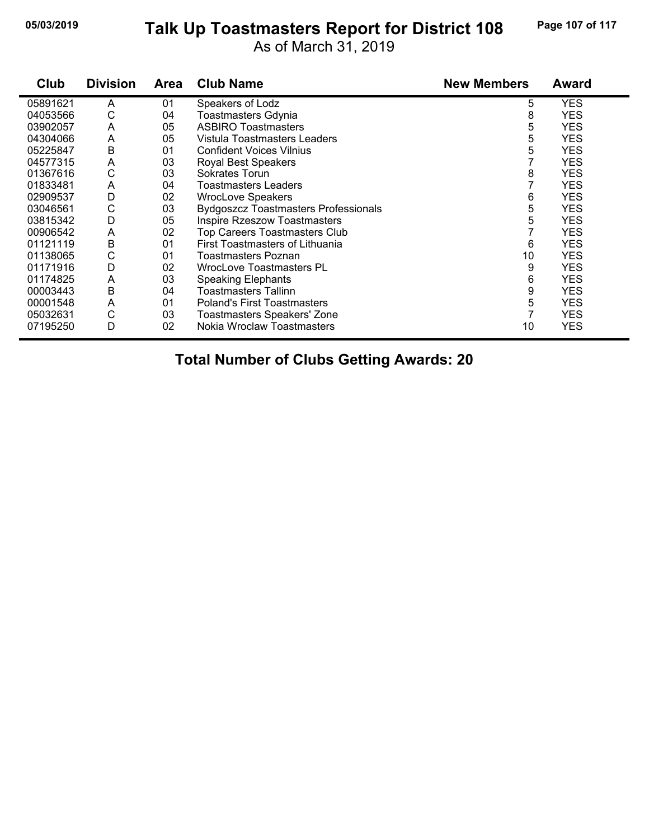#### **05/03/2019 Page 107 of 117 Talk Up Toastmasters Report for District 108**

As of March 31, 2019

| Club     | <b>Division</b> | <b>Area</b> | <b>Club Name</b>                            | <b>New Members</b> | Award      |
|----------|-----------------|-------------|---------------------------------------------|--------------------|------------|
| 05891621 | A               | 01          | Speakers of Lodz                            | 5                  | <b>YES</b> |
| 04053566 | С               | 04          | Toastmasters Gdynia                         | 8                  | <b>YES</b> |
| 03902057 | A               | 05          | <b>ASBIRO Toastmasters</b>                  | 5                  | <b>YES</b> |
| 04304066 | A               | 05          | Vistula Toastmasters Leaders                | 5                  | <b>YES</b> |
| 05225847 | B               | 01          | <b>Confident Voices Vilnius</b>             | 5                  | <b>YES</b> |
| 04577315 | A               | 03          | <b>Royal Best Speakers</b>                  |                    | <b>YES</b> |
| 01367616 | С               | 03          | Sokrates Torun                              | 8                  | <b>YES</b> |
| 01833481 | A               | 04          | Toastmasters Leaders                        |                    | <b>YES</b> |
| 02909537 | D               | 02          | <b>WrocLove Speakers</b>                    | 6                  | <b>YES</b> |
| 03046561 | С               | 03          | <b>Bydgoszcz Toastmasters Professionals</b> | 5                  | <b>YES</b> |
| 03815342 | D               | 05          | <b>Inspire Rzeszow Toastmasters</b>         | 5                  | <b>YES</b> |
| 00906542 | A               | 02          | <b>Top Careers Toastmasters Club</b>        |                    | <b>YES</b> |
| 01121119 | В               | 01          | First Toastmasters of Lithuania             | 6                  | <b>YES</b> |
| 01138065 | С               | 01          | Toastmasters Poznan                         | 10                 | <b>YES</b> |
| 01171916 | D               | 02          | WrocLove Toastmasters PL                    | 9                  | <b>YES</b> |
| 01174825 | A               | 03          | <b>Speaking Elephants</b>                   | 6                  | <b>YES</b> |
| 00003443 | B               | 04          | Toastmasters Tallinn                        | 9                  | <b>YES</b> |
| 00001548 | A               | 01          | <b>Poland's First Toastmasters</b>          | 5                  | <b>YES</b> |
| 05032631 | С               | 03          | Toastmasters Speakers' Zone                 |                    | <b>YES</b> |
| 07195250 | D               | 02          | Nokia Wroclaw Toastmasters                  | 10                 | <b>YES</b> |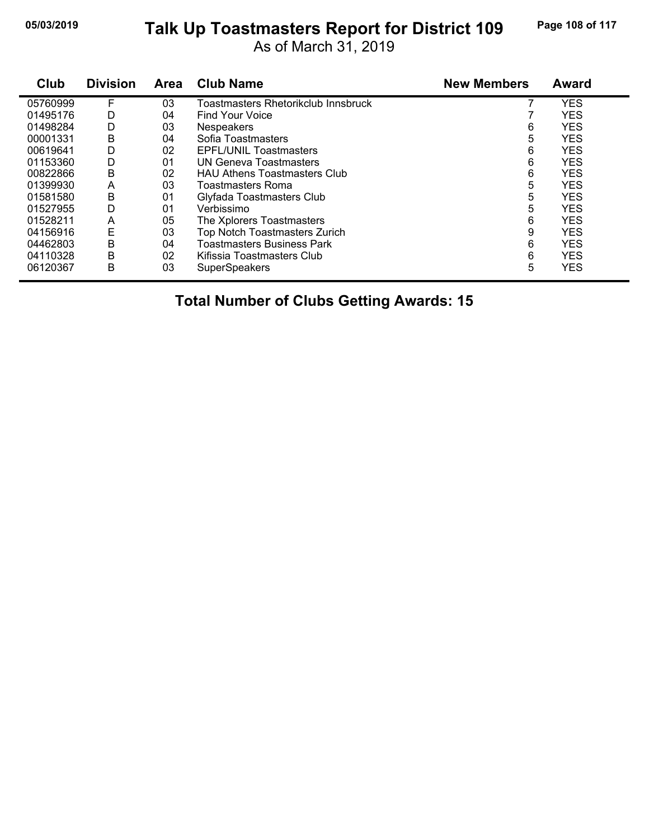### **05/03/2019 Page 108 of 117 Talk Up Toastmasters Report for District 109**

As of March 31, 2019

| Club     | <b>Division</b> | <b>Area</b> | <b>Club Name</b>                     | <b>New Members</b> | <b>Award</b> |
|----------|-----------------|-------------|--------------------------------------|--------------------|--------------|
| 05760999 | F               | 03          | Toastmasters Rhetorikclub Innsbruck  |                    | <b>YES</b>   |
| 01495176 | D               | 04          | Find Your Voice                      |                    | <b>YES</b>   |
| 01498284 | D               | 03          | <b>Nespeakers</b>                    | 6                  | <b>YES</b>   |
| 00001331 | В               | 04          | Sofia Toastmasters                   | 5                  | <b>YES</b>   |
| 00619641 | D               | 02          | <b>EPFL/UNIL Toastmasters</b>        | 6                  | <b>YES</b>   |
| 01153360 | D               | 01          | <b>UN Geneva Toastmasters</b>        | 6                  | <b>YES</b>   |
| 00822866 | B               | 02          | <b>HAU Athens Toastmasters Club</b>  | 6                  | <b>YES</b>   |
| 01399930 | A               | 03          | Toastmasters Roma                    | 5                  | <b>YES</b>   |
| 01581580 | В               | 01          | Glyfada Toastmasters Club            | 5                  | <b>YES</b>   |
| 01527955 | D               | 01          | Verbissimo                           | 5                  | <b>YES</b>   |
| 01528211 | A               | 05          | The Xplorers Toastmasters            | 6                  | <b>YES</b>   |
| 04156916 | E               | 03          | <b>Top Notch Toastmasters Zurich</b> | 9                  | <b>YES</b>   |
| 04462803 | B               | 04          | <b>Toastmasters Business Park</b>    | 6                  | <b>YES</b>   |
| 04110328 | B               | 02          | Kifissia Toastmasters Club           | 6                  | <b>YES</b>   |
| 06120367 | B               | 03          | <b>SuperSpeakers</b>                 | 5                  | <b>YES</b>   |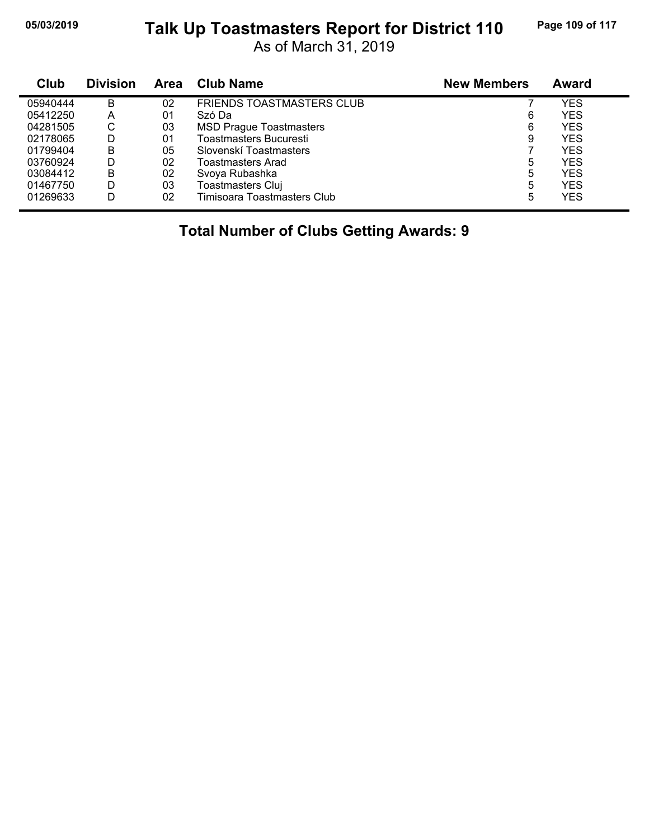## **05/03/2019 Page 109 of 117 Talk Up Toastmasters Report for District 110**

As of March 31, 2019

| Club     | <b>Division</b> | <b>Area</b> | <b>Club Name</b>                 | <b>New Members</b> | <b>Award</b> |
|----------|-----------------|-------------|----------------------------------|--------------------|--------------|
| 05940444 | B               | 02          | <b>FRIENDS TOASTMASTERS CLUB</b> |                    | <b>YES</b>   |
| 05412250 | А               | 01          | Szó Da                           | 6                  | YES          |
| 04281505 | С               | 03          | <b>MSD Prague Toastmasters</b>   | 6                  | YES          |
| 02178065 | D               | 01          | Toastmasters Bucuresti           | 9                  | YES          |
| 01799404 | B               | 05          | Slovenskí Toastmasters           |                    | <b>YES</b>   |
| 03760924 | D               | 02          | Toastmasters Arad                | 5                  | <b>YES</b>   |
| 03084412 | B               | 02          | Svoya Rubashka                   | 5                  | YES          |
| 01467750 | D               | 03          | Toastmasters Cluj                | 5                  | <b>YES</b>   |
| 01269633 | D               | 02          | Timisoara Toastmasters Club      | 5                  | YES          |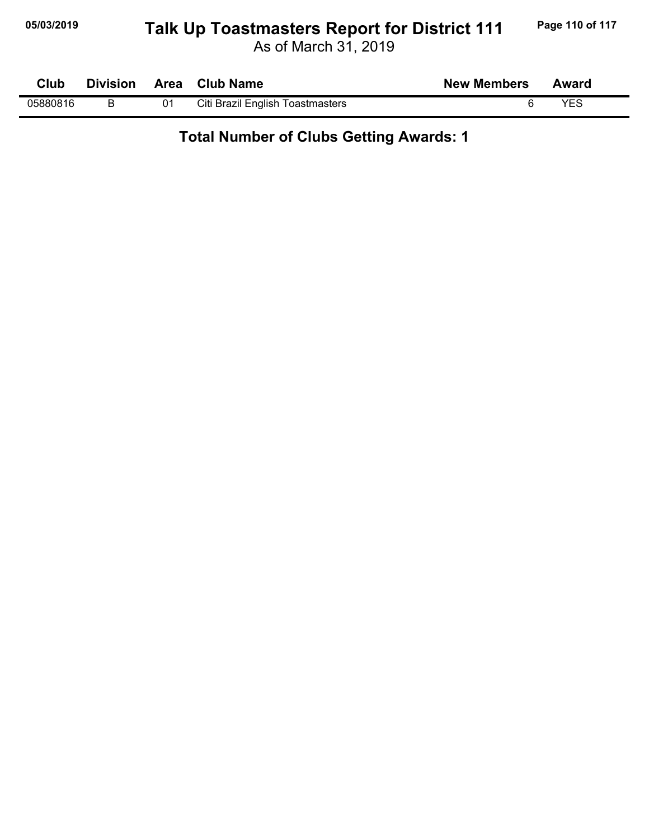## **05/03/2019 Page 110 of 117 Talk Up Toastmasters Report for District 111**

As of March 31, 2019

| <b>Club</b> |  | Division Area Club Name          | <b>New Members</b> | Award |  |
|-------------|--|----------------------------------|--------------------|-------|--|
| 05880816    |  | Citi Brazil English Toastmasters |                    | YES   |  |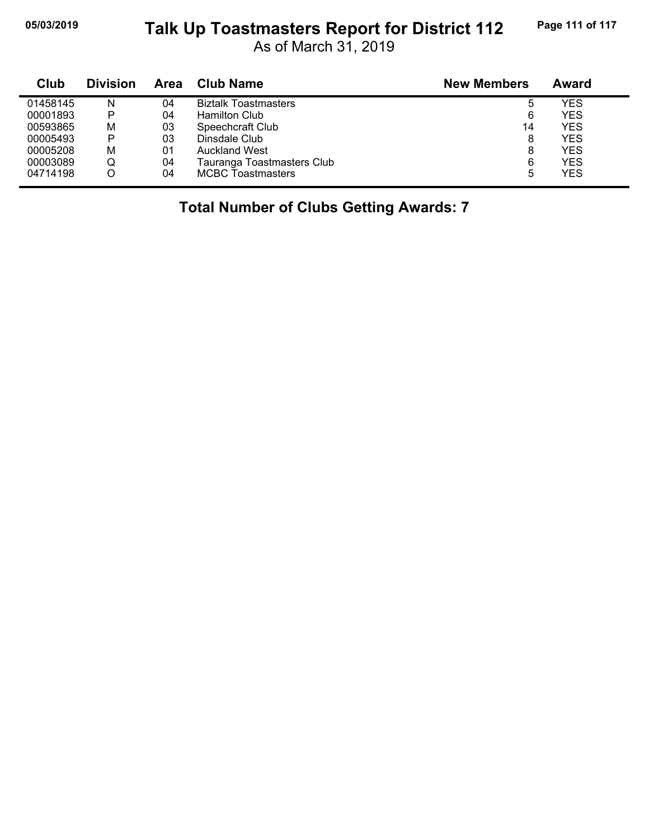## **05/03/2019 Page 111 of 117 Talk Up Toastmasters Report for District 112**

As of March 31, 2019

| Club     | <b>Division</b> | Area | <b>Club Name</b>            | <b>New Members</b> | Award      |
|----------|-----------------|------|-----------------------------|--------------------|------------|
| 01458145 | N               | 04   | <b>Biztalk Toastmasters</b> | 5                  | <b>YES</b> |
| 00001893 | P               | 04   | <b>Hamilton Club</b>        | 6                  | <b>YES</b> |
| 00593865 | M               | 03   | Speechcraft Club            | 14                 | <b>YES</b> |
| 00005493 | P               | 03   | Dinsdale Club               | 8                  | <b>YES</b> |
| 00005208 | M               | 01   | <b>Auckland West</b>        | 8                  | <b>YES</b> |
| 00003089 | Q               | 04   | Tauranga Toastmasters Club  | 6                  | <b>YES</b> |
| 04714198 |                 | 04   | <b>MCBC Toastmasters</b>    | 5                  | <b>YES</b> |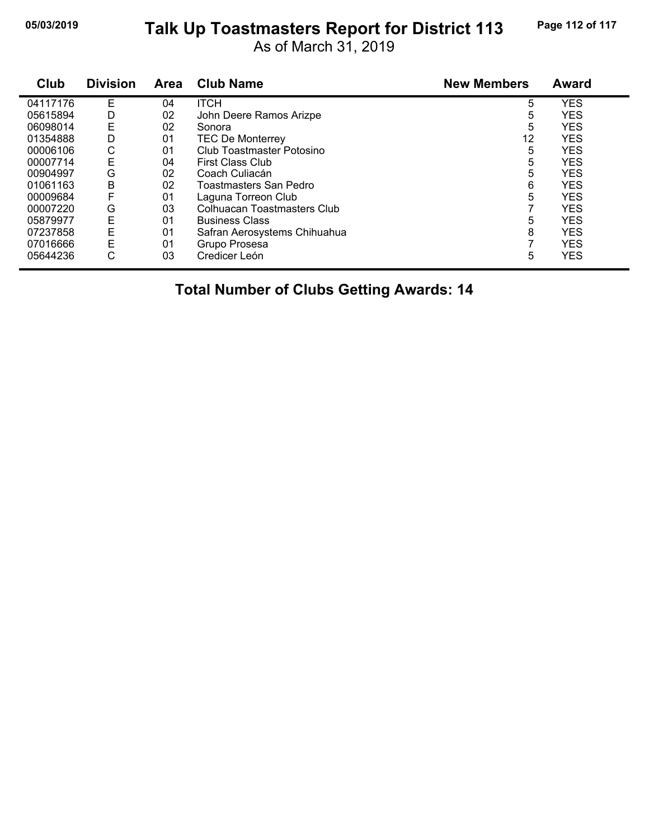#### **05/03/2019 Page 112 of 117 Talk Up Toastmasters Report for District 113**

As of March 31, 2019

| Club     | <b>Division</b> | Area | <b>Club Name</b>             | <b>New Members</b> | <b>Award</b> |
|----------|-----------------|------|------------------------------|--------------------|--------------|
| 04117176 | Е               | 04   | <b>ITCH</b>                  | 5                  | <b>YES</b>   |
| 05615894 | D               | 02   | John Deere Ramos Arizpe      | 5                  | <b>YES</b>   |
| 06098014 | Ε               | 02   | Sonora                       | 5                  | <b>YES</b>   |
| 01354888 | D               | 01   | <b>TEC De Monterrey</b>      | 12                 | <b>YES</b>   |
| 00006106 | С               | 01   | Club Toastmaster Potosino    | 5                  | <b>YES</b>   |
| 00007714 | Ε               | 04   | <b>First Class Club</b>      | 5                  | <b>YES</b>   |
| 00904997 | G               | 02   | Coach Culiacán               | 5                  | <b>YES</b>   |
| 01061163 | B               | 02   | Toastmasters San Pedro       | 6                  | <b>YES</b>   |
| 00009684 | F               | 01   | Laguna Torreon Club          | 5                  | <b>YES</b>   |
| 00007220 | G               | 03   | Colhuacan Toastmasters Club  |                    | <b>YES</b>   |
| 05879977 | Е               | 01   | <b>Business Class</b>        | 5                  | <b>YES</b>   |
| 07237858 | E               | 01   | Safran Aerosystems Chihuahua | 8                  | <b>YES</b>   |
| 07016666 | Ε               | 01   | Grupo Prosesa                |                    | <b>YES</b>   |
| 05644236 | С               | 03   | Credicer León                | 5                  | <b>YES</b>   |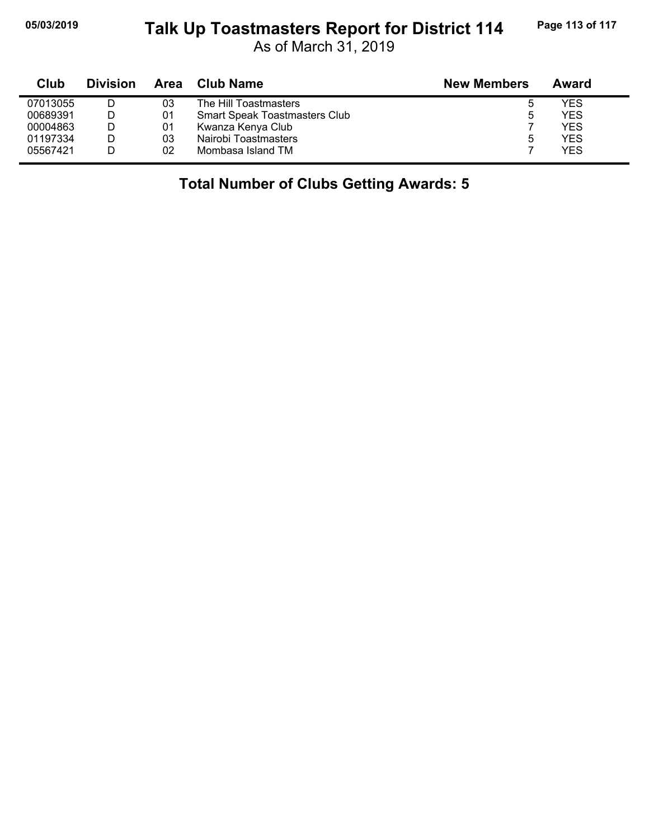## **05/03/2019 Page 113 of 117 Talk Up Toastmasters Report for District 114**

As of March 31, 2019

| Club     | <b>Division</b> | Area | <b>Club Name</b>                     | <b>New Members</b> | Award |
|----------|-----------------|------|--------------------------------------|--------------------|-------|
| 07013055 |                 | 03   | The Hill Toastmasters                | ხ                  | YES.  |
| 00689391 |                 | 01   | <b>Smart Speak Toastmasters Club</b> | ь                  | YES   |
| 00004863 |                 | 01   | Kwanza Kenya Club                    |                    | YES   |
| 01197334 |                 | 03   | Nairobi Toastmasters                 | ა                  | YES   |
| 05567421 |                 | 02   | Mombasa Island TM                    |                    | YES   |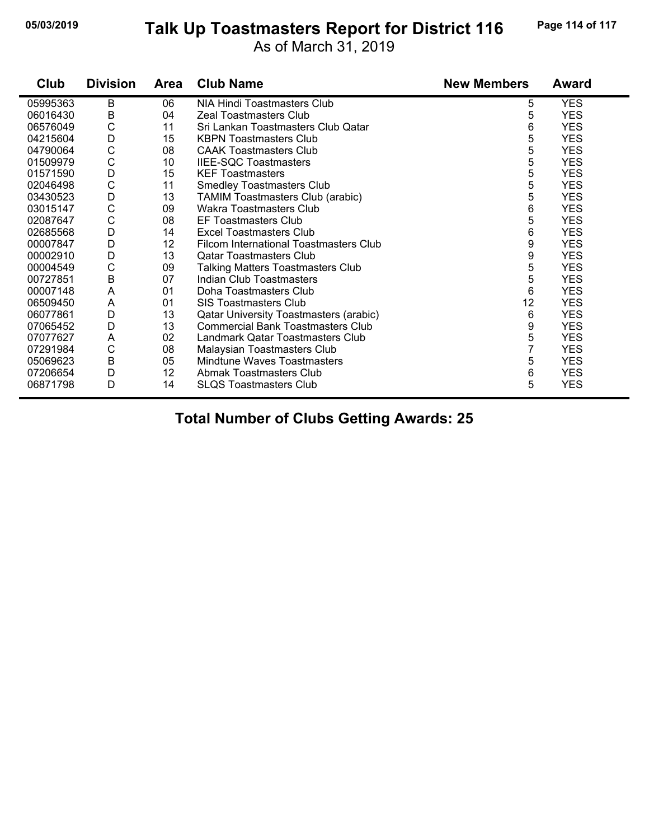#### **05/03/2019 Page 114 of 117 Talk Up Toastmasters Report for District 116**

As of March 31, 2019

| Club     | <b>Division</b> | Area | <b>Club Name</b>                         | <b>New Members</b> | Award      |
|----------|-----------------|------|------------------------------------------|--------------------|------------|
| 05995363 | В               | 06   | NIA Hindi Toastmasters Club              | 5                  | <b>YES</b> |
| 06016430 | B               | 04   | Zeal Toastmasters Club                   | 5                  | <b>YES</b> |
| 06576049 | C               | 11   | Sri Lankan Toastmasters Club Qatar       | 6                  | <b>YES</b> |
| 04215604 | D               | 15   | <b>KBPN Toastmasters Club</b>            | 5                  | <b>YES</b> |
| 04790064 | $\mathsf C$     | 08   | <b>CAAK Toastmasters Club</b>            | 5                  | <b>YES</b> |
| 01509979 | C               | 10   | <b>IIEE-SQC Toastmasters</b>             | 5                  | <b>YES</b> |
| 01571590 | D               | 15   | <b>KEF Toastmasters</b>                  | 5                  | <b>YES</b> |
| 02046498 | $\mathsf C$     | 11   | <b>Smedley Toastmasters Club</b>         | 5                  | <b>YES</b> |
| 03430523 | D               | 13   | <b>TAMIM Toastmasters Club (arabic)</b>  | 5                  | <b>YES</b> |
| 03015147 | C               | 09   | <b>Wakra Toastmasters Club</b>           | 6                  | <b>YES</b> |
| 02087647 | C               | 08   | <b>EF Toastmasters Club</b>              | 5                  | <b>YES</b> |
| 02685568 | D               | 14   | Excel Toastmasters Club                  | 6                  | <b>YES</b> |
| 00007847 | D               | 12   | Filcom International Toastmasters Club   | 9                  | <b>YES</b> |
| 00002910 | D               | 13   | <b>Qatar Toastmasters Club</b>           | 9                  | <b>YES</b> |
| 00004549 | C               | 09   | <b>Talking Matters Toastmasters Club</b> | 5                  | <b>YES</b> |
| 00727851 | B               | 07   | Indian Club Toastmasters                 | 5                  | <b>YES</b> |
| 00007148 | A               | 01   | Doha Toastmasters Club                   | 6                  | <b>YES</b> |
| 06509450 | A               | 01   | <b>SIS Toastmasters Club</b>             | 12                 | <b>YES</b> |
| 06077861 | D               | 13   | Qatar University Toastmasters (arabic)   | 6                  | <b>YES</b> |
| 07065452 | D               | 13   | <b>Commercial Bank Toastmasters Club</b> | 9                  | <b>YES</b> |
| 07077627 | A               | 02   | Landmark Qatar Toastmasters Club         | 5                  | <b>YES</b> |
| 07291984 | C               | 08   | Malaysian Toastmasters Club              | 7                  | <b>YES</b> |
| 05069623 | B               | 05   | Mindtune Waves Toastmasters              | 5                  | <b>YES</b> |
| 07206654 | D               | 12   | Abmak Toastmasters Club                  | 6                  | <b>YES</b> |
| 06871798 | D               | 14   | <b>SLQS Toastmasters Club</b>            | 5                  | <b>YES</b> |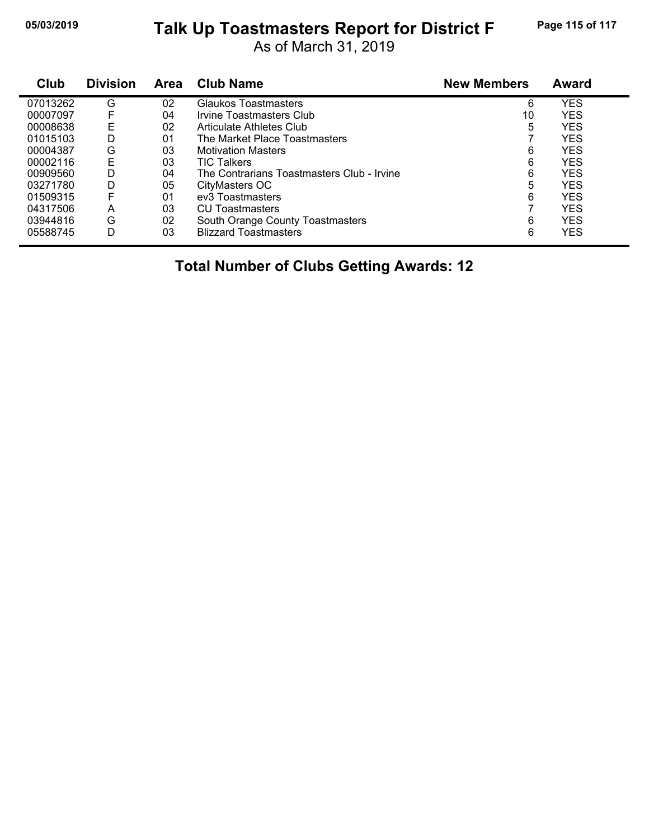#### **05/03/2019 Page 115 of 117 Talk Up Toastmasters Report for District F**

As of March 31, 2019

| Club     | <b>Division</b> | <b>Area</b> | <b>Club Name</b>                           | <b>New Members</b> | <b>Award</b> |
|----------|-----------------|-------------|--------------------------------------------|--------------------|--------------|
| 07013262 | G               | 02          | <b>Glaukos Toastmasters</b>                | 6                  | <b>YES</b>   |
| 00007097 | F               | 04          | Irvine Toastmasters Club                   | 10                 | <b>YES</b>   |
| 00008638 | Е               | 02          | Articulate Athletes Club                   | 5                  | <b>YES</b>   |
| 01015103 | D               | 01          | The Market Place Toastmasters              |                    | <b>YES</b>   |
| 00004387 | G               | 03          | <b>Motivation Masters</b>                  | 6                  | <b>YES</b>   |
| 00002116 | Е               | 03          | <b>TIC Talkers</b>                         | 6                  | <b>YES</b>   |
| 00909560 | D               | 04          | The Contrarians Toastmasters Club - Irvine | 6                  | <b>YES</b>   |
| 03271780 | D               | 05          | CityMasters OC                             | 5                  | <b>YES</b>   |
| 01509315 | F               | 01          | ev <sub>3</sub> Toastmasters               | 6                  | <b>YES</b>   |
| 04317506 | A               | 03          | CU Toastmasters                            | 7                  | <b>YES</b>   |
| 03944816 | G               | 02          | South Orange County Toastmasters           | 6                  | <b>YES</b>   |
| 05588745 | D               | 03          | <b>Blizzard Toastmasters</b>               | 6                  | <b>YES</b>   |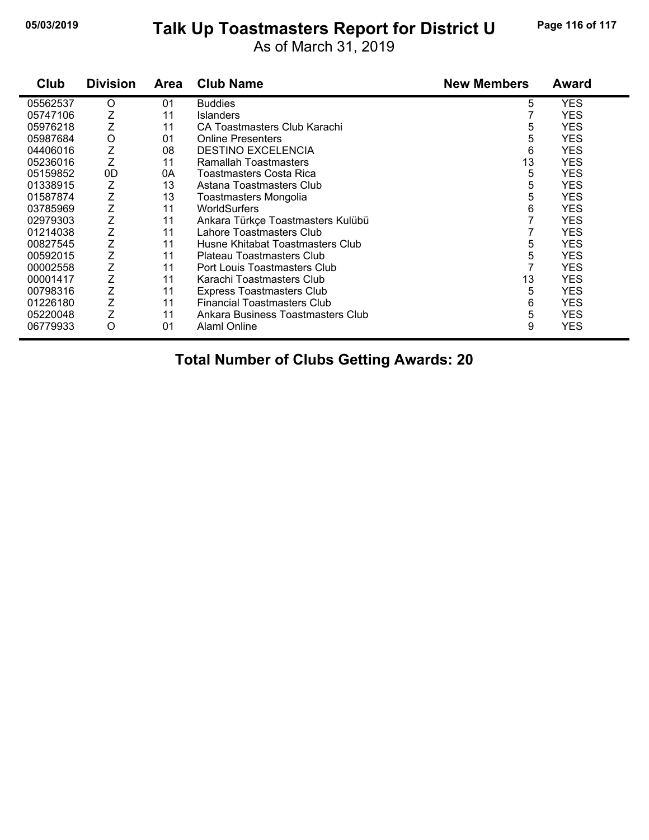#### **05/03/2019 Page 116 of 117 Talk Up Toastmasters Report for District U**

As of March 31, 2019

| Club     | <b>Division</b> | <b>Area</b> | <b>Club Name</b>                   | <b>New Members</b> | <b>Award</b> |
|----------|-----------------|-------------|------------------------------------|--------------------|--------------|
| 05562537 | O               | 01          | <b>Buddies</b>                     | 5                  | <b>YES</b>   |
| 05747106 | Ζ               | 11          | <b>Islanders</b>                   |                    | <b>YES</b>   |
| 05976218 | Ζ               | 11          | CA Toastmasters Club Karachi       | 5                  | <b>YES</b>   |
| 05987684 | Ο               | 01          | <b>Online Presenters</b>           | 5                  | <b>YES</b>   |
| 04406016 | Z               | 08          | <b>DESTINO EXCELENCIA</b>          | 6                  | <b>YES</b>   |
| 05236016 | Ζ               | 11          | Ramallah Toastmasters              | 13                 | <b>YES</b>   |
| 05159852 | 0 <sub>D</sub>  | 0Α          | Toastmasters Costa Rica            | 5                  | <b>YES</b>   |
| 01338915 | Ζ               | 13          | Astana Toastmasters Club           | 5                  | <b>YES</b>   |
| 01587874 | Z               | 13          | Toastmasters Mongolia              | 5                  | <b>YES</b>   |
| 03785969 | Z               | 11          | <b>WorldSurfers</b>                | 6                  | <b>YES</b>   |
| 02979303 | Ζ               | 11          | Ankara Türkçe Toastmasters Kulübü  | 7                  | <b>YES</b>   |
| 01214038 | Ζ               | 11          | Lahore Toastmasters Club           |                    | <b>YES</b>   |
| 00827545 | Z               | 11          | Husne Khitabat Toastmasters Club   | 5                  | <b>YES</b>   |
| 00592015 | Ζ               | 11          | Plateau Toastmasters Club          | 5                  | <b>YES</b>   |
| 00002558 | Ζ               | 11          | Port Louis Toastmasters Club       |                    | <b>YES</b>   |
| 00001417 | Z               | 11          | Karachi Toastmasters Club          | 13                 | <b>YES</b>   |
| 00798316 | Z               | 11          | <b>Express Toastmasters Club</b>   | 5                  | <b>YES</b>   |
| 01226180 | Z               | 11          | <b>Financial Toastmasters Club</b> | 6                  | <b>YES</b>   |
| 05220048 | Z               | 11          | Ankara Business Toastmasters Club  | 5                  | <b>YES</b>   |
| 06779933 | $\circ$         | 01          | <b>AlamI Online</b>                | 9                  | <b>YES</b>   |